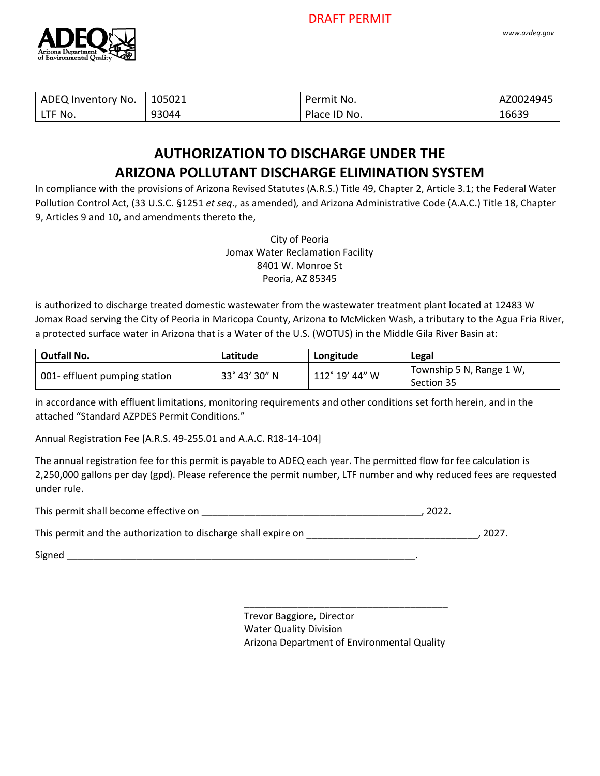

| ADEQ Inventory No. | 105021 | Permit No.   | AZ0024945 |
|--------------------|--------|--------------|-----------|
| LTF No.            | 93044  | Place ID No. | 16639     |

# **AUTHORIZATION TO DISCHARGE UNDER THE ARIZONA POLLUTANT DISCHARGE ELIMINATION SYSTEM**

In compliance with the provisions of Arizona Revised Statutes (A.R.S.) Title 49, Chapter 2, Article 3.1; the Federal Water Pollution Control Act, (33 U.S.C. §1251 *et seq*., as amended)*,* and Arizona Administrative Code (A.A.C.) Title 18, Chapter 9, Articles 9 and 10, and amendments thereto the,

> City of Peoria Jomax Water Reclamation Facility 8401 W. Monroe St Peoria, AZ 85345

is authorized to discharge treated domestic wastewater from the wastewater treatment plant located at 12483 W Jomax Road serving the City of Peoria in Maricopa County, Arizona to McMicken Wash, a tributary to the Agua Fria River, a protected surface water in Arizona that is a Water of the U.S. (WOTUS) in the Middle Gila River Basin at:

| <b>Outfall No.</b>            | Latitude      | Longitude      | Legal                                  |
|-------------------------------|---------------|----------------|----------------------------------------|
| 001- effluent pumping station | 33° 43′ 30″ N | 112° 19' 44" W | Township 5 N, Range 1 W,<br>Section 35 |

in accordance with effluent limitations, monitoring requirements and other conditions set forth herein, and in the attached "Standard AZPDES Permit Conditions."

Annual Registration Fee [A.R.S. 49-255.01 and A.A.C. R18-14-104]

The annual registration fee for this permit is payable to ADEQ each year. The permitted flow for fee calculation is 2,250,000 gallons per day (gpd). Please reference the permit number, LTF number and why reduced fees are requested under rule.

This permit shall become effective on **with the state of the state of the state of the state of the state of the state of the state of the state of the state of the state of the state of the state of the state of the state** 

| This permit and the authorization to discharge shall expire on |  | 2027. |
|----------------------------------------------------------------|--|-------|
|----------------------------------------------------------------|--|-------|

Signed \_\_\_\_\_\_\_\_\_\_\_\_\_\_\_\_\_\_\_\_\_\_\_\_\_\_\_\_\_\_\_\_\_\_\_\_\_\_\_\_\_\_\_\_\_\_\_\_\_\_\_\_\_\_\_\_\_\_\_\_\_\_\_\_\_.

Trevor Baggiore, Director Water Quality Division Arizona Department of Environmental Quality

\_\_\_\_\_\_\_\_\_\_\_\_\_\_\_\_\_\_\_\_\_\_\_\_\_\_\_\_\_\_\_\_\_\_\_\_\_\_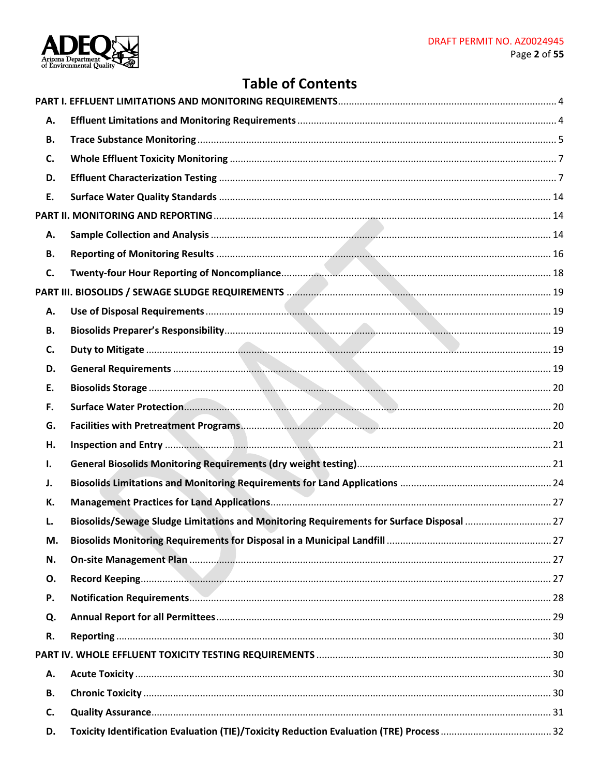

# **Table of Contents**

| А. |                                                                                          |  |
|----|------------------------------------------------------------------------------------------|--|
| В. |                                                                                          |  |
| C. |                                                                                          |  |
| D. |                                                                                          |  |
| E. |                                                                                          |  |
|    |                                                                                          |  |
| Α. |                                                                                          |  |
| В. |                                                                                          |  |
| C. |                                                                                          |  |
|    |                                                                                          |  |
| Α. |                                                                                          |  |
| В. |                                                                                          |  |
| C. |                                                                                          |  |
| D. |                                                                                          |  |
| E. |                                                                                          |  |
| F. |                                                                                          |  |
| G. |                                                                                          |  |
| H. |                                                                                          |  |
| Ι. |                                                                                          |  |
| J. |                                                                                          |  |
| К. |                                                                                          |  |
| L. | Biosolids/Sewage Sludge Limitations and Monitoring Requirements for Surface Disposal  27 |  |
| M. |                                                                                          |  |
| N. |                                                                                          |  |
| 0. |                                                                                          |  |
| Ρ. |                                                                                          |  |
| Q. |                                                                                          |  |
| R. |                                                                                          |  |
|    |                                                                                          |  |
| Α. |                                                                                          |  |
| В. |                                                                                          |  |
| C. |                                                                                          |  |
| D. |                                                                                          |  |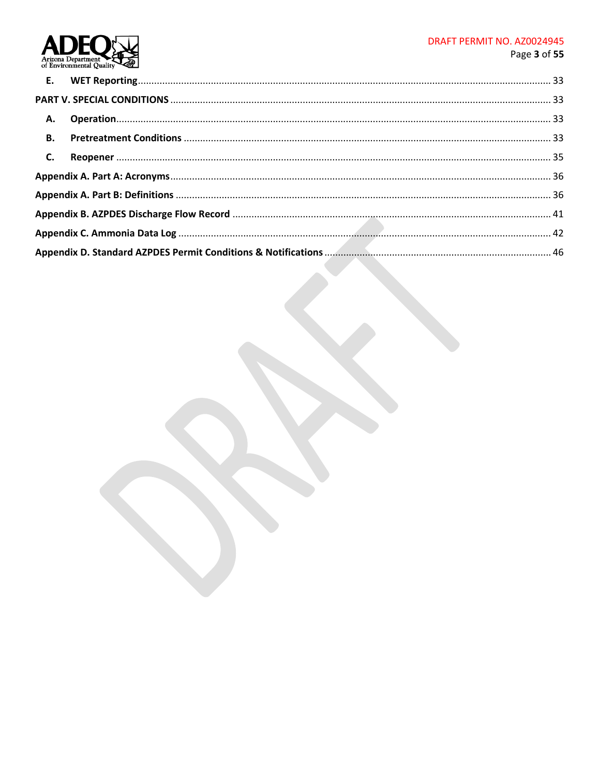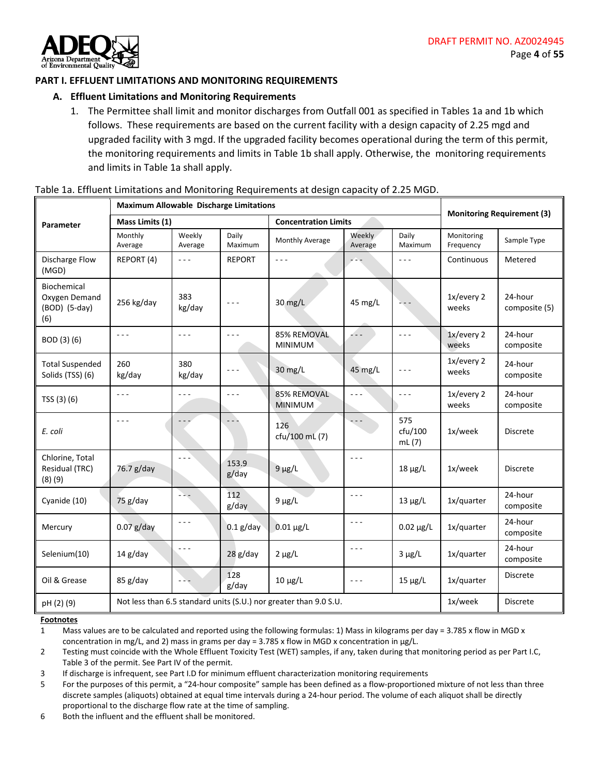

#### <span id="page-3-1"></span><span id="page-3-0"></span>**PART I. EFFLUENT LIMITATIONS AND MONITORING REQUIREMENTS**

#### **A. Effluent Limitations and Monitoring Requirements**

1. The Permittee shall limit and monitor discharges from Outfall 001 as specified in Tables 1a and 1b which follows. These requirements are based on the current facility with a design capacity of 2.25 mgd and upgraded facility with 3 mgd. If the upgraded facility becomes operational during the term of this permit, the monitoring requirements and limits in Table 1b shall apply. Otherwise, the monitoring requirements and limits in Table 1a shall apply.

|                                                             | <b>Maximum Allowable Discharge Limitations</b>                                                 |                      | <b>Monitoring Requirement (3)</b> |                                                                   |                                                                                                                                                                                                                                                                                                                                                                                              |                         |                         |                          |
|-------------------------------------------------------------|------------------------------------------------------------------------------------------------|----------------------|-----------------------------------|-------------------------------------------------------------------|----------------------------------------------------------------------------------------------------------------------------------------------------------------------------------------------------------------------------------------------------------------------------------------------------------------------------------------------------------------------------------------------|-------------------------|-------------------------|--------------------------|
| Parameter                                                   | Mass Limits (1)                                                                                |                      |                                   | <b>Concentration Limits</b>                                       |                                                                                                                                                                                                                                                                                                                                                                                              |                         |                         |                          |
|                                                             | Monthly<br>Average                                                                             | Weekly<br>Average    | Daily<br>Maximum                  | Monthly Average                                                   | Weekly<br>Average                                                                                                                                                                                                                                                                                                                                                                            | Daily<br>Maximum        | Monitoring<br>Frequency | Sample Type              |
| Discharge Flow<br>(MGD)                                     | REPORT (4)                                                                                     | $\sim$ $\sim$ $\sim$ | <b>REPORT</b>                     | $- - -$                                                           |                                                                                                                                                                                                                                                                                                                                                                                              | $- - -$                 | Continuous              | Metered                  |
| <b>Biochemical</b><br>Oxygen Demand<br>(BOD) (5-day)<br>(6) | 256 kg/day                                                                                     | 383<br>kg/day        | $\frac{1}{2}$                     | 30 mg/L                                                           | 45 mg/L                                                                                                                                                                                                                                                                                                                                                                                      | - - -                   | 1x/every 2<br>weeks     | 24-hour<br>composite (5) |
| BOD (3) (6)                                                 | $  -$                                                                                          | $- - -$              | $  -$                             | 85% REMOVAL<br><b>MINIMUM</b>                                     | $-1$                                                                                                                                                                                                                                                                                                                                                                                         | $  -$                   | 1x/every 2<br>weeks     | 24-hour<br>composite     |
| <b>Total Suspended</b><br>Solids (TSS) (6)                  | 260<br>kg/day                                                                                  | 380<br>kg/day        | $\sim$ $\sim$                     | 30 mg/L                                                           | 45 mg/L                                                                                                                                                                                                                                                                                                                                                                                      | $- - -$                 | 1x/every 2<br>weeks     | 24-hour<br>composite     |
| TSS (3) (6)                                                 | $- - -$                                                                                        | $\omega \sim \omega$ | $\omega = \omega$                 | 85% REMOVAL<br><b>MINIMUM</b>                                     | $- - -$                                                                                                                                                                                                                                                                                                                                                                                      | $- - -$                 | 1x/every 2<br>weeks     | 24-hour<br>composite     |
| E. coli                                                     | $\frac{1}{2} \left( \frac{1}{2} \right) \left( \frac{1}{2} \right) \left( \frac{1}{2} \right)$ |                      | ---                               | 126<br>cfu/100 mL (7)                                             | $- - -$                                                                                                                                                                                                                                                                                                                                                                                      | 575<br>cfu/100<br>mL(7) | 1x/week                 | Discrete                 |
| Chlorine, Total<br>Residual (TRC)<br>(8)(9)                 | 76.7 g/day                                                                                     | $- - -$              | 153.9<br>g/day                    | $9 \mu g/L$                                                       | $\frac{1}{2} \frac{1}{2} \frac{1}{2} \frac{1}{2} \frac{1}{2} \frac{1}{2} \frac{1}{2} \frac{1}{2} \frac{1}{2} \frac{1}{2} \frac{1}{2} \frac{1}{2} \frac{1}{2} \frac{1}{2} \frac{1}{2} \frac{1}{2} \frac{1}{2} \frac{1}{2} \frac{1}{2} \frac{1}{2} \frac{1}{2} \frac{1}{2} \frac{1}{2} \frac{1}{2} \frac{1}{2} \frac{1}{2} \frac{1}{2} \frac{1}{2} \frac{1}{2} \frac{1}{2} \frac{1}{2} \frac{$ | $18 \mu g/L$            | 1x/week                 | <b>Discrete</b>          |
| Cyanide (10)                                                | 75 g/day                                                                                       | 226                  | 112<br>g/day                      | $9 \mu g/L$                                                       | $\frac{1}{2} \frac{1}{2} \frac{1}{2} \frac{1}{2} \frac{1}{2} \frac{1}{2} \frac{1}{2} \frac{1}{2} \frac{1}{2} \frac{1}{2} \frac{1}{2} \frac{1}{2} \frac{1}{2} \frac{1}{2} \frac{1}{2} \frac{1}{2} \frac{1}{2} \frac{1}{2} \frac{1}{2} \frac{1}{2} \frac{1}{2} \frac{1}{2} \frac{1}{2} \frac{1}{2} \frac{1}{2} \frac{1}{2} \frac{1}{2} \frac{1}{2} \frac{1}{2} \frac{1}{2} \frac{1}{2} \frac{$ | $13 \mu g/L$            | 1x/quarter              | 24-hour<br>composite     |
| Mercury                                                     | $0.07$ g/day                                                                                   | - - -                | $0.1$ g/day                       | $0.01 \,\mu g/L$                                                  | $- - -$                                                                                                                                                                                                                                                                                                                                                                                      | $0.02 \ \mu g/L$        | 1x/quarter              | 24-hour<br>composite     |
| Selenium(10)                                                | 14 g/day                                                                                       | $\sim$ $\sim$        | 28 g/day                          | $2 \mu g/L$                                                       | - - -                                                                                                                                                                                                                                                                                                                                                                                        | $3 \mu g/L$             | 1x/quarter              | 24-hour<br>composite     |
| Oil & Grease                                                | 85 g/day                                                                                       |                      | 128<br>g/day                      | 10 μg/L                                                           | - - -                                                                                                                                                                                                                                                                                                                                                                                        | $15 \mu g/L$            | 1x/quarter              | <b>Discrete</b>          |
| pH (2) (9)                                                  |                                                                                                |                      |                                   | Not less than 6.5 standard units (S.U.) nor greater than 9.0 S.U. |                                                                                                                                                                                                                                                                                                                                                                                              |                         | 1x/week                 | <b>Discrete</b>          |

#### Table 1a. Effluent Limitations and Monitoring Requirements at design capacity of 2.25 MGD.

#### **Footnotes**

6 Both the influent and the effluent shall be monitored.

<sup>1</sup> Mass values are to be calculated and reported using the following formulas: 1) Mass in kilograms per day = 3.785 x flow in MGD x concentration in mg/L, and 2) mass in grams per day = 3.785 x flow in MGD x concentration in µg/L.

<sup>2</sup> Testing must coincide with the Whole Effluent Toxicity Test (WET) samples, if any, taken during that monitoring period as per Part I.C, Table 3 of the permit. See Part IV of the permit.

<sup>3</sup> If discharge is infrequent, see Part I.D for minimum effluent characterization monitoring requirements

<sup>5</sup> For the purposes of this permit, a "24-hour composite" sample has been defined as a flow-proportioned mixture of not less than three discrete samples (aliquots) obtained at equal time intervals during a 24-hour period. The volume of each aliquot shall be directly proportional to the discharge flow rate at the time of sampling.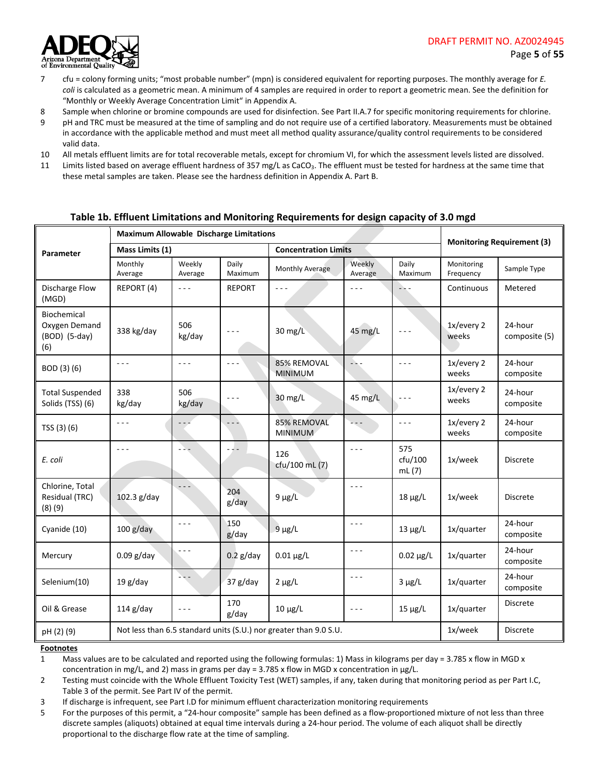

- 7 cfu = colony forming units; "most probable number" (mpn) is considered equivalent for reporting purposes. The monthly average for *E. coli* is calculated as a geometric mean. A minimum of 4 samples are required in order to report a geometric mean. See the definition for "Monthly or Weekly Average Concentration Limit" in Appendix A.
- 8 Sample when chlorine or bromine compounds are used for disinfection. See Part II.A.7 for specific monitoring requirements for chlorine.
- 9 pH and TRC must be measured at the time of sampling and do not require use of a certified laboratory. Measurements must be obtained in accordance with the applicable method and must meet all method quality assurance/quality control requirements to be considered valid data.
- 10 All metals effluent limits are for total recoverable metals, except for chromium VI, for which the assessment levels listed are dissolved.
- <span id="page-4-0"></span>11 Limits listed based on average effluent hardness of 357 mg/L as CaCO<sub>3</sub>. The effluent must be tested for hardness at the same time that these metal samples are taken. Please see the hardness definition in Appendix A. Part B.

# **Table 1b. Effluent Limitations and Monitoring Requirements for design capacity of 3.0 mgd**

|                                                             | <b>Maximum Allowable Discharge Limitations</b> |                                                               |                  |                                                                   |                                                                                                                                                                                                                                                                                                                                                                                              |                         |                         | <b>Monitoring Requirement (3)</b> |  |
|-------------------------------------------------------------|------------------------------------------------|---------------------------------------------------------------|------------------|-------------------------------------------------------------------|----------------------------------------------------------------------------------------------------------------------------------------------------------------------------------------------------------------------------------------------------------------------------------------------------------------------------------------------------------------------------------------------|-------------------------|-------------------------|-----------------------------------|--|
| Parameter                                                   | Mass Limits (1)                                |                                                               |                  | <b>Concentration Limits</b>                                       |                                                                                                                                                                                                                                                                                                                                                                                              |                         |                         |                                   |  |
|                                                             | Monthly<br>Average                             | Weekly<br>Average                                             | Daily<br>Maximum | <b>Monthly Average</b>                                            | Weekly<br>Average                                                                                                                                                                                                                                                                                                                                                                            | Daily<br>Maximum        | Monitoring<br>Frequency | Sample Type                       |  |
| Discharge Flow<br>(MGD)                                     | REPORT (4)                                     | $- - -$                                                       | <b>REPORT</b>    | $- - -$                                                           | $\sim$ $\sim$ $\sim$                                                                                                                                                                                                                                                                                                                                                                         | - - -                   | Continuous              | Metered                           |  |
| <b>Biochemical</b><br>Oxygen Demand<br>(BOD) (5-day)<br>(6) | 338 kg/day                                     | 506<br>kg/day                                                 |                  | 30 mg/L                                                           | 45 mg/L                                                                                                                                                                                                                                                                                                                                                                                      | - - -                   | 1x/every 2<br>weeks     | 24-hour<br>composite (5)          |  |
| BOD (3) (6)                                                 | $- - -$                                        | $- - -$                                                       | $ -$             | 85% REMOVAL<br><b>MINIMUM</b>                                     | $-\sim -$                                                                                                                                                                                                                                                                                                                                                                                    | $- - -$                 | 1x/every 2<br>weeks     | 24-hour<br>composite              |  |
| <b>Total Suspended</b><br>Solids (TSS) (6)                  | 338<br>kg/day                                  | 506<br>kg/day                                                 | $\sim$ $\sim$    | $30 \text{ mg/L}$                                                 | 45 mg/L                                                                                                                                                                                                                                                                                                                                                                                      | - - -                   | 1x/every 2<br>weeks     | 24-hour<br>composite              |  |
| TSS (3) (6)                                                 | $\sim$ $\sim$ $\sim$                           | $- - -$                                                       | - - -            | 85% REMOVAL<br><b>MINIMUM</b>                                     | $\sim$ $ -$                                                                                                                                                                                                                                                                                                                                                                                  | $- - -$                 | 1x/every 2<br>weeks     | 24-hour<br>composite              |  |
| E. coli                                                     | $- - -$                                        | -14                                                           | $ -$             | 126<br>cfu/100 mL (7)                                             | $- - -$                                                                                                                                                                                                                                                                                                                                                                                      | 575<br>cfu/100<br>mL(7) | 1x/week                 | Discrete                          |  |
| Chlorine, Total<br>Residual (TRC)<br>(8)(9)                 | 102.3 g/day                                    | $- - -$                                                       | 204<br>g/day     | $9 \mu g/L$                                                       | $  -$                                                                                                                                                                                                                                                                                                                                                                                        | $18 \mu g/L$            | 1x/week                 | <b>Discrete</b>                   |  |
| Cyanide (10)                                                | 100 g/day                                      | $- - -$                                                       | 150<br>g/day     | $9 \mu g/L$                                                       | $- - -$                                                                                                                                                                                                                                                                                                                                                                                      | $13 \mu g/L$            | 1x/quarter              | 24-hour<br>composite              |  |
| Mercury                                                     | $0.09$ g/day                                   | $- - -$                                                       | $0.2$ g/day      | $0.01 \,\mu g/L$                                                  | $- - -$                                                                                                                                                                                                                                                                                                                                                                                      | $0.02 \mu g/L$          | 1x/quarter              | 24-hour<br>composite              |  |
| Selenium(10)                                                | 19 g/day                                       | $\frac{1}{2} \frac{1}{2} \frac{1}{2} \frac{1}{2} \frac{1}{2}$ | 37 g/day         | $2 \mu g/L$                                                       | $  -$                                                                                                                                                                                                                                                                                                                                                                                        | $3 \mu g/L$             | 1x/quarter              | 24-hour<br>composite              |  |
| Oil & Grease                                                | $114$ g/day                                    | $- - -$                                                       | 170<br>g/day     | $10 \mu g/L$                                                      | $\frac{1}{2} \frac{1}{2} \frac{1}{2} \frac{1}{2} \frac{1}{2} \frac{1}{2} \frac{1}{2} \frac{1}{2} \frac{1}{2} \frac{1}{2} \frac{1}{2} \frac{1}{2} \frac{1}{2} \frac{1}{2} \frac{1}{2} \frac{1}{2} \frac{1}{2} \frac{1}{2} \frac{1}{2} \frac{1}{2} \frac{1}{2} \frac{1}{2} \frac{1}{2} \frac{1}{2} \frac{1}{2} \frac{1}{2} \frac{1}{2} \frac{1}{2} \frac{1}{2} \frac{1}{2} \frac{1}{2} \frac{$ | $15 \mu g/L$            | 1x/quarter              | <b>Discrete</b>                   |  |
| pH (2) (9)                                                  |                                                |                                                               |                  | Not less than 6.5 standard units (S.U.) nor greater than 9.0 S.U. |                                                                                                                                                                                                                                                                                                                                                                                              |                         | 1x/week                 | <b>Discrete</b>                   |  |

#### **Footnotes**

1 Mass values are to be calculated and reported using the following formulas: 1) Mass in kilograms per day = 3.785 x flow in MGD x concentration in mg/L, and 2) mass in grams per day = 3.785 x flow in MGD x concentration in  $\mu$ g/L.

- 2 Testing must coincide with the Whole Effluent Toxicity Test (WET) samples, if any, taken during that monitoring period as per Part I.C, Table 3 of the permit. See Part IV of the permit.
- 3 If discharge is infrequent, see Part I.D for minimum effluent characterization monitoring requirements
- 5 For the purposes of this permit, a "24-hour composite" sample has been defined as a flow-proportioned mixture of not less than three discrete samples (aliquots) obtained at equal time intervals during a 24-hour period. The volume of each aliquot shall be directly proportional to the discharge flow rate at the time of sampling.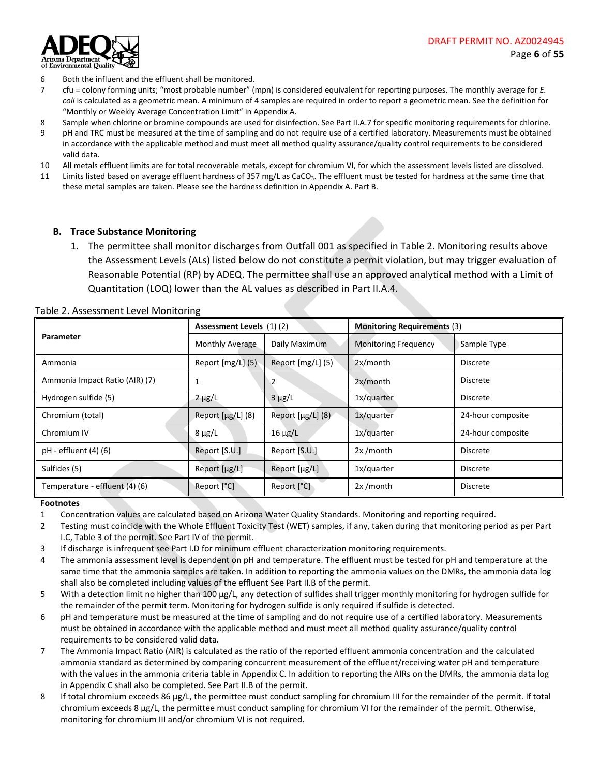

- 6 Both the influent and the effluent shall be monitored.
- 7 cfu = colony forming units; "most probable number" (mpn) is considered equivalent for reporting purposes. The monthly average for *E. coli* is calculated as a geometric mean. A minimum of 4 samples are required in order to report a geometric mean. See the definition for "Monthly or Weekly Average Concentration Limit" in Appendix A.
- 8 Sample when chlorine or bromine compounds are used for disinfection. See Part II.A.7 for specific monitoring requirements for chlorine.
- 9 pH and TRC must be measured at the time of sampling and do not require use of a certified laboratory. Measurements must be obtained in accordance with the applicable method and must meet all method quality assurance/quality control requirements to be considered valid data.
- 10 All metals effluent limits are for total recoverable metals, except for chromium VI, for which the assessment levels listed are dissolved.
- 11 Limits listed based on average effluent hardness of 357 mg/L as CaCO<sub>3</sub>. The effluent must be tested for hardness at the same time that these metal samples are taken. Please see the hardness definition in Appendix A. Part B.

#### **B. Trace Substance Monitoring**

1. The permittee shall monitor discharges from Outfall 001 as specified in Table 2. Monitoring results above the Assessment Levels (ALs) listed below do not constitute a permit violation, but may trigger evaluation of Reasonable Potential (RP) by ADEQ. The permittee shall use an approved analytical method with a Limit of Quantitation (LOQ) lower than the AL values as described in Part II.A.4.

|                                | Assessment Levels (1)(2) |                        | <b>Monitoring Requirements (3)</b> |                   |  |
|--------------------------------|--------------------------|------------------------|------------------------------------|-------------------|--|
| Parameter                      | Monthly Average          | Daily Maximum          | <b>Monitoring Frequency</b>        | Sample Type       |  |
| Ammonia                        | Report [mg/L] (5)        | Report [mg/L] (5)      | $2x/m$ onth                        | <b>Discrete</b>   |  |
| Ammonia Impact Ratio (AIR) (7) |                          | 2                      | 2x/month                           | <b>Discrete</b>   |  |
| Hydrogen sulfide (5)           | $2 \mu g/L$              | $3 \mu g/L$            | 1x/quarter                         | <b>Discrete</b>   |  |
| Chromium (total)               | Report $[\mu g/L]$ (8)   | Report $[\mu g/L]$ (8) | 1x/quarter                         | 24-hour composite |  |
| Chromium IV                    | $8 \mu g/L$              | $16 \mu g/L$           | 1x/quarter                         | 24-hour composite |  |
| pH - effluent (4) (6)          | Report [S.U.]            | Report [S.U.]          | $2x$ /month                        | <b>Discrete</b>   |  |
| Sulfides (5)                   | Report [µg/L]            | Report $[\mu g/L]$     | 1x/quarter                         | <b>Discrete</b>   |  |
| Temperature - effluent (4) (6) | Report [°C]              | Report [°C]            | $2x$ /month                        | <b>Discrete</b>   |  |

#### Table 2. Assessment Level Monitoring

#### **Footnotes**

- 1 Concentration values are calculated based on Arizona Water Quality Standards. Monitoring and reporting required.
- 2 Testing must coincide with the Whole Effluent Toxicity Test (WET) samples, if any, taken during that monitoring period as per Part I.C, Table 3 of the permit. See Part IV of the permit.
- 3 If discharge is infrequent see Part I.D for minimum effluent characterization monitoring requirements.
- 4 The ammonia assessment level is dependent on pH and temperature. The effluent must be tested for pH and temperature at the same time that the ammonia samples are taken. In addition to reporting the ammonia values on the DMRs, the ammonia data log shall also be completed including values of the effluent See Part II.B of the permit.
- 5 With a detection limit no higher than 100 µg/L, any detection of sulfides shall trigger monthly monitoring for hydrogen sulfide for the remainder of the permit term. Monitoring for hydrogen sulfide is only required if sulfide is detected.
- 6 pH and temperature must be measured at the time of sampling and do not require use of a certified laboratory. Measurements must be obtained in accordance with the applicable method and must meet all method quality assurance/quality control requirements to be considered valid data.
- 7 The Ammonia Impact Ratio (AIR) is calculated as the ratio of the reported effluent ammonia concentration and the calculated ammonia standard as determined by comparing concurrent measurement of the effluent/receiving water pH and temperature with the values in the ammonia criteria table in Appendix C. In addition to reporting the AIRs on the DMRs, the ammonia data log in Appendix C shall also be completed. See Part II.B of the permit.
- 8 If total chromium exceeds 86 µg/L, the permittee must conduct sampling for chromium III for the remainder of the permit. If total chromium exceeds 8 µg/L, the permittee must conduct sampling for chromium VI for the remainder of the permit. Otherwise, monitoring for chromium III and/or chromium VI is not required.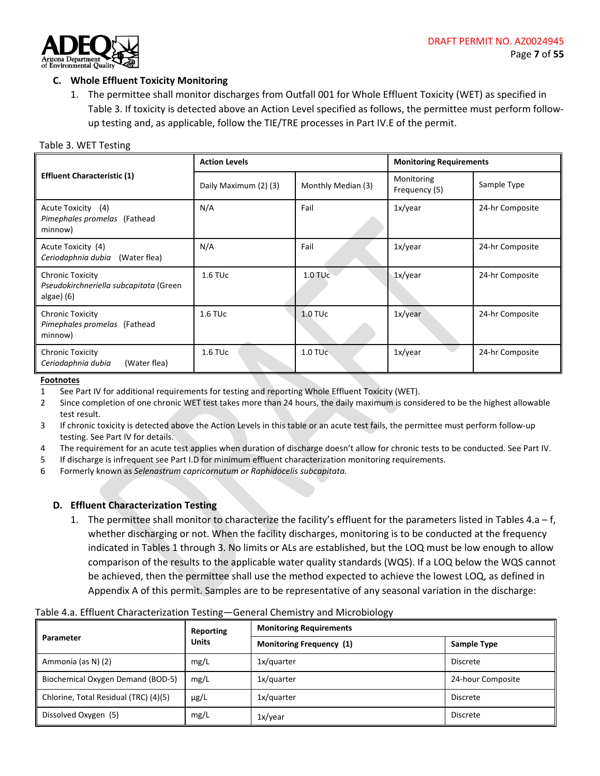

#### <span id="page-6-0"></span>**C. Whole Effluent Toxicity Monitoring**

1. The permittee shall monitor discharges from Outfall 001 for Whole Effluent Toxicity (WET) as specified in Table 3. If toxicity is detected above an Action Level specified as follows, the permittee must perform followup testing and, as applicable, follow the TIE/TRE processes in Part IV.E of the permit.

#### Table 3. WET Testing

|                                                                                  | <b>Action Levels</b>  |                    | <b>Monitoring Requirements</b> |                 |  |
|----------------------------------------------------------------------------------|-----------------------|--------------------|--------------------------------|-----------------|--|
| <b>Effluent Characteristic (1)</b>                                               | Daily Maximum (2) (3) | Monthly Median (3) | Monitoring<br>Frequency (5)    | Sample Type     |  |
| Acute Toxicity (4)<br>Pimephales promelas (Fathead<br>minnow)                    | N/A<br>Fail           |                    | 1x/year                        | 24-hr Composite |  |
| Acute Toxicity (4)<br>Ceriodaphnia dubia<br>(Water flea)                         | N/A                   | Fail               | 1x/year                        | 24-hr Composite |  |
| <b>Chronic Toxicity</b><br>Pseudokirchneriella subcapitata (Green<br>algae $(6)$ | $1.6$ TUc             | $1.0$ TU $c$       | 1x/year                        | 24-hr Composite |  |
| <b>Chronic Toxicity</b><br>Pimephales promelas (Fathead<br>minnow)               | $1.6$ TU $c$          | $1.0$ TU $c$       | 1x/year                        | 24-hr Composite |  |
| <b>Chronic Toxicity</b><br>Ceriodaphnia dubia<br>(Water flea)                    | $1.6$ TU $c$          | $1.0$ TU $c$       | 1x/year                        | 24-hr Composite |  |

#### **Footnotes**

- 1 See Part IV for additional requirements for testing and reporting Whole Effluent Toxicity (WET).
- 2 Since completion of one chronic WET test takes more than 24 hours, the daily maximum is considered to be the highest allowable test result.
- 3 If chronic toxicity is detected above the Action Levels in this table or an acute test fails, the permittee must perform follow-up testing. See Part IV for details.
- 4 The requirement for an acute test applies when duration of discharge doesn't allow for chronic tests to be conducted. See Part IV.
- 5 If discharge is infrequent see Part I.D for minimum effluent characterization monitoring requirements.
- 6 Formerly known as *Selenastrum capricornutum or Raphidocelis subcapitata.*

#### <span id="page-6-1"></span>**D. Effluent Characterization Testing**

1. The permittee shall monitor to characterize the facility's effluent for the parameters listed in Tables  $4.a - f$ , whether discharging or not. When the facility discharges, monitoring is to be conducted at the frequency indicated in Tables 1 through 3. No limits or ALs are established, but the LOQ must be low enough to allow comparison of the results to the applicable water quality standards (WQS). If a LOQ below the WQS cannot be achieved, then the permittee shall use the method expected to achieve the lowest LOQ, as defined in Appendix A of this permit. Samples are to be representative of any seasonal variation in the discharge:

|                                       | Reporting    | <b>Monitoring Requirements</b> |                   |  |
|---------------------------------------|--------------|--------------------------------|-------------------|--|
| Parameter                             | <b>Units</b> | Monitoring Frequency (1)       | Sample Type       |  |
| Ammonia (as N) (2)                    | mg/L         | 1x/quarter                     | <b>Discrete</b>   |  |
| Biochemical Oxygen Demand (BOD-5)     | mg/L         | 1x/quarter                     | 24-hour Composite |  |
| Chlorine, Total Residual (TRC) (4)(5) | $\mu$ g/L    | 1x/quarter                     | <b>Discrete</b>   |  |
| Dissolved Oxygen (5)                  | mg/L         | 1x/year                        | <b>Discrete</b>   |  |

Table 4.a. Effluent Characterization Testing—General Chemistry and Microbiology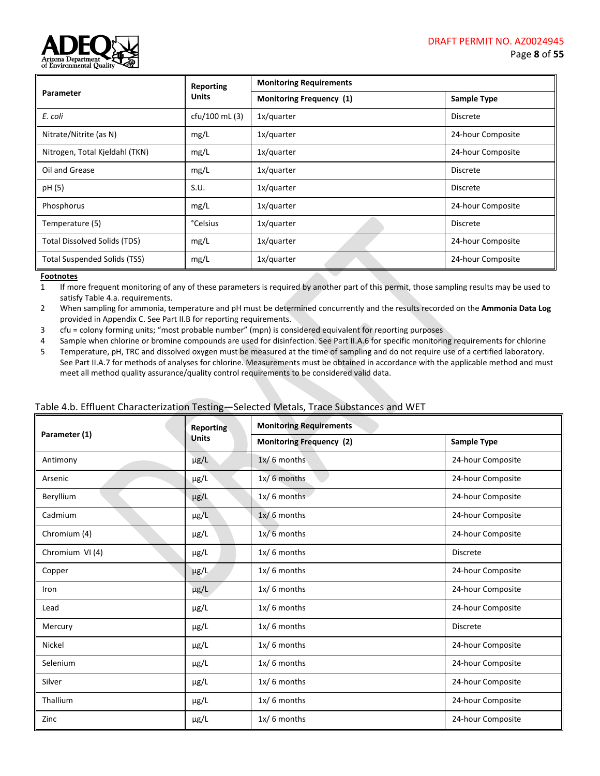

|                                     | Reporting                                       | <b>Monitoring Requirements</b> |                   |  |
|-------------------------------------|-------------------------------------------------|--------------------------------|-------------------|--|
| Parameter                           | <b>Units</b><br><b>Monitoring Frequency (1)</b> |                                | Sample Type       |  |
| E. coli                             | cfu/100 mL (3)                                  | 1x/quarter                     | <b>Discrete</b>   |  |
| Nitrate/Nitrite (as N)              | mg/L                                            | 1x/quarter                     | 24-hour Composite |  |
| Nitrogen, Total Kjeldahl (TKN)      | mg/L                                            | 1x/quarter                     | 24-hour Composite |  |
| Oil and Grease                      | mg/L                                            | 1x/quarter                     | <b>Discrete</b>   |  |
| pH (5)                              | S.U.                                            | 1x/quarter                     | <b>Discrete</b>   |  |
| Phosphorus                          | mg/L                                            | 1x/quarter                     | 24-hour Composite |  |
| Temperature (5)                     | <i><b>Celsius</b></i>                           | 1x/quarter                     | <b>Discrete</b>   |  |
| <b>Total Dissolved Solids (TDS)</b> | mg/L                                            | 1x/quarter                     | 24-hour Composite |  |
| <b>Total Suspended Solids (TSS)</b> | mg/L                                            | 1x/quarter                     | 24-hour Composite |  |

#### **Footnotes**

1 If more frequent monitoring of any of these parameters is required by another part of this permit, those sampling results may be used to satisfy Table 4.a. requirements.

2 When sampling for ammonia, temperature and pH must be determined concurrently and the results recorded on the **Ammonia Data Log** provided in Appendix C. See Part II.B for reporting requirements.

3 cfu = colony forming units; "most probable number" (mpn) is considered equivalent for reporting purposes

4 Sample when chlorine or bromine compounds are used for disinfection. See Part II.A.6 for specific monitoring requirements for chlorine

5 Temperature, pH, TRC and dissolved oxygen must be measured at the time of sampling and do not require use of a certified laboratory. See Part II.A.7 for methods of analyses for chlorine. Measurements must be obtained in accordance with the applicable method and must meet all method quality assurance/quality control requirements to be considered valid data.

| Parameter (1)   | <b>Reporting</b> | <b>Monitoring Requirements</b>  |                    |  |
|-----------------|------------------|---------------------------------|--------------------|--|
|                 | <b>Units</b>     | <b>Monitoring Frequency (2)</b> | <b>Sample Type</b> |  |
| Antimony        | µg/L             | 1x/6 months                     | 24-hour Composite  |  |
| Arsenic         | $\mu$ g/L        | 1x/6 months                     | 24-hour Composite  |  |
| Beryllium       | $\mu$ g/L        | 1x/6 months                     | 24-hour Composite  |  |
| Cadmium         | µg/L             | $1x/6$ months                   | 24-hour Composite  |  |
| Chromium (4)    | µg/L             | 1x/6 months                     | 24-hour Composite  |  |
| Chromium VI (4) | µg/L             | 1x/6 months                     | <b>Discrete</b>    |  |
| Copper          | $\mu$ g/L        | 1x/6 months                     | 24-hour Composite  |  |
| Iron            | μg/L             | 1x/6 months                     | 24-hour Composite  |  |
| Lead            | $\mu$ g/L        | $1x/6$ months                   | 24-hour Composite  |  |
| Mercury         | µg/L             | 1x/6 months                     | <b>Discrete</b>    |  |
| Nickel          | µg/L             | 1x/6 months                     | 24-hour Composite  |  |
| Selenium        | µg/L             | 1x/6 months                     | 24-hour Composite  |  |
| Silver          | µg/L             | 1x/6 months                     | 24-hour Composite  |  |
| Thallium        | $\mu$ g/L        | 1x/6 months                     | 24-hour Composite  |  |
| Zinc            | µg/L             | $1x/6$ months                   | 24-hour Composite  |  |

# Table 4.b. Effluent Characterization Testing—Selected Metals, Trace Substances and WET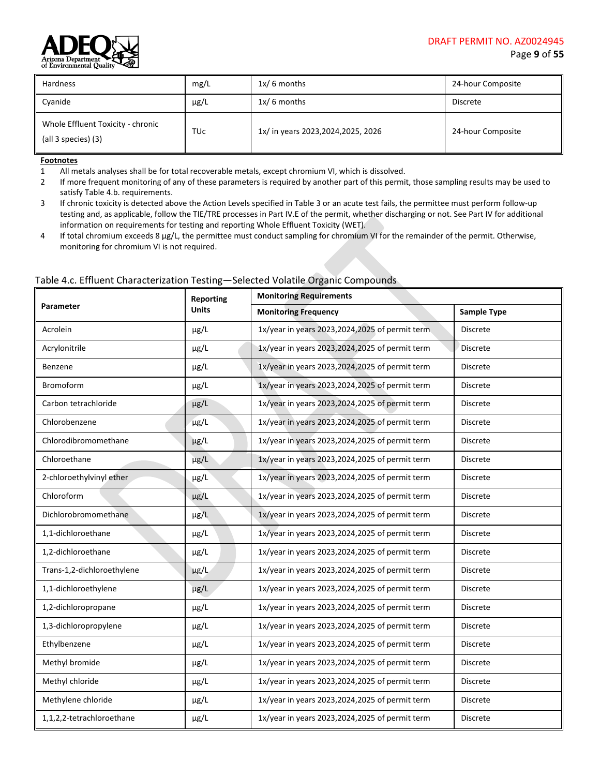

| <b>Hardness</b>                                          | mg/L      | $1x/6$ months                     | 24-hour Composite |
|----------------------------------------------------------|-----------|-----------------------------------|-------------------|
| Cyanide                                                  | $\mu$ g/L | $1x/6$ months                     | Discrete          |
| Whole Effluent Toxicity - chronic<br>(all 3 species) (3) | TUc       | 1x/ in years 2023,2024,2025, 2026 | 24-hour Composite |

#### **Footnotes**

1 All metals analyses shall be for total recoverable metals, except chromium VI, which is dissolved.

- 2 If more frequent monitoring of any of these parameters is required by another part of this permit, those sampling results may be used to satisfy Table 4.b. requirements.
- 3 If chronic toxicity is detected above the Action Levels specified in Table 3 or an acute test fails, the permittee must perform follow-up testing and, as applicable, follow the TIE/TRE processes in Part IV.E of the permit, whether discharging or not. See Part IV for additional information on requirements for testing and reporting Whole Effluent Toxicity (WET).
- 4 If total chromium exceeds 8 µg/L, the permittee must conduct sampling for chromium VI for the remainder of the permit. Otherwise, monitoring for chromium VI is not required.

|                            | <b>Reporting</b> | <b>Monitoring Requirements</b>                 |                 |
|----------------------------|------------------|------------------------------------------------|-----------------|
| Parameter                  | <b>Units</b>     | <b>Monitoring Frequency</b>                    | Sample Type     |
| Acrolein                   | µg/L             | 1x/year in years 2023,2024,2025 of permit term | <b>Discrete</b> |
| Acrylonitrile              | µg/L             | 1x/year in years 2023,2024,2025 of permit term | <b>Discrete</b> |
| Benzene                    | µg/L             | 1x/year in years 2023,2024,2025 of permit term | <b>Discrete</b> |
| <b>Bromoform</b>           | µg/L             | 1x/year in years 2023,2024,2025 of permit term | Discrete        |
| Carbon tetrachloride       | µg/L             | 1x/year in years 2023,2024,2025 of permit term | <b>Discrete</b> |
| Chlorobenzene              | µg/L             | 1x/year in years 2023,2024,2025 of permit term | <b>Discrete</b> |
| Chlorodibromomethane       | µg/L             | 1x/year in years 2023,2024,2025 of permit term | Discrete        |
| Chloroethane               | µg/L             | 1x/year in years 2023,2024,2025 of permit term | <b>Discrete</b> |
| 2-chloroethylvinyl ether   | µg/L             | 1x/year in years 2023,2024,2025 of permit term | Discrete        |
| Chloroform                 | $\mu$ g/L        | 1x/year in years 2023,2024,2025 of permit term | <b>Discrete</b> |
| Dichlorobromomethane       | µg/L             | 1x/year in years 2023,2024,2025 of permit term | <b>Discrete</b> |
| 1,1-dichloroethane         | µg/L             | 1x/year in years 2023,2024,2025 of permit term | <b>Discrete</b> |
| 1,2-dichloroethane         | µg/L             | 1x/year in years 2023,2024,2025 of permit term | <b>Discrete</b> |
| Trans-1,2-dichloroethylene | µg/L             | 1x/year in years 2023,2024,2025 of permit term | <b>Discrete</b> |
| 1,1-dichloroethylene       | µg/L             | 1x/year in years 2023,2024,2025 of permit term | <b>Discrete</b> |
| 1,2-dichloropropane        | µg/L             | 1x/year in years 2023,2024,2025 of permit term | <b>Discrete</b> |
| 1,3-dichloropropylene      | µg/L             | 1x/year in years 2023,2024,2025 of permit term | <b>Discrete</b> |
| Ethylbenzene               | µg/L             | 1x/year in years 2023,2024,2025 of permit term | <b>Discrete</b> |
| Methyl bromide             | µg/L             | 1x/year in years 2023,2024,2025 of permit term | <b>Discrete</b> |
| Methyl chloride            | µg/L             | 1x/year in years 2023,2024,2025 of permit term | Discrete        |
| Methylene chloride         | µg/L             | 1x/year in years 2023,2024,2025 of permit term | <b>Discrete</b> |
| 1,1,2,2-tetrachloroethane  | µg/L             | 1x/year in years 2023,2024,2025 of permit term | Discrete        |

#### Table 4.c. Effluent Characterization Testing—Selected Volatile Organic Compounds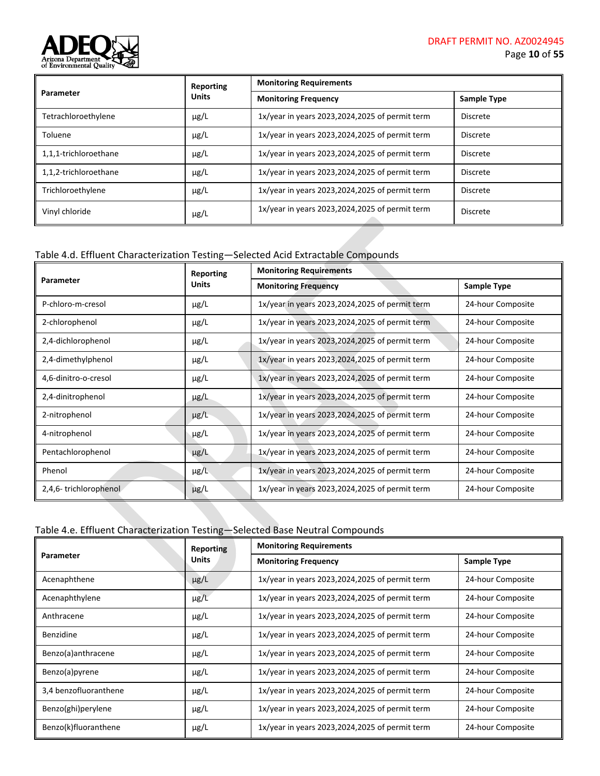

|                       | Reporting    | <b>Monitoring Requirements</b>                   |                 |
|-----------------------|--------------|--------------------------------------------------|-----------------|
| Parameter             | <b>Units</b> | <b>Monitoring Frequency</b>                      | Sample Type     |
| Tetrachloroethylene   | $\mu$ g/L    | $1x/year$ in years 2023,2024,2025 of permit term | Discrete        |
| Toluene               | $\mu$ g/L    | 1x/year in years 2023,2024,2025 of permit term   | Discrete        |
| 1,1,1-trichloroethane | $\mu$ g/L    | $1x/year$ in years 2023,2024,2025 of permit term | Discrete        |
| 1,1,2-trichloroethane | $\mu$ g/L    | 1x/year in years 2023,2024,2025 of permit term   | Discrete        |
| Trichloroethylene     | $\mu$ g/L    | $1x/year$ in years 2023,2024,2025 of permit term | Discrete        |
| Vinyl chloride        | $\mu$ g/L    | 1x/year in years 2023,2024,2025 of permit term   | <b>Discrete</b> |

Table 4.d. Effluent Characterization Testing—Selected Acid Extractable Compounds

|                       | Reporting    | <b>Monitoring Requirements</b>                     |                   |
|-----------------------|--------------|----------------------------------------------------|-------------------|
| Parameter             | <b>Units</b> | <b>Monitoring Frequency</b>                        | Sample Type       |
| P-chloro-m-cresol     | $\mu$ g/L    | $1x/year$ in years 2023,2024,2025 of permit term   | 24-hour Composite |
| 2-chlorophenol        | µg/L         | 1x/year in years 2023,2024,2025 of permit term     | 24-hour Composite |
| 2,4-dichlorophenol    | µg/L         | $1x/year$ in years 2023, 2024, 2025 of permit term | 24-hour Composite |
| 2,4-dimethylphenol    | µg/L         | 1x/year in years 2023,2024,2025 of permit term     | 24-hour Composite |
| 4,6-dinitro-o-cresol  | µg/L         | 1x/year in years 2023,2024,2025 of permit term     | 24-hour Composite |
| 2,4-dinitrophenol     | $\mu$ g/L    | 1x/year in years 2023,2024,2025 of permit term     | 24-hour Composite |
| 2-nitrophenol         | $\mu$ g/L    | $1x/year$ in years 2023,2024,2025 of permit term   | 24-hour Composite |
| 4-nitrophenol         | $\mu$ g/L    | $1x/year$ in years 2023,2024,2025 of permit term   | 24-hour Composite |
| Pentachlorophenol     | $\mu$ g/L    | $1x/year$ in years 2023,2024,2025 of permit term   | 24-hour Composite |
| Phenol                | $\mu$ g/L    | 1x/year in years 2023,2024,2025 of permit term     | 24-hour Composite |
| 2,4,6-trichlorophenol | $\mu$ g/L    | $1x/year$ in years 2023,2024,2025 of permit term   | 24-hour Composite |

# Table 4.e. Effluent Characterization Testing—Selected Base Neutral Compounds

|                       | <b>Reporting</b> | <b>Monitoring Requirements</b>                   |                   |
|-----------------------|------------------|--------------------------------------------------|-------------------|
| Parameter             | <b>Units</b>     | <b>Monitoring Frequency</b>                      | Sample Type       |
| Acenaphthene          | $\mu$ g/L        | $1x/year$ in years 2023,2024,2025 of permit term | 24-hour Composite |
| Acenaphthylene        | $\mu$ g/L        | 1x/year in years 2023,2024,2025 of permit term   | 24-hour Composite |
| Anthracene            | $\mu$ g/L        | $1x/year$ in years 2023,2024,2025 of permit term | 24-hour Composite |
| Benzidine             | $\mu$ g/L        | $1x/year$ in years 2023,2024,2025 of permit term | 24-hour Composite |
| Benzo(a)anthracene    | $\mu$ g/L        | $1x/year$ in years 2023,2024,2025 of permit term | 24-hour Composite |
| Benzo(a)pyrene        | $\mu$ g/L        | $1x/year$ in years 2023,2024,2025 of permit term | 24-hour Composite |
| 3,4 benzofluoranthene | $\mu$ g/L        | $1x/year$ in years 2023,2024,2025 of permit term | 24-hour Composite |
| Benzo(ghi)perylene    | $\mu$ g/L        | $1x/year$ in years 2023,2024,2025 of permit term | 24-hour Composite |
| Benzo(k)fluoranthene  | $\mu$ g/L        | $1x/year$ in years 2023,2024,2025 of permit term | 24-hour Composite |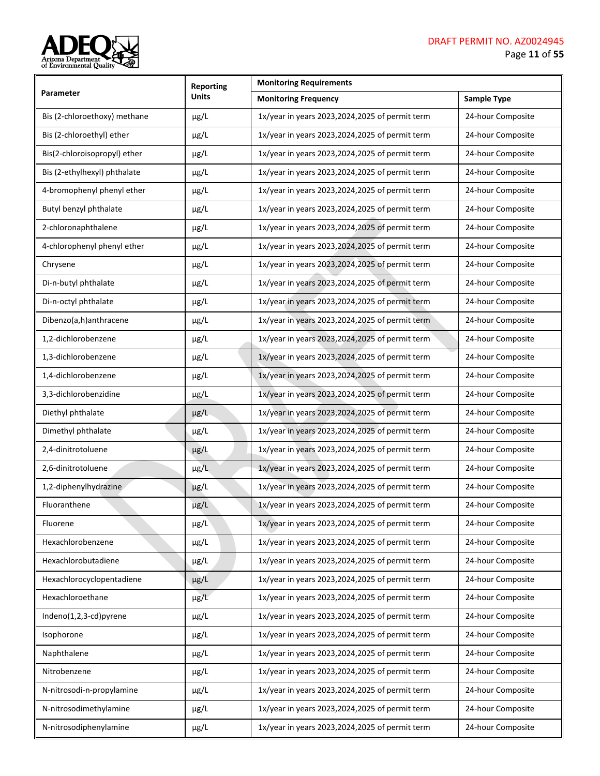$\overline{\phantom{0}}$ 



|                              | <b>Reporting</b> | <b>Monitoring Requirements</b>                 |                    |
|------------------------------|------------------|------------------------------------------------|--------------------|
| Parameter                    | <b>Units</b>     | <b>Monitoring Frequency</b>                    | <b>Sample Type</b> |
| Bis (2-chloroethoxy) methane | µg/L             | 1x/year in years 2023,2024,2025 of permit term | 24-hour Composite  |
| Bis (2-chloroethyl) ether    | µg/L             | 1x/year in years 2023,2024,2025 of permit term | 24-hour Composite  |
| Bis(2-chloroisopropyl) ether | µg/L             | 1x/year in years 2023,2024,2025 of permit term | 24-hour Composite  |
| Bis (2-ethylhexyl) phthalate | µg/L             | 1x/year in years 2023,2024,2025 of permit term | 24-hour Composite  |
| 4-bromophenyl phenyl ether   | µg/L             | 1x/year in years 2023,2024,2025 of permit term | 24-hour Composite  |
| Butyl benzyl phthalate       | µg/L             | 1x/year in years 2023,2024,2025 of permit term | 24-hour Composite  |
| 2-chloronaphthalene          | µg/L             | 1x/year in years 2023,2024,2025 of permit term | 24-hour Composite  |
| 4-chlorophenyl phenyl ether  | µg/L             | 1x/year in years 2023,2024,2025 of permit term | 24-hour Composite  |
| Chrysene                     | µg/L             | 1x/year in years 2023,2024,2025 of permit term | 24-hour Composite  |
| Di-n-butyl phthalate         | µg/L             | 1x/year in years 2023,2024,2025 of permit term | 24-hour Composite  |
| Di-n-octyl phthalate         | µg/L             | 1x/year in years 2023,2024,2025 of permit term | 24-hour Composite  |
| Dibenzo(a,h)anthracene       | µg/L             | 1x/year in years 2023,2024,2025 of permit term | 24-hour Composite  |
| 1,2-dichlorobenzene          | µg/L             | 1x/year in years 2023,2024,2025 of permit term | 24-hour Composite  |
| 1,3-dichlorobenzene          | µg/L             | 1x/year in years 2023,2024,2025 of permit term | 24-hour Composite  |
| 1,4-dichlorobenzene          | µg/L             | 1x/year in years 2023,2024,2025 of permit term | 24-hour Composite  |
| 3,3-dichlorobenzidine        | µg/L             | 1x/year in years 2023,2024,2025 of permit term | 24-hour Composite  |
| Diethyl phthalate            | $\mu$ g/L        | 1x/year in years 2023,2024,2025 of permit term | 24-hour Composite  |
| Dimethyl phthalate           | µg/L             | 1x/year in years 2023,2024,2025 of permit term | 24-hour Composite  |
| 2,4-dinitrotoluene           | $\mu$ g/L        | 1x/year in years 2023,2024,2025 of permit term | 24-hour Composite  |
| 2,6-dinitrotoluene           | $\mu$ g/L        | 1x/year in years 2023,2024,2025 of permit term | 24-hour Composite  |
| 1,2-diphenylhydrazine        | $\mu$ g/L        | 1x/year in years 2023,2024,2025 of permit term | 24-hour Composite  |
| Fluoranthene                 | μg/L             | 1x/year in years 2023,2024,2025 of permit term | 24-hour Composite  |
| Fluorene                     | $\mu$ g/L        | 1x/year in years 2023,2024,2025 of permit term | 24-hour Composite  |
| Hexachlorobenzene            | µg/L             | 1x/year in years 2023,2024,2025 of permit term | 24-hour Composite  |
| Hexachlorobutadiene          | µg/L             | 1x/year in years 2023,2024,2025 of permit term | 24-hour Composite  |
| Hexachlorocyclopentadiene    | $\mu$ g/L        | 1x/year in years 2023,2024,2025 of permit term | 24-hour Composite  |
| Hexachloroethane             | µg/L             | 1x/year in years 2023,2024,2025 of permit term | 24-hour Composite  |
| Indeno(1,2,3-cd)pyrene       | µg/L             | 1x/year in years 2023,2024,2025 of permit term | 24-hour Composite  |
| Isophorone                   | µg/L             | 1x/year in years 2023,2024,2025 of permit term | 24-hour Composite  |
| Naphthalene                  | µg/L             | 1x/year in years 2023,2024,2025 of permit term | 24-hour Composite  |
| Nitrobenzene                 | µg/L             | 1x/year in years 2023,2024,2025 of permit term | 24-hour Composite  |
| N-nitrosodi-n-propylamine    | µg/L             | 1x/year in years 2023,2024,2025 of permit term | 24-hour Composite  |
| N-nitrosodimethylamine       | µg/L             | 1x/year in years 2023,2024,2025 of permit term | 24-hour Composite  |
| N-nitrosodiphenylamine       | µg/L             | 1x/year in years 2023,2024,2025 of permit term | 24-hour Composite  |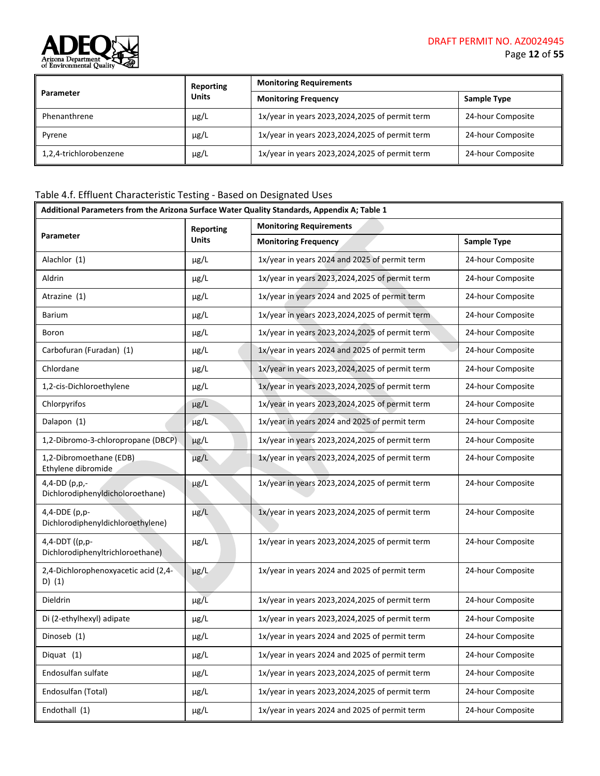

|                        | Reporting<br><b>Units</b> | <b>Monitoring Requirements</b>                   |                   |
|------------------------|---------------------------|--------------------------------------------------|-------------------|
| Parameter              |                           | <b>Monitoring Frequency</b>                      | Sample Type       |
| Phenanthrene           | $\mu$ g/L                 | $1x/year$ in years 2023,2024,2025 of permit term | 24-hour Composite |
| Pyrene                 | $\mu$ g/L                 | $1x/year$ in years 2023,2024,2025 of permit term | 24-hour Composite |
| 1,2,4-trichlorobenzene | $\mu$ g/L                 | 1x/year in years 2023,2024,2025 of permit term   | 24-hour Composite |

# Table 4.f. Effluent Characteristic Testing - Based on Designated Uses

| Additional Parameters from the Arizona Surface Water Quality Standards, Appendix A; Table 1 |                  |                                                |                   |  |
|---------------------------------------------------------------------------------------------|------------------|------------------------------------------------|-------------------|--|
|                                                                                             | <b>Reporting</b> | <b>Monitoring Requirements</b>                 |                   |  |
| Parameter                                                                                   | <b>Units</b>     | <b>Monitoring Frequency</b>                    | Sample Type       |  |
| Alachlor (1)                                                                                | $\mu$ g/L        | 1x/year in years 2024 and 2025 of permit term  | 24-hour Composite |  |
| Aldrin                                                                                      | µg/L             | 1x/year in years 2023,2024,2025 of permit term | 24-hour Composite |  |
| Atrazine (1)                                                                                | $\mu$ g/L        | 1x/year in years 2024 and 2025 of permit term  | 24-hour Composite |  |
| <b>Barium</b>                                                                               | µg/L             | 1x/year in years 2023,2024,2025 of permit term | 24-hour Composite |  |
| Boron                                                                                       | µg/L             | 1x/year in years 2023,2024,2025 of permit term | 24-hour Composite |  |
| Carbofuran (Furadan) (1)                                                                    | µg/L             | 1x/year in years 2024 and 2025 of permit term  | 24-hour Composite |  |
| Chlordane                                                                                   | µg/L             | 1x/year in years 2023,2024,2025 of permit term | 24-hour Composite |  |
| 1,2-cis-Dichloroethylene                                                                    | µg/L             | 1x/year in years 2023,2024,2025 of permit term | 24-hour Composite |  |
| Chlorpyrifos                                                                                | $\mu$ g/L        | 1x/year in years 2023,2024,2025 of permit term | 24-hour Composite |  |
| Dalapon (1)                                                                                 | $\mu$ g/L        | 1x/year in years 2024 and 2025 of permit term  | 24-hour Composite |  |
| 1,2-Dibromo-3-chloropropane (DBCP)                                                          | µg/L             | 1x/year in years 2023,2024,2025 of permit term | 24-hour Composite |  |
| 1,2-Dibromoethane (EDB)<br>Ethylene dibromide                                               | µg/L             | 1x/year in years 2023,2024,2025 of permit term | 24-hour Composite |  |
| 4,4-DD (p,p,-<br>Dichlorodiphenyldicholoroethane)                                           | µg/L             | 1x/year in years 2023,2024,2025 of permit term | 24-hour Composite |  |
| 4,4-DDE (p,p-<br>Dichlorodiphenyldichloroethylene)                                          | µg/L             | 1x/year in years 2023,2024,2025 of permit term | 24-hour Composite |  |
| 4,4-DDT ((p,p-<br>Dichlorodiphenyltrichloroethane)                                          | $\mu$ g/L        | 1x/year in years 2023,2024,2025 of permit term | 24-hour Composite |  |
| 2,4-Dichlorophenoxyacetic acid (2,4-<br>D) $(1)$                                            | $\mu$ g/L        | 1x/year in years 2024 and 2025 of permit term  | 24-hour Composite |  |
| Dieldrin                                                                                    | $\mu$ g/L        | 1x/year in years 2023,2024,2025 of permit term | 24-hour Composite |  |
| Di (2-ethylhexyl) adipate                                                                   | µg/L             | 1x/year in years 2023,2024,2025 of permit term | 24-hour Composite |  |
| Dinoseb (1)                                                                                 | $\mu$ g/L        | 1x/year in years 2024 and 2025 of permit term  | 24-hour Composite |  |
| Diquat (1)                                                                                  | µg/L             | 1x/year in years 2024 and 2025 of permit term  | 24-hour Composite |  |
| Endosulfan sulfate                                                                          | µg/L             | 1x/year in years 2023,2024,2025 of permit term | 24-hour Composite |  |
| Endosulfan (Total)                                                                          | µg/L             | 1x/year in years 2023,2024,2025 of permit term | 24-hour Composite |  |
| Endothall (1)                                                                               | µg/L             | 1x/year in years 2024 and 2025 of permit term  | 24-hour Composite |  |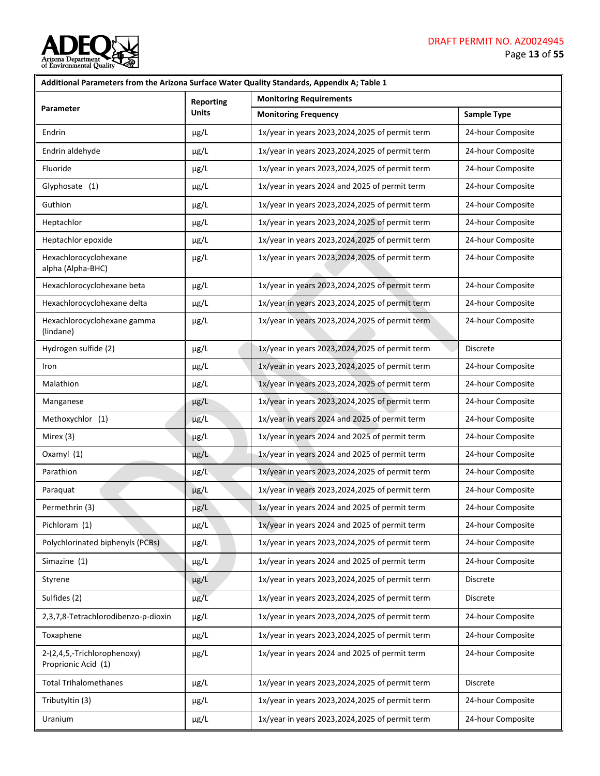

|                                                    | Reporting    | <b>Monitoring Requirements</b>                   |                   |  |
|----------------------------------------------------|--------------|--------------------------------------------------|-------------------|--|
| Parameter                                          | <b>Units</b> | <b>Monitoring Frequency</b>                      | Sample Type       |  |
| Endrin                                             | µg/L         | 1x/year in years 2023,2024,2025 of permit term   | 24-hour Composite |  |
| Endrin aldehyde                                    | µg/L         | 1x/year in years 2023,2024,2025 of permit term   | 24-hour Composite |  |
| Fluoride                                           | µg/L         | 1x/year in years 2023,2024,2025 of permit term   | 24-hour Composite |  |
| Glyphosate (1)                                     | µg/L         | 1x/year in years 2024 and 2025 of permit term    | 24-hour Composite |  |
| Guthion                                            | µg/L         | 1x/year in years 2023,2024,2025 of permit term   | 24-hour Composite |  |
| Heptachlor                                         | µg/L         | 1x/year in years 2023,2024,2025 of permit term   | 24-hour Composite |  |
| Heptachlor epoxide                                 | µg/L         | 1x/year in years 2023,2024,2025 of permit term   | 24-hour Composite |  |
| Hexachlorocyclohexane<br>alpha (Alpha-BHC)         | µg/L         | 1x/year in years 2023,2024,2025 of permit term   | 24-hour Composite |  |
| Hexachlorocyclohexane beta                         | µg/L         | 1x/year in years 2023,2024,2025 of permit term   | 24-hour Composite |  |
| Hexachlorocyclohexane delta                        | µg/L         | 1x/year in years 2023,2024,2025 of permit term   | 24-hour Composite |  |
| Hexachlorocyclohexane gamma<br>(lindane)           | µg/L         | 1x/year in years 2023,2024,2025 of permit term   | 24-hour Composite |  |
| Hydrogen sulfide (2)                               | µg/L         | 1x/year in years 2023,2024,2025 of permit term   | <b>Discrete</b>   |  |
| <b>Iron</b>                                        | $\mu$ g/L    | 1x/year in years 2023,2024,2025 of permit term   | 24-hour Composite |  |
| Malathion                                          | $\mu$ g/L    | 1x/year in years 2023,2024,2025 of permit term   | 24-hour Composite |  |
| Manganese                                          | $\mu$ g/L    | 1x/year in years 2023,2024,2025 of permit term   | 24-hour Composite |  |
| Methoxychlor (1)                                   | µg/L         | 1x/year in years 2024 and 2025 of permit term    | 24-hour Composite |  |
| Mirex (3)                                          | µg/L         | 1x/year in years 2024 and 2025 of permit term    | 24-hour Composite |  |
| Oxamyl (1)                                         | $\mu$ g/L    | 1x/year in years 2024 and 2025 of permit term    | 24-hour Composite |  |
| Parathion                                          | $\mu$ g/L    | 1x/year in years 2023,2024,2025 of permit term   | 24-hour Composite |  |
| Paraquat                                           | $\mu$ g/L    | 1x/year in years 2023,2024,2025 of permit term   | 24-hour Composite |  |
| Permethrin (3)                                     | µg/L         | 1x/year in years 2024 and 2025 of permit term    | 24-hour Composite |  |
| Pichloram (1)                                      | $\mu$ g/L    | 1x/year in years 2024 and 2025 of permit term    | 24-hour Composite |  |
| Polychlorinated biphenyls (PCBs)                   | µg/L         | 1x/year in years 2023,2024,2025 of permit term   | 24-hour Composite |  |
| Simazine (1)                                       | µg/L         | 1x/year in years 2024 and 2025 of permit term    | 24-hour Composite |  |
| Styrene                                            | $\mu$ g/L    | 1x/year in years 2023,2024,2025 of permit term   | Discrete          |  |
| Sulfides (2)                                       | µg/L         | 1x/year in years 2023,2024,2025 of permit term   | Discrete          |  |
| 2,3,7,8-Tetrachlorodibenzo-p-dioxin                | µg/L         | $1x/year$ in years 2023,2024,2025 of permit term | 24-hour Composite |  |
| Toxaphene                                          | µg/L         | 1x/year in years 2023,2024,2025 of permit term   | 24-hour Composite |  |
| 2-(2,4,5,-Trichlorophenoxy)<br>Proprionic Acid (1) | µg/L         | 1x/year in years 2024 and 2025 of permit term    | 24-hour Composite |  |
| <b>Total Trihalomethanes</b>                       | µg/L         | 1x/year in years 2023,2024,2025 of permit term   | <b>Discrete</b>   |  |
| Tributyltin (3)                                    | µg/L         | 1x/year in years 2023,2024,2025 of permit term   | 24-hour Composite |  |
| Uranium                                            | µg/L         | 1x/year in years 2023,2024,2025 of permit term   | 24-hour Composite |  |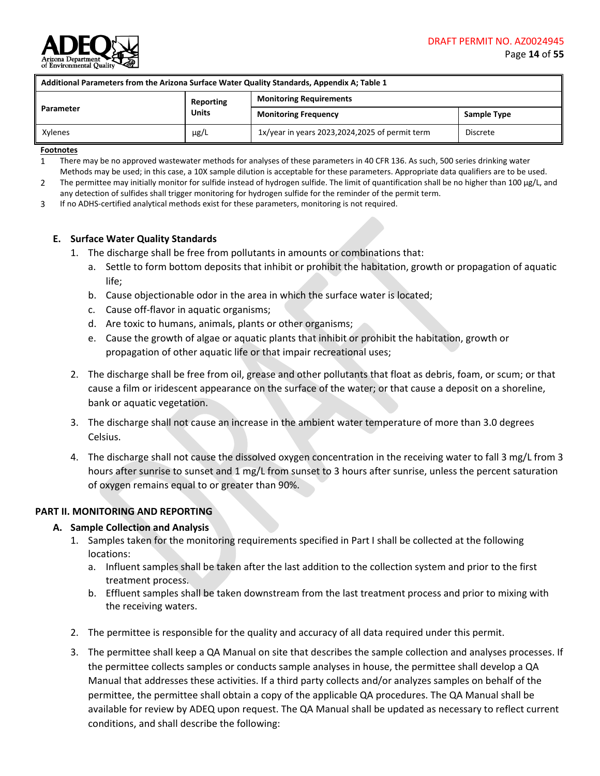

| Additional Parameters from the Arizona Surface Water Quality Standards, Appendix A; Table 1 |              |                                                   |                 |  |
|---------------------------------------------------------------------------------------------|--------------|---------------------------------------------------|-----------------|--|
|                                                                                             | Reporting    | <b>Monitoring Requirements</b>                    |                 |  |
| Parameter                                                                                   | <b>Units</b> | <b>Monitoring Frequency</b>                       | Sample Type     |  |
| Xylenes                                                                                     | $\mu$ g/L    | $1x/$ year in years 2023,2024,2025 of permit term | <b>Discrete</b> |  |

#### **Footnotes**

1 There may be no approved wastewater methods for analyses of these parameters in 40 CFR 136. As such, 500 series drinking water

Methods may be used; in this case, a 10X sample dilution is acceptable for these parameters. Appropriate data qualifiers are to be used. 2 The permittee may initially monitor for sulfide instead of hydrogen sulfide. The limit of quantification shall be no higher than 100 µg/L, and

any detection of sulfides shall trigger monitoring for hydrogen sulfide for the reminder of the permit term.

3 If no ADHS-certified analytical methods exist for these parameters, monitoring is not required.

#### <span id="page-13-0"></span>**E. Surface Water Quality Standards**

- 1. The discharge shall be free from pollutants in amounts or combinations that:
	- a. Settle to form bottom deposits that inhibit or prohibit the habitation, growth or propagation of aquatic life;
	- b. Cause objectionable odor in the area in which the surface water is located;
	- c. Cause off-flavor in aquatic organisms;
	- d. Are toxic to humans, animals, plants or other organisms;
	- e. Cause the growth of algae or aquatic plants that inhibit or prohibit the habitation, growth or propagation of other aquatic life or that impair recreational uses;
- 2. The discharge shall be free from oil, grease and other pollutants that float as debris, foam, or scum; or that cause a film or iridescent appearance on the surface of the water; or that cause a deposit on a shoreline, bank or aquatic vegetation.
- 3. The discharge shall not cause an increase in the ambient water temperature of more than 3.0 degrees Celsius.
- 4. The discharge shall not cause the dissolved oxygen concentration in the receiving water to fall 3 mg/L from 3 hours after sunrise to sunset and 1 mg/L from sunset to 3 hours after sunrise, unless the percent saturation of oxygen remains equal to or greater than 90%.

#### <span id="page-13-2"></span><span id="page-13-1"></span>**PART II. MONITORING AND REPORTING**

#### **A. Sample Collection and Analysis**

- 1. Samples taken for the monitoring requirements specified in Part I shall be collected at the following locations:
	- a. Influent samples shall be taken after the last addition to the collection system and prior to the first treatment process.
	- b. Effluent samples shall be taken downstream from the last treatment process and prior to mixing with the receiving waters.
- 2. The permittee is responsible for the quality and accuracy of all data required under this permit.
- 3. The permittee shall keep a QA Manual on site that describes the sample collection and analyses processes. If the permittee collects samples or conducts sample analyses in house, the permittee shall develop a QA Manual that addresses these activities. If a third party collects and/or analyzes samples on behalf of the permittee, the permittee shall obtain a copy of the applicable QA procedures. The QA Manual shall be available for review by ADEQ upon request. The QA Manual shall be updated as necessary to reflect current conditions, and shall describe the following: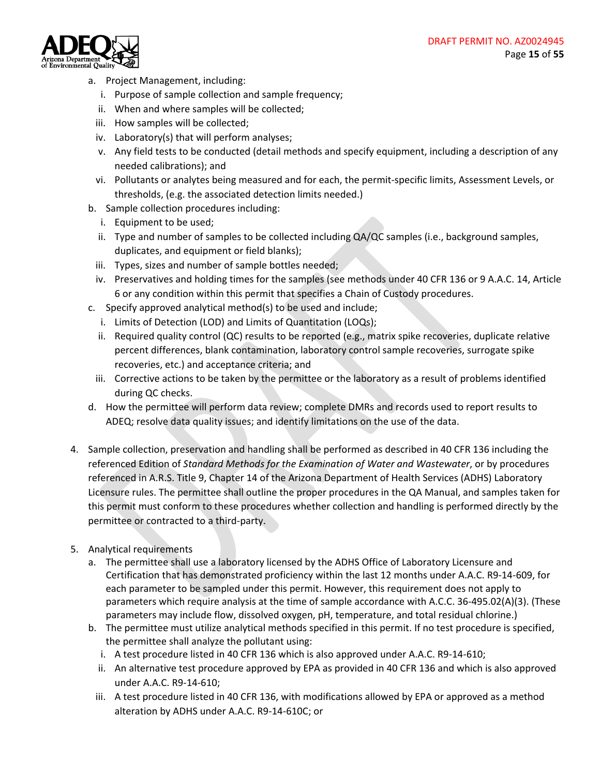

- a. Project Management, including:
	- i. Purpose of sample collection and sample frequency;
	- ii. When and where samples will be collected;
	- iii. How samples will be collected;
	- iv. Laboratory(s) that will perform analyses;
	- v. Any field tests to be conducted (detail methods and specify equipment, including a description of any needed calibrations); and
	- vi. Pollutants or analytes being measured and for each, the permit-specific limits, Assessment Levels, or thresholds, (e.g. the associated detection limits needed.)
- b. Sample collection procedures including:
	- i. Equipment to be used;
	- ii. Type and number of samples to be collected including QA/QC samples (i.e., background samples, duplicates, and equipment or field blanks);
	- iii. Types, sizes and number of sample bottles needed;
	- iv. Preservatives and holding times for the samples (see methods under 40 CFR 136 or 9 A.A.C. 14, Article 6 or any condition within this permit that specifies a Chain of Custody procedures.
- c. Specify approved analytical method(s) to be used and include;
	- i. Limits of Detection (LOD) and Limits of Quantitation (LOQs);
	- ii. Required quality control (QC) results to be reported (e.g., matrix spike recoveries, duplicate relative percent differences, blank contamination, laboratory control sample recoveries, surrogate spike recoveries, etc.) and acceptance criteria; and
	- iii. Corrective actions to be taken by the permittee or the laboratory as a result of problems identified during QC checks.
- d. How the permittee will perform data review; complete DMRs and records used to report results to ADEQ; resolve data quality issues; and identify limitations on the use of the data.
- 4. Sample collection, preservation and handling shall be performed as described in 40 CFR 136 including the referenced Edition of *Standard Methods for the Examination of Water and Wastewater*, or by procedures referenced in A.R.S. Title 9, Chapter 14 of the Arizona Department of Health Services (ADHS) Laboratory Licensure rules. The permittee shall outline the proper procedures in the QA Manual, and samples taken for this permit must conform to these procedures whether collection and handling is performed directly by the permittee or contracted to a third-party.
- 5. Analytical requirements
	- a. The permittee shall use a laboratory licensed by the ADHS Office of Laboratory Licensure and Certification that has demonstrated proficiency within the last 12 months under A.A.C. R9-14-609, for each parameter to be sampled under this permit. However, this requirement does not apply to parameters which require analysis at the time of sample accordance with A.C.C. 36-495.02(A)(3). (These parameters may include flow, dissolved oxygen, pH, temperature, and total residual chlorine.)
	- b. The permittee must utilize analytical methods specified in this permit. If no test procedure is specified, the permittee shall analyze the pollutant using:
		- i. A test procedure listed in 40 CFR 136 which is also approved under A.A.C. R9-14-610;
		- ii. An alternative test procedure approved by EPA as provided in 40 CFR 136 and which is also approved under A.A.C. R9-14-610;
		- iii. A test procedure listed in 40 CFR 136, with modifications allowed by EPA or approved as a method alteration by ADHS under A.A.C. R9-14-610C; or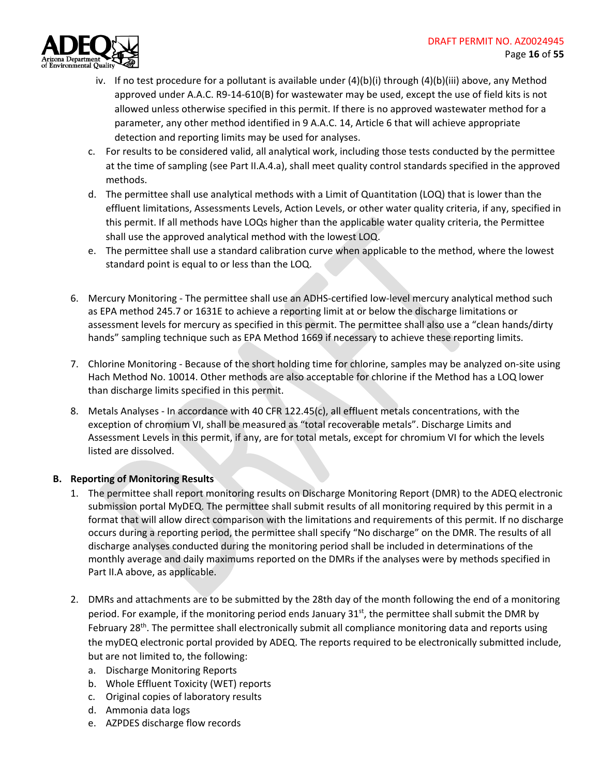

- iv. If no test procedure for a pollutant is available under (4)(b)(i) through (4)(b)(iii) above, any Method approved under A.A.C. R9-14-610(B) for wastewater may be used, except the use of field kits is not allowed unless otherwise specified in this permit. If there is no approved wastewater method for a parameter, any other method identified in 9 A.A.C. 14, Article 6 that will achieve appropriate detection and reporting limits may be used for analyses.
- c. For results to be considered valid, all analytical work, including those tests conducted by the permittee at the time of sampling (see Part II.A.4.a), shall meet quality control standards specified in the approved methods.
- d. The permittee shall use analytical methods with a Limit of Quantitation (LOQ) that is lower than the effluent limitations, Assessments Levels, Action Levels, or other water quality criteria, if any, specified in this permit. If all methods have LOQs higher than the applicable water quality criteria, the Permittee shall use the approved analytical method with the lowest LOQ.
- e. The permittee shall use a standard calibration curve when applicable to the method, where the lowest standard point is equal to or less than the LOQ.
- 6. Mercury Monitoring The permittee shall use an ADHS-certified low-level mercury analytical method such as EPA method 245.7 or 1631E to achieve a reporting limit at or below the discharge limitations or assessment levels for mercury as specified in this permit. The permittee shall also use a "clean hands/dirty hands" sampling technique such as EPA Method 1669 if necessary to achieve these reporting limits.
- 7. Chlorine Monitoring Because of the short holding time for chlorine, samples may be analyzed on-site using Hach Method No. 10014. Other methods are also acceptable for chlorine if the Method has a LOQ lower than discharge limits specified in this permit.
- 8. Metals Analyses In accordance with 40 CFR 122.45(c), all effluent metals concentrations, with the exception of chromium VI, shall be measured as "total recoverable metals". Discharge Limits and Assessment Levels in this permit, if any, are for total metals, except for chromium VI for which the levels listed are dissolved.

# <span id="page-15-0"></span>**B. Reporting of Monitoring Results**

- 1. The permittee shall report monitoring results on Discharge Monitoring Report (DMR) to the ADEQ electronic submission portal MyDEQ. The permittee shall submit results of all monitoring required by this permit in a format that will allow direct comparison with the limitations and requirements of this permit. If no discharge occurs during a reporting period, the permittee shall specify "No discharge" on the DMR. The results of all discharge analyses conducted during the monitoring period shall be included in determinations of the monthly average and daily maximums reported on the DMRs if the analyses were by methods specified in Part II.A above, as applicable.
- 2. DMRs and attachments are to be submitted by the 28th day of the month following the end of a monitoring period. For example, if the monitoring period ends January  $31<sup>st</sup>$ , the permittee shall submit the DMR by February 28<sup>th</sup>. The permittee shall electronically submit all compliance monitoring data and reports using the myDEQ electronic portal provided by ADEQ. The reports required to be electronically submitted include, but are not limited to, the following:
	- a. Discharge Monitoring Reports
	- b. Whole Effluent Toxicity (WET) reports
	- c. Original copies of laboratory results
	- d. Ammonia data logs
	- e. AZPDES discharge flow records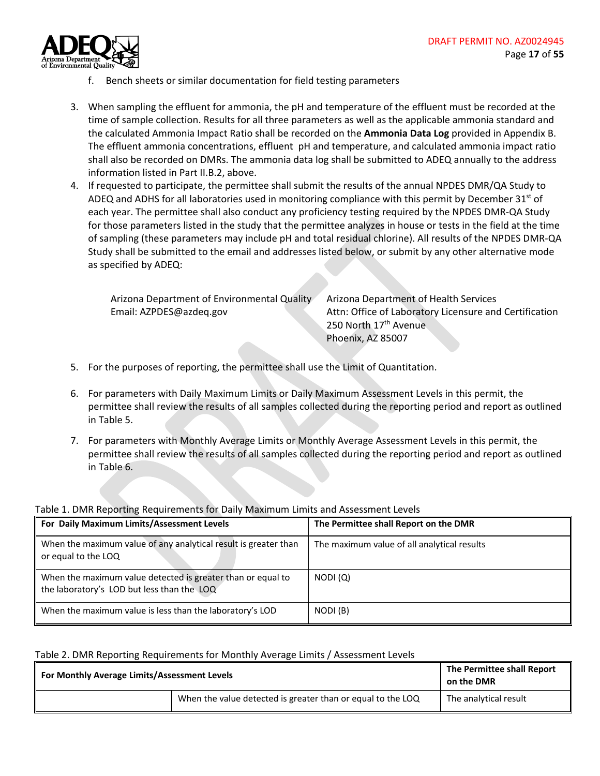

- f. Bench sheets or similar documentation for field testing parameters
- 3. When sampling the effluent for ammonia, the pH and temperature of the effluent must be recorded at the time of sample collection. Results for all three parameters as well as the applicable ammonia standard and the calculated Ammonia Impact Ratio shall be recorded on the **Ammonia Data Log** provided in Appendix B. The effluent ammonia concentrations, effluent pH and temperature, and calculated ammonia impact ratio shall also be recorded on DMRs. The ammonia data log shall be submitted to ADEQ annually to the address information listed in Part II.B.2, above.
- 4. If requested to participate, the permittee shall submit the results of the annual NPDES DMR/QA Study to ADEQ and ADHS for all laboratories used in monitoring compliance with this permit by December 31<sup>st</sup> of each year. The permittee shall also conduct any proficiency testing required by the NPDES DMR-QA Study for those parameters listed in the study that the permittee analyzes in house or tests in the field at the time of sampling (these parameters may include pH and total residual chlorine). All results of the NPDES DMR-QA Study shall be submitted to the email and addresses listed below, or submit by any other alternative mode as specified by ADEQ:

| Arizona Department of Environmental Quality | Arizona Department of Health Services                  |
|---------------------------------------------|--------------------------------------------------------|
| Email: AZPDES@azdeq.gov                     | Attn: Office of Laboratory Licensure and Certification |
|                                             | 250 North 17 <sup>th</sup> Avenue                      |
|                                             | Phoenix, AZ 85007                                      |

- 5. For the purposes of reporting, the permittee shall use the Limit of Quantitation.
- 6. For parameters with Daily Maximum Limits or Daily Maximum Assessment Levels in this permit, the permittee shall review the results of all samples collected during the reporting period and report as outlined in Table 5.
- 7. For parameters with Monthly Average Limits or Monthly Average Assessment Levels in this permit, the permittee shall review the results of all samples collected during the reporting period and report as outlined in Table 6.

| For Daily Maximum Limits/Assessment Levels                                                                | The Permittee shall Report on the DMR       |
|-----------------------------------------------------------------------------------------------------------|---------------------------------------------|
| When the maximum value of any analytical result is greater than<br>or equal to the LOQ                    | The maximum value of all analytical results |
| When the maximum value detected is greater than or equal to<br>the laboratory's LOD but less than the LOQ | NODI (Q)                                    |
| When the maximum value is less than the laboratory's LOD                                                  | NODI (B)                                    |

#### Table 1. DMR Reporting Requirements for Daily Maximum Limits and Assessment Levels

#### Table 2. DMR Reporting Requirements for Monthly Average Limits / Assessment Levels

| For Monthly Average Limits/Assessment Levels |                                                             | The Permittee shall Report<br>on the DMR |
|----------------------------------------------|-------------------------------------------------------------|------------------------------------------|
|                                              | When the value detected is greater than or equal to the LOQ | The analytical result                    |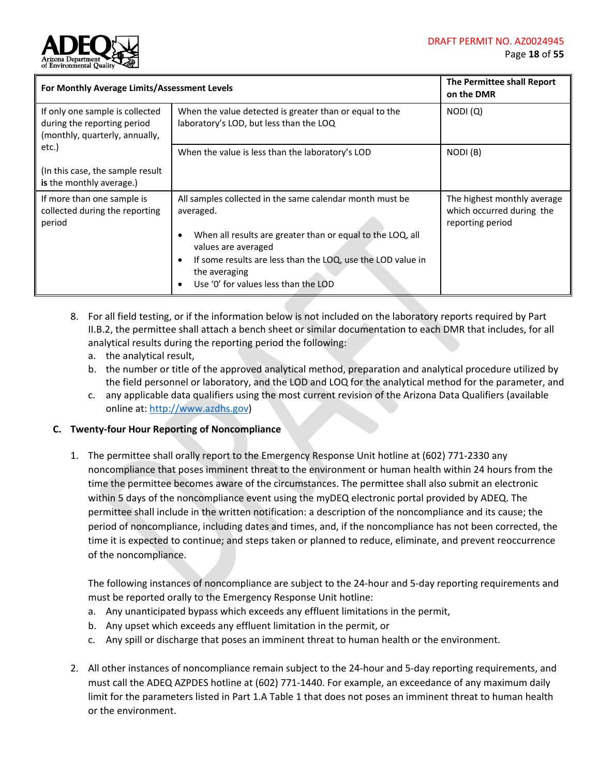

| For Monthly Average Limits/Assessment Levels                                                              |                                                                                                                                                                                                                                                                                    | The Permittee shall Report<br>on the DMR                                     |
|-----------------------------------------------------------------------------------------------------------|------------------------------------------------------------------------------------------------------------------------------------------------------------------------------------------------------------------------------------------------------------------------------------|------------------------------------------------------------------------------|
| If only one sample is collected<br>during the reporting period<br>(monthly, quarterly, annually,<br>etc.) | When the value detected is greater than or equal to the<br>laboratory's LOD, but less than the LOQ                                                                                                                                                                                 | NODI(Q)                                                                      |
|                                                                                                           | When the value is less than the laboratory's LOD                                                                                                                                                                                                                                   | NODI(B)                                                                      |
| (In this case, the sample result)<br>is the monthly average.)                                             |                                                                                                                                                                                                                                                                                    |                                                                              |
| If more than one sample is<br>collected during the reporting<br>period                                    | All samples collected in the same calendar month must be<br>averaged.<br>When all results are greater than or equal to the LOQ, all<br>values are averaged<br>If some results are less than the LOQ, use the LOD value in<br>the averaging<br>Use '0' for values less than the LOD | The highest monthly average<br>which occurred during the<br>reporting period |

- 8. For all field testing, or if the information below is not included on the laboratory reports required by Part II.B.2, the permittee shall attach a bench sheet or similar documentation to each DMR that includes, for all analytical results during the reporting period the following:
	- a. the analytical result,
	- b. the number or title of the approved analytical method, preparation and analytical procedure utilized by the field personnel or laboratory, and the LOD and LOQ for the analytical method for the parameter, and
	- c. any applicable data qualifiers using the most current revision of the Arizona Data Qualifiers (available online at: http://www.azdhs.gov)

# <span id="page-17-0"></span>**C. Twenty-four Hour Reporting of Noncompliance**

1. The permittee shall orally report to the Emergency Response Unit hotline at (602) 771-2330 any noncompliance that poses imminent threat to the environment or human health within 24 hours from the time the permittee becomes aware of the circumstances. The permittee shall also submit an electronic within 5 days of the noncompliance event using the myDEQ electronic portal provided by ADEQ. The permittee shall include in the written notification: a description of the noncompliance and its cause; the period of noncompliance, including dates and times, and, if the noncompliance has not been corrected, the time it is expected to continue; and steps taken or planned to reduce, eliminate, and prevent reoccurrence of the noncompliance.

The following instances of noncompliance are subject to the 24-hour and 5-day reporting requirements and must be reported orally to the Emergency Response Unit hotline:

- a. Any unanticipated bypass which exceeds any effluent limitations in the permit,
- b. Any upset which exceeds any effluent limitation in the permit, or
- c. Any spill or discharge that poses an imminent threat to human health or the environment.
- 2. All other instances of noncompliance remain subject to the 24-hour and 5-day reporting requirements, and must call the ADEQ AZPDES hotline at (602) 771-1440. For example, an exceedance of any maximum daily limit for the parameters listed in Part 1.A Table 1 that does not poses an imminent threat to human health or the environment.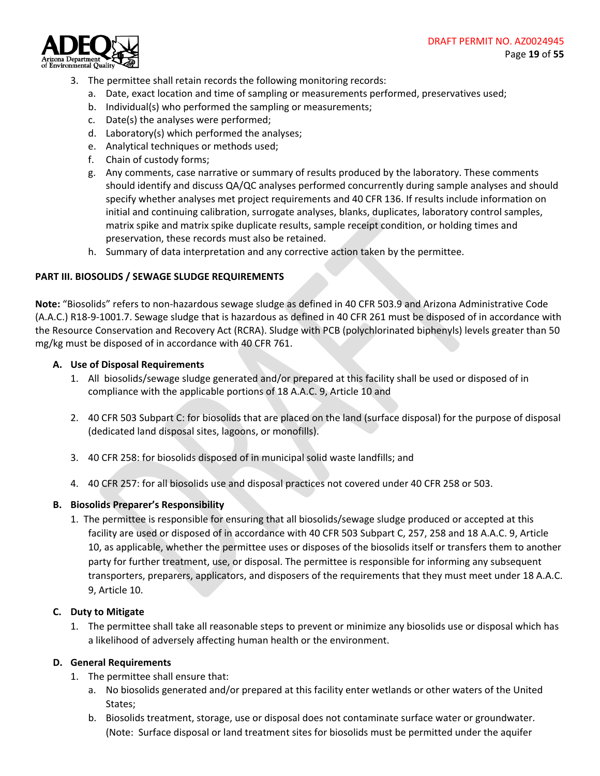

- 3. The permittee shall retain records the following monitoring records:
	- a. Date, exact location and time of sampling or measurements performed, preservatives used;
	- b. Individual(s) who performed the sampling or measurements;
	- c. Date(s) the analyses were performed;
	- d. Laboratory(s) which performed the analyses;
	- e. Analytical techniques or methods used;
	- f. Chain of custody forms;
	- g. Any comments, case narrative or summary of results produced by the laboratory. These comments should identify and discuss QA/QC analyses performed concurrently during sample analyses and should specify whether analyses met project requirements and 40 CFR 136. If results include information on initial and continuing calibration, surrogate analyses, blanks, duplicates, laboratory control samples, matrix spike and matrix spike duplicate results, sample receipt condition, or holding times and preservation, these records must also be retained.
	- h. Summary of data interpretation and any corrective action taken by the permittee.

#### <span id="page-18-0"></span>**PART III. BIOSOLIDS / SEWAGE SLUDGE REQUIREMENTS**

**Note:** "Biosolids" refers to non-hazardous sewage sludge as defined in 40 CFR 503.9 and Arizona Administrative Code (A.A.C.) R18-9-1001.7. Sewage sludge that is hazardous as defined in 40 CFR 261 must be disposed of in accordance with the Resource Conservation and Recovery Act (RCRA). Sludge with PCB (polychlorinated biphenyls) levels greater than 50 mg/kg must be disposed of in accordance with 40 CFR 761.

#### <span id="page-18-1"></span>**A. Use of Disposal Requirements**

- 1. All biosolids/sewage sludge generated and/or prepared at this facility shall be used or disposed of in compliance with the applicable portions of 18 A.A.C. 9, Article 10 and
- 2. 40 CFR 503 Subpart C: for biosolids that are placed on the land (surface disposal) for the purpose of disposal (dedicated land disposal sites, lagoons, or monofills).
- 3. 40 CFR 258: for biosolids disposed of in municipal solid waste landfills; and
- 4. 40 CFR 257: for all biosolids use and disposal practices not covered under 40 CFR 258 or 503.

#### <span id="page-18-2"></span>**B. Biosolids Preparer's Responsibility**

1. The permittee is responsible for ensuring that all biosolids/sewage sludge produced or accepted at this facility are used or disposed of in accordance with 40 CFR 503 Subpart C, 257, 258 and 18 A.A.C. 9, Article 10, as applicable, whether the permittee uses or disposes of the biosolids itself or transfers them to another party for further treatment, use, or disposal. The permittee is responsible for informing any subsequent transporters, preparers, applicators, and disposers of the requirements that they must meet under 18 A.A.C. 9, Article 10.

#### <span id="page-18-3"></span>**C. Duty to Mitigate**

1. The permittee shall take all reasonable steps to prevent or minimize any biosolids use or disposal which has a likelihood of adversely affecting human health or the environment.

#### <span id="page-18-4"></span>**D. General Requirements**

- 1. The permittee shall ensure that:
	- a. No biosolids generated and/or prepared at this facility enter wetlands or other waters of the United States;
	- b. Biosolids treatment, storage, use or disposal does not contaminate surface water or groundwater. (Note: Surface disposal or land treatment sites for biosolids must be permitted under the aquifer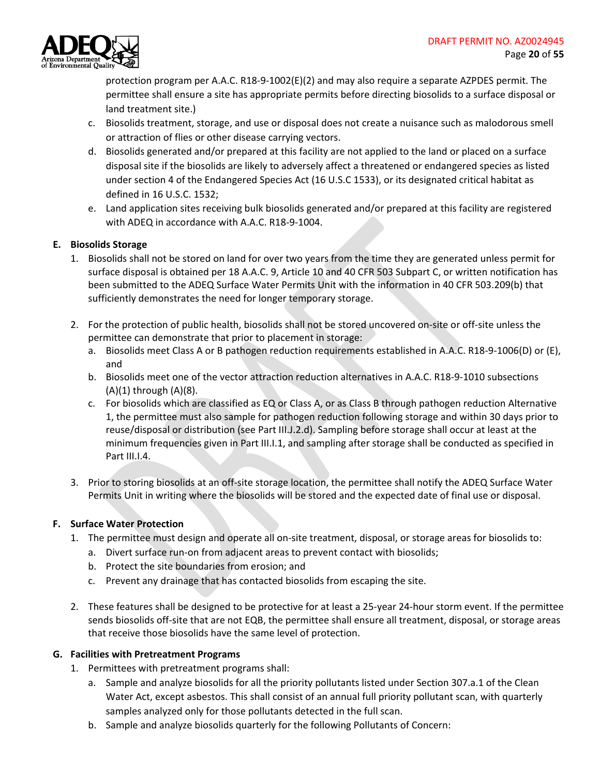

protection program per A.A.C. R18-9-1002(E)(2) and may also require a separate AZPDES permit. The permittee shall ensure a site has appropriate permits before directing biosolids to a surface disposal or land treatment site.)

- c. Biosolids treatment, storage, and use or disposal does not create a nuisance such as malodorous smell or attraction of flies or other disease carrying vectors.
- d. Biosolids generated and/or prepared at this facility are not applied to the land or placed on a surface disposal site if the biosolids are likely to adversely affect a threatened or endangered species as listed under section 4 of the Endangered Species Act (16 U.S.C 1533), or its designated critical habitat as defined in 16 U.S.C. 1532;
- e. Land application sites receiving bulk biosolids generated and/or prepared at this facility are registered with ADEQ in accordance with A.A.C. R18-9-1004.

# <span id="page-19-0"></span>**E. Biosolids Storage**

- 1. Biosolids shall not be stored on land for over two years from the time they are generated unless permit for surface disposal is obtained per 18 A.A.C. 9, Article 10 and 40 CFR 503 Subpart C, or written notification has been submitted to the ADEQ Surface Water Permits Unit with the information in 40 CFR 503.209(b) that sufficiently demonstrates the need for longer temporary storage.
- 2. For the protection of public health, biosolids shall not be stored uncovered on-site or off-site unless the permittee can demonstrate that prior to placement in storage:
	- a. Biosolids meet Class A or B pathogen reduction requirements established in A.A.C. R18-9-1006(D) or (E), and
	- b. Biosolids meet one of the vector attraction reduction alternatives in A.A.C. R18-9-1010 subsections (A)(1) through (A)(8).
	- c. For biosolids which are classified as EQ or Class A, or as Class B through pathogen reduction Alternative 1, the permittee must also sample for pathogen reduction following storage and within 30 days prior to reuse/disposal or distribution (see Part III.J.2.d). Sampling before storage shall occur at least at the minimum frequencies given in Part III.I.1, and sampling after storage shall be conducted as specified in Part III.I.4.
- 3. Prior to storing biosolids at an off-site storage location, the permittee shall notify the ADEQ Surface Water Permits Unit in writing where the biosolids will be stored and the expected date of final use or disposal.

# <span id="page-19-1"></span>**F. Surface Water Protection**

- 1. The permittee must design and operate all on-site treatment, disposal, or storage areas for biosolids to:
	- a. Divert surface run-on from adjacent areas to prevent contact with biosolids;
	- b. Protect the site boundaries from erosion; and
	- c. Prevent any drainage that has contacted biosolids from escaping the site.
- 2. These features shall be designed to be protective for at least a 25-year 24-hour storm event. If the permittee sends biosolids off-site that are not EQB, the permittee shall ensure all treatment, disposal, or storage areas that receive those biosolids have the same level of protection.

#### <span id="page-19-2"></span>**G. Facilities with Pretreatment Programs**

- 1. Permittees with pretreatment programs shall:
	- a. Sample and analyze biosolids for all the priority pollutants listed under Section 307.a.1 of the Clean Water Act, except asbestos. This shall consist of an annual full priority pollutant scan, with quarterly samples analyzed only for those pollutants detected in the full scan.
	- b. Sample and analyze biosolids quarterly for the following Pollutants of Concern: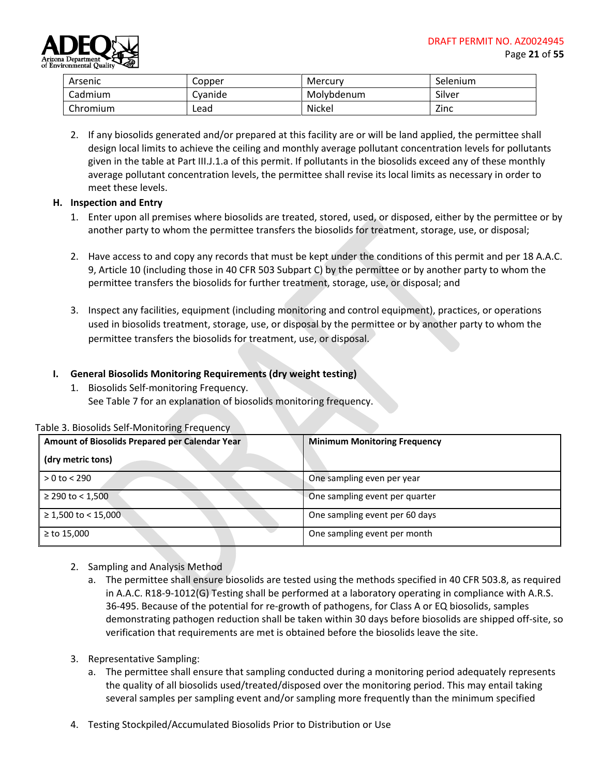

| Arsenic  | Copper  | Mercury    | <b>Selenium</b> |
|----------|---------|------------|-----------------|
| Cadmium  | Cvanide | Molvbdenum | Silver          |
| Chromium | Lead    | Nickel     | Zinc            |

2. If any biosolids generated and/or prepared at this facility are or will be land applied, the permittee shall design local limits to achieve the ceiling and monthly average pollutant concentration levels for pollutants given in the table at Part III.J.1.a of this permit. If pollutants in the biosolids exceed any of these monthly average pollutant concentration levels, the permittee shall revise its local limits as necessary in order to meet these levels.

#### <span id="page-20-0"></span>**H. Inspection and Entry**

- 1. Enter upon all premises where biosolids are treated, stored, used, or disposed, either by the permittee or by another party to whom the permittee transfers the biosolids for treatment, storage, use, or disposal;
- 2. Have access to and copy any records that must be kept under the conditions of this permit and per 18 A.A.C. 9, Article 10 (including those in 40 CFR 503 Subpart C) by the permittee or by another party to whom the permittee transfers the biosolids for further treatment, storage, use, or disposal; and
- 3. Inspect any facilities, equipment (including monitoring and control equipment), practices, or operations used in biosolids treatment, storage, use, or disposal by the permittee or by another party to whom the permittee transfers the biosolids for treatment, use, or disposal.

#### <span id="page-20-1"></span>**I. General Biosolids Monitoring Requirements (dry weight testing)**

1. Biosolids Self-monitoring Frequency. See Table 7 for an explanation of biosolids monitoring frequency.

#### Table 3. Biosolids Self-Monitoring Frequency

| Amount of Biosolids Prepared per Calendar Year | <b>Minimum Monitoring Frequency</b> |
|------------------------------------------------|-------------------------------------|
| (dry metric tons)                              |                                     |
| $> 0$ to < 290                                 | One sampling even per year          |
| $≥$ 290 to < 1,500                             | One sampling event per quarter      |
| $≥ 1,500$ to < 15,000                          | One sampling event per 60 days      |
| ≥ to 15,000                                    | One sampling event per month        |

- 2. Sampling and Analysis Method
	- a. The permittee shall ensure biosolids are tested using the methods specified in 40 CFR 503.8, as required in A.A.C. R18-9-1012(G) Testing shall be performed at a laboratory operating in compliance with A.R.S. 36-495. Because of the potential for re-growth of pathogens, for Class A or EQ biosolids, samples demonstrating pathogen reduction shall be taken within 30 days before biosolids are shipped off-site, so verification that requirements are met is obtained before the biosolids leave the site.
- 3. Representative Sampling:
	- a. The permittee shall ensure that sampling conducted during a monitoring period adequately represents the quality of all biosolids used/treated/disposed over the monitoring period. This may entail taking several samples per sampling event and/or sampling more frequently than the minimum specified
- 4. Testing Stockpiled/Accumulated Biosolids Prior to Distribution or Use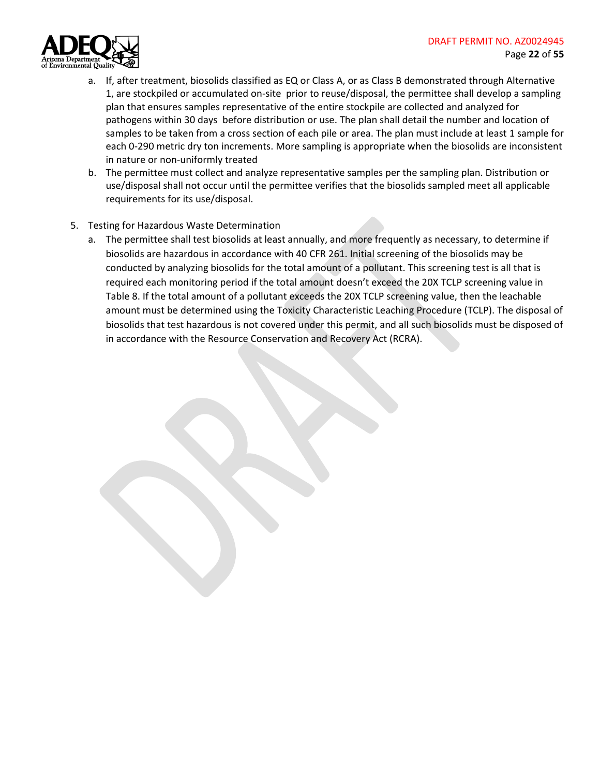

- a. If, after treatment, biosolids classified as EQ or Class A, or as Class B demonstrated through Alternative 1, are stockpiled or accumulated on-site prior to reuse/disposal, the permittee shall develop a sampling plan that ensures samples representative of the entire stockpile are collected and analyzed for pathogens within 30 days before distribution or use. The plan shall detail the number and location of samples to be taken from a cross section of each pile or area. The plan must include at least 1 sample for each 0-290 metric dry ton increments. More sampling is appropriate when the biosolids are inconsistent in nature or non-uniformly treated
- b. The permittee must collect and analyze representative samples per the sampling plan. Distribution or use/disposal shall not occur until the permittee verifies that the biosolids sampled meet all applicable requirements for its use/disposal.
- 5. Testing for Hazardous Waste Determination
	- a. The permittee shall test biosolids at least annually, and more frequently as necessary, to determine if biosolids are hazardous in accordance with 40 CFR 261. Initial screening of the biosolids may be conducted by analyzing biosolids for the total amount of a pollutant. This screening test is all that is required each monitoring period if the total amount doesn't exceed the 20X TCLP screening value in Table 8. If the total amount of a pollutant exceeds the 20X TCLP screening value, then the leachable amount must be determined using the Toxicity Characteristic Leaching Procedure (TCLP). The disposal of biosolids that test hazardous is not covered under this permit, and all such biosolids must be disposed of in accordance with the Resource Conservation and Recovery Act (RCRA).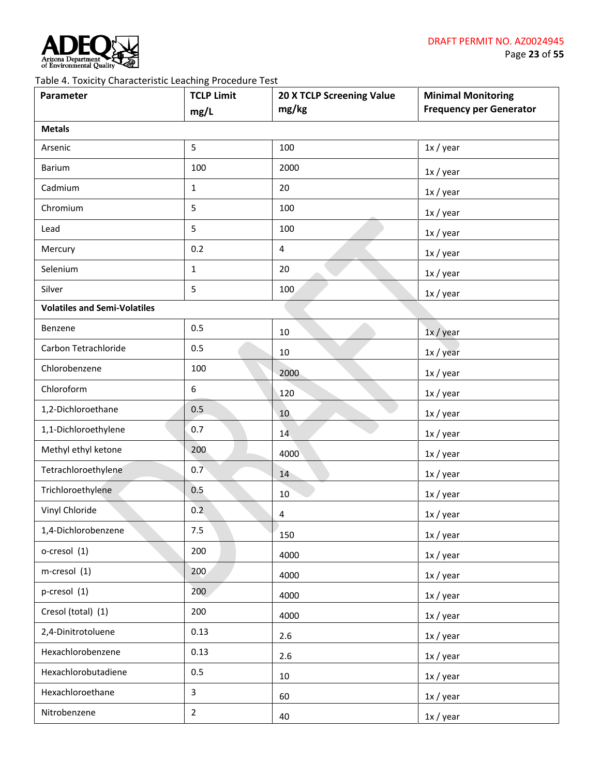

Table 4. Toxicity Characteristic Leaching Procedure Test

| Parameter                           | <b>TCLP Limit</b><br>mg/L | 20 X TCLP Screening Value<br>mg/kg | <b>Minimal Monitoring</b><br><b>Frequency per Generator</b> |
|-------------------------------------|---------------------------|------------------------------------|-------------------------------------------------------------|
| <b>Metals</b>                       |                           |                                    |                                                             |
| Arsenic                             | 5                         | 100                                | 1x / year                                                   |
| Barium                              | 100                       | 2000                               | 1x / year                                                   |
| Cadmium                             | $\mathbf{1}$              | 20                                 | 1x / year                                                   |
| Chromium                            | 5                         | 100                                | 1x / year                                                   |
| Lead                                | 5                         | 100                                | 1x / year                                                   |
| Mercury                             | 0.2                       | 4                                  | 1x / year                                                   |
| Selenium                            | $\mathbf{1}$              | 20                                 | 1x / year                                                   |
| Silver                              | 5                         | 100                                | 1x / year                                                   |
| <b>Volatiles and Semi-Volatiles</b> |                           |                                    |                                                             |
| Benzene                             | 0.5                       | 10                                 | 1x / year                                                   |
| Carbon Tetrachloride                | 0.5                       | 10                                 | 1x / year                                                   |
| Chlorobenzene                       | 100                       | 2000                               | 1x / year                                                   |
| Chloroform                          | 6                         | 120                                | 1x / year                                                   |
| 1,2-Dichloroethane                  | 0.5                       | 10                                 | 1x / year                                                   |
| 1,1-Dichloroethylene                | 0.7                       | 14                                 | 1x / year                                                   |
| Methyl ethyl ketone                 | 200                       | 4000                               | 1x / year                                                   |
| Tetrachloroethylene                 | 0.7                       | 14                                 | 1x / year                                                   |
| Trichloroethylene                   | 0.5                       | 10                                 | 1x / year                                                   |
| Vinyl Chloride                      | 0.2                       | 4                                  | 1x / year                                                   |
| 1,4-Dichlorobenzene                 | $7.5$                     | 150                                | 1x / year                                                   |
| o-cresol (1)                        | 200                       | 4000                               | 1x / year                                                   |
| m-cresol (1)                        | 200                       | 4000                               | 1x / year                                                   |
| p-cresol (1)                        | 200                       | 4000                               | 1x / year                                                   |
| Cresol (total) (1)                  | 200                       | 4000                               | 1x / year                                                   |
| 2,4-Dinitrotoluene                  | 0.13                      | 2.6                                | 1x / year                                                   |
| Hexachlorobenzene                   | 0.13                      | 2.6                                | 1x / year                                                   |
| Hexachlorobutadiene                 | 0.5                       | 10                                 | 1x / year                                                   |
| Hexachloroethane                    | $\overline{3}$            | 60                                 | 1x / year                                                   |
| Nitrobenzene                        | $\overline{2}$            | 40                                 | 1x / year                                                   |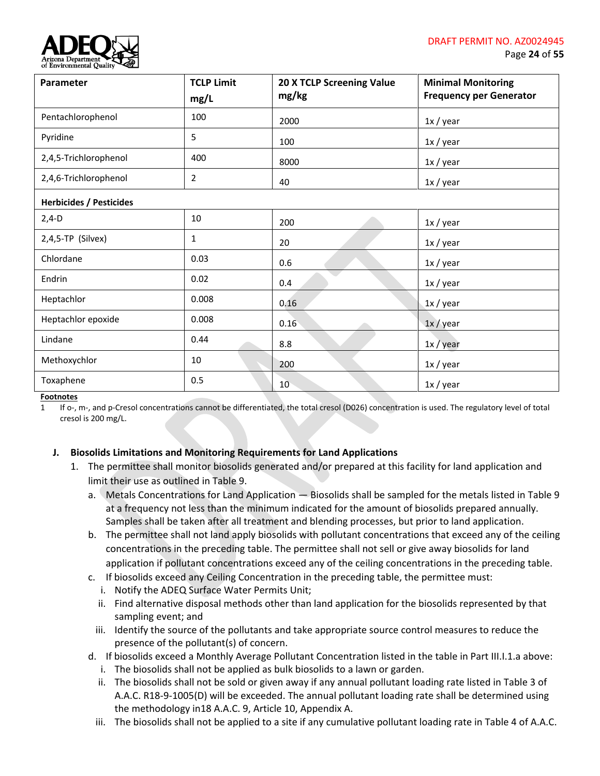

| Parameter                      | <b>TCLP Limit</b><br>mg/L | <b>20 X TCLP Screening Value</b><br>mg/kg | <b>Minimal Monitoring</b><br><b>Frequency per Generator</b> |
|--------------------------------|---------------------------|-------------------------------------------|-------------------------------------------------------------|
| Pentachlorophenol              | 100                       | 2000                                      | 1x / year                                                   |
| Pyridine                       | 5                         | 100                                       | 1x / year                                                   |
| 2,4,5-Trichlorophenol          | 400                       | 8000                                      | 1x / year                                                   |
| 2,4,6-Trichlorophenol          | $\overline{2}$            | 40                                        | 1x / year                                                   |
| <b>Herbicides / Pesticides</b> |                           |                                           |                                                             |
| $2,4-D$                        | 10                        | 200                                       | 1x / year                                                   |
| $2,4,5$ -TP (Silvex)           | $\mathbf{1}$              | 20                                        | 1x / year                                                   |
| Chlordane                      | 0.03                      | 0.6                                       | 1x / year                                                   |
| Endrin                         | 0.02                      | 0.4                                       | 1x / year                                                   |
| Heptachlor                     | 0.008                     | 0.16                                      | 1x / year                                                   |
| Heptachlor epoxide             | 0.008                     | 0.16                                      | 1x / year                                                   |
| Lindane                        | 0.44                      | 8.8                                       | 1x / year                                                   |
| Methoxychlor                   | 10                        | 200                                       | 1x / year                                                   |
| Toxaphene                      | 0.5                       | 10                                        | 1x / year                                                   |

#### **Footnotes**

If o-, m-, and p-Cresol concentrations cannot be differentiated, the total cresol (D026) concentration is used. The regulatory level of total cresol is 200 mg/L.

#### <span id="page-23-0"></span>**J. Biosolids Limitations and Monitoring Requirements for Land Applications**

- 1. The permittee shall monitor biosolids generated and/or prepared at this facility for land application and limit their use as outlined in Table 9.
	- a. Metals Concentrations for Land Application Biosolids shall be sampled for the metals listed in Table 9 at a frequency not less than the minimum indicated for the amount of biosolids prepared annually. Samples shall be taken after all treatment and blending processes, but prior to land application.
	- b. The permittee shall not land apply biosolids with pollutant concentrations that exceed any of the ceiling concentrations in the preceding table. The permittee shall not sell or give away biosolids for land application if pollutant concentrations exceed any of the ceiling concentrations in the preceding table.
	- c. If biosolids exceed any Ceiling Concentration in the preceding table, the permittee must:
		- i. Notify the ADEQ Surface Water Permits Unit;
		- ii. Find alternative disposal methods other than land application for the biosolids represented by that sampling event; and
		- iii. Identify the source of the pollutants and take appropriate source control measures to reduce the presence of the pollutant(s) of concern.
	- d. If biosolids exceed a Monthly Average Pollutant Concentration listed in the table in Part III.I.1.a above:
		- i. The biosolids shall not be applied as bulk biosolids to a lawn or garden.
		- ii. The biosolids shall not be sold or given away if any annual pollutant loading rate listed in Table 3 of A.A.C. R18-9-1005(D) will be exceeded. The annual pollutant loading rate shall be determined using the methodology in18 A.A.C. 9, Article 10, Appendix A.
		- iii. The biosolids shall not be applied to a site if any cumulative pollutant loading rate in Table 4 of A.A.C.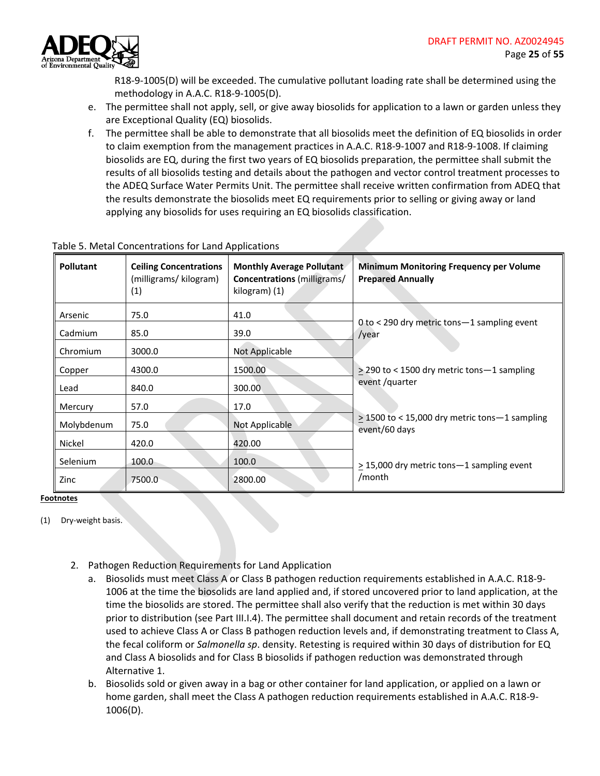

R18-9-1005(D) will be exceeded. The cumulative pollutant loading rate shall be determined using the methodology in A.A.C. R18-9-1005(D).

- e. The permittee shall not apply, sell, or give away biosolids for application to a lawn or garden unless they are Exceptional Quality (EQ) biosolids.
- f. The permittee shall be able to demonstrate that all biosolids meet the definition of EQ biosolids in order to claim exemption from the management practices in A.A.C. R18-9-1007 and R18-9-1008. If claiming biosolids are EQ, during the first two years of EQ biosolids preparation, the permittee shall submit the results of all biosolids testing and details about the pathogen and vector control treatment processes to the ADEQ Surface Water Permits Unit. The permittee shall receive written confirmation from ADEQ that the results demonstrate the biosolids meet EQ requirements prior to selling or giving away or land applying any biosolids for uses requiring an EQ biosolids classification.

| Pollutant       | <b>Ceiling Concentrations</b><br>(milligrams/kilogram)<br>(1) | <b>Monthly Average Pollutant</b><br><b>Concentrations</b> (milligrams/<br>kilogram) (1) | <b>Minimum Monitoring Frequency per Volume</b><br><b>Prepared Annually</b> |
|-----------------|---------------------------------------------------------------|-----------------------------------------------------------------------------------------|----------------------------------------------------------------------------|
| Arsenic         | 75.0                                                          | 41.0                                                                                    |                                                                            |
| Cadmium         | 85.0                                                          | 39.0                                                                                    | 0 to < 290 dry metric tons-1 sampling event<br>/year                       |
| Chromium        | 3000.0                                                        | Not Applicable                                                                          |                                                                            |
| Copper          | 4300.0                                                        | 1500.00                                                                                 | $>$ 290 to < 1500 dry metric tons - 1 sampling                             |
| Lead            | 840.0                                                         | 300.00                                                                                  | event /quarter                                                             |
| Mercury         | 57.0                                                          | 17.0                                                                                    |                                                                            |
| Molybdenum      | 75.0                                                          | Not Applicable                                                                          | $>$ 1500 to < 15,000 dry metric tons - 1 sampling<br>event/60 days         |
| Nickel          | 420.0                                                         | 420.00                                                                                  |                                                                            |
| <b>Selenium</b> | 100.0                                                         | 100.0                                                                                   | $\geq$ 15,000 dry metric tons - 1 sampling event                           |
| Zinc            | 7500.0                                                        | 2800.00                                                                                 | /month                                                                     |

#### Table 5. Metal Concentrations for Land Applications

#### **Footnotes**

- (1) Dry-weight basis.
	- 2. Pathogen Reduction Requirements for Land Application
		- a. Biosolids must meet Class A or Class B pathogen reduction requirements established in A.A.C. R18-9- 1006 at the time the biosolids are land applied and, if stored uncovered prior to land application, at the time the biosolids are stored. The permittee shall also verify that the reduction is met within 30 days prior to distribution (see Part III.I.4). The permittee shall document and retain records of the treatment used to achieve Class A or Class B pathogen reduction levels and, if demonstrating treatment to Class A, the fecal coliform or *Salmonella sp*. density. Retesting is required within 30 days of distribution for EQ and Class A biosolids and for Class B biosolids if pathogen reduction was demonstrated through Alternative 1.
		- b. Biosolids sold or given away in a bag or other container for land application, or applied on a lawn or home garden, shall meet the Class A pathogen reduction requirements established in A.A.C. R18-9- 1006(D).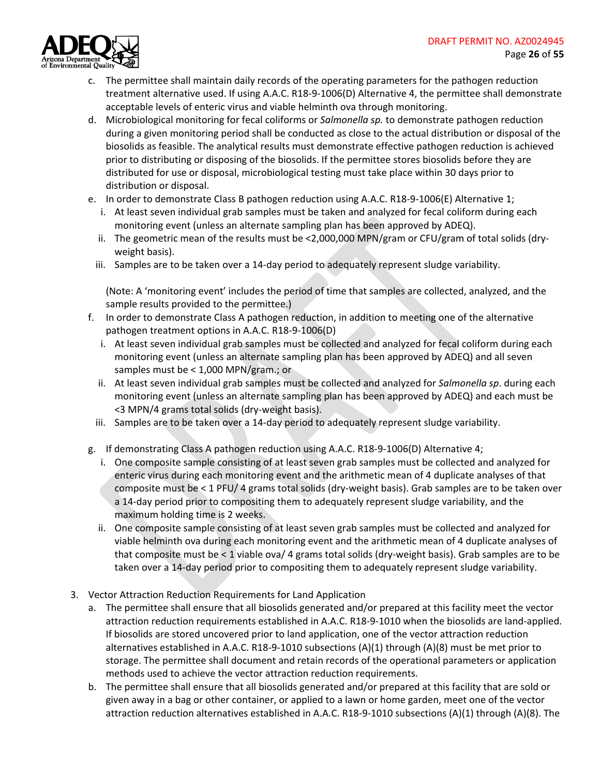

- c. The permittee shall maintain daily records of the operating parameters for the pathogen reduction treatment alternative used. If using A.A.C. R18-9-1006(D) Alternative 4, the permittee shall demonstrate acceptable levels of enteric virus and viable helminth ova through monitoring.
- d. Microbiological monitoring for fecal coliforms or *Salmonella sp.* to demonstrate pathogen reduction during a given monitoring period shall be conducted as close to the actual distribution or disposal of the biosolids as feasible. The analytical results must demonstrate effective pathogen reduction is achieved prior to distributing or disposing of the biosolids. If the permittee stores biosolids before they are distributed for use or disposal, microbiological testing must take place within 30 days prior to distribution or disposal.
- e. In order to demonstrate Class B pathogen reduction using A.A.C. R18-9-1006(E) Alternative 1;
	- i. At least seven individual grab samples must be taken and analyzed for fecal coliform during each monitoring event (unless an alternate sampling plan has been approved by ADEQ).
	- ii. The geometric mean of the results must be <2,000,000 MPN/gram or CFU/gram of total solids (dryweight basis).
	- iii. Samples are to be taken over a 14-day period to adequately represent sludge variability.

(Note: A 'monitoring event' includes the period of time that samples are collected, analyzed, and the sample results provided to the permittee.)

- f. In order to demonstrate Class A pathogen reduction, in addition to meeting one of the alternative pathogen treatment options in A.A.C. R18-9-1006(D)
	- i. At least seven individual grab samples must be collected and analyzed for fecal coliform during each monitoring event (unless an alternate sampling plan has been approved by ADEQ) and all seven samples must be < 1,000 MPN/gram.; or
	- ii. At least seven individual grab samples must be collected and analyzed for *Salmonella sp*. during each monitoring event (unless an alternate sampling plan has been approved by ADEQ) and each must be <3 MPN/4 grams total solids (dry-weight basis).
	- iii. Samples are to be taken over a 14-day period to adequately represent sludge variability.
- g. If demonstrating Class A pathogen reduction using A.A.C. R18-9-1006(D) Alternative 4;
	- i. One composite sample consisting of at least seven grab samples must be collected and analyzed for enteric virus during each monitoring event and the arithmetic mean of 4 duplicate analyses of that composite must be < 1 PFU/ 4 grams total solids (dry-weight basis). Grab samples are to be taken over a 14-day period prior to compositing them to adequately represent sludge variability, and the maximum holding time is 2 weeks.
	- ii. One composite sample consisting of at least seven grab samples must be collected and analyzed for viable helminth ova during each monitoring event and the arithmetic mean of 4 duplicate analyses of that composite must be < 1 viable ova/ 4 grams total solids (dry-weight basis). Grab samples are to be taken over a 14-day period prior to compositing them to adequately represent sludge variability.
- 3. Vector Attraction Reduction Requirements for Land Application
	- a. The permittee shall ensure that all biosolids generated and/or prepared at this facility meet the vector attraction reduction requirements established in A.A.C. R18-9-1010 when the biosolids are land-applied. If biosolids are stored uncovered prior to land application, one of the vector attraction reduction alternatives established in A.A.C. R18-9-1010 subsections (A)(1) through (A)(8) must be met prior to storage. The permittee shall document and retain records of the operational parameters or application methods used to achieve the vector attraction reduction requirements.
	- b. The permittee shall ensure that all biosolids generated and/or prepared at this facility that are sold or given away in a bag or other container, or applied to a lawn or home garden, meet one of the vector attraction reduction alternatives established in A.A.C. R18-9-1010 subsections (A)(1) through (A)(8). The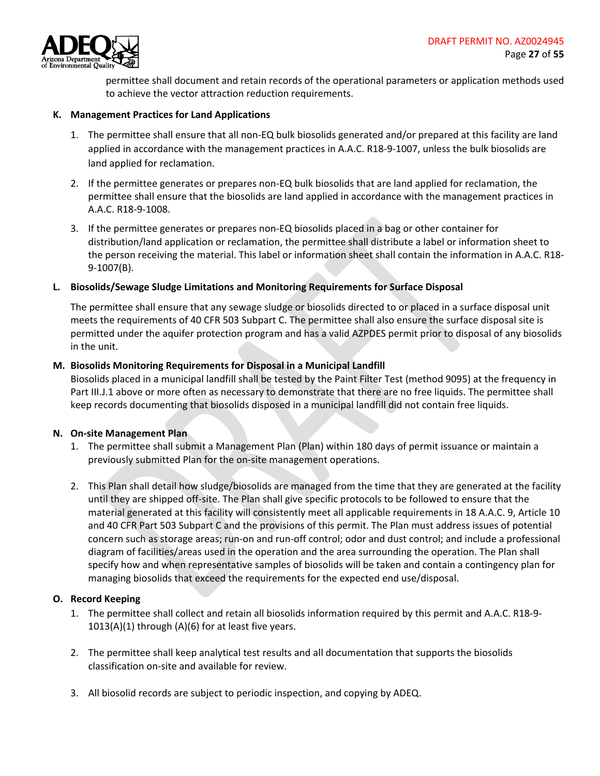

permittee shall document and retain records of the operational parameters or application methods used to achieve the vector attraction reduction requirements.

#### <span id="page-26-0"></span>**K. Management Practices for Land Applications**

- 1. The permittee shall ensure that all non-EQ bulk biosolids generated and/or prepared at this facility are land applied in accordance with the management practices in A.A.C. R18-9-1007, unless the bulk biosolids are land applied for reclamation.
- 2. If the permittee generates or prepares non-EQ bulk biosolids that are land applied for reclamation, the permittee shall ensure that the biosolids are land applied in accordance with the management practices in A.A.C. R18-9-1008.
- 3. If the permittee generates or prepares non-EQ biosolids placed in a bag or other container for distribution/land application or reclamation, the permittee shall distribute a label or information sheet to the person receiving the material. This label or information sheet shall contain the information in A.A.C. R18- 9-1007(B).

#### <span id="page-26-1"></span>**L. Biosolids/Sewage Sludge Limitations and Monitoring Requirements for Surface Disposal**

The permittee shall ensure that any sewage sludge or biosolids directed to or placed in a surface disposal unit meets the requirements of 40 CFR 503 Subpart C. The permittee shall also ensure the surface disposal site is permitted under the aquifer protection program and has a valid AZPDES permit prior to disposal of any biosolids in the unit.

#### <span id="page-26-2"></span>**M. Biosolids Monitoring Requirements for Disposal in a Municipal Landfill**

Biosolids placed in a municipal landfill shall be tested by the Paint Filter Test (method 9095) at the frequency in Part III.J.1 above or more often as necessary to demonstrate that there are no free liquids. The permittee shall keep records documenting that biosolids disposed in a municipal landfill did not contain free liquids.

#### <span id="page-26-3"></span>**N. On-site Management Plan**

- 1. The permittee shall submit a Management Plan (Plan) within 180 days of permit issuance or maintain a previously submitted Plan for the on-site management operations.
- 2. This Plan shall detail how sludge/biosolids are managed from the time that they are generated at the facility until they are shipped off-site. The Plan shall give specific protocols to be followed to ensure that the material generated at this facility will consistently meet all applicable requirements in 18 A.A.C. 9, Article 10 and 40 CFR Part 503 Subpart C and the provisions of this permit. The Plan must address issues of potential concern such as storage areas; run-on and run-off control; odor and dust control; and include a professional diagram of facilities/areas used in the operation and the area surrounding the operation. The Plan shall specify how and when representative samples of biosolids will be taken and contain a contingency plan for managing biosolids that exceed the requirements for the expected end use/disposal.

#### <span id="page-26-4"></span>**O. Record Keeping**

- 1. The permittee shall collect and retain all biosolids information required by this permit and A.A.C. R18-9- 1013(A)(1) through (A)(6) for at least five years.
- 2. The permittee shall keep analytical test results and all documentation that supports the biosolids classification on-site and available for review.
- 3. All biosolid records are subject to periodic inspection, and copying by ADEQ.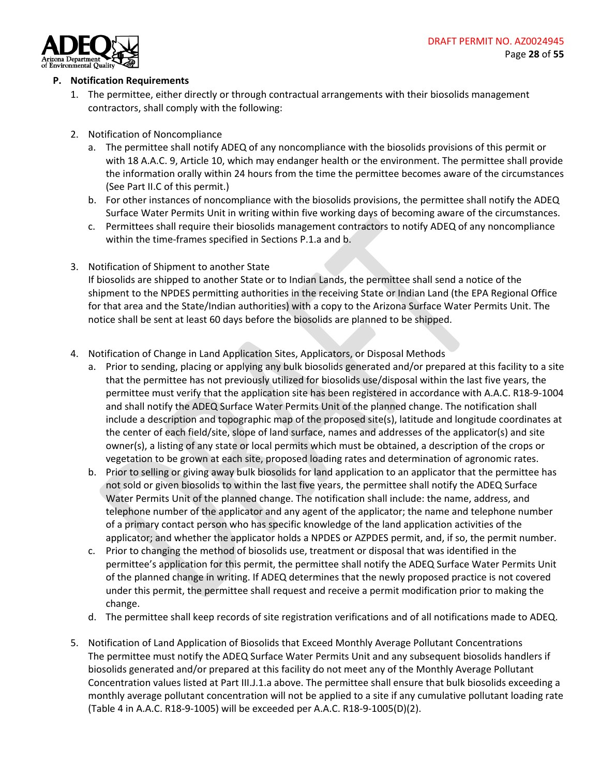

#### <span id="page-27-0"></span>**P. Notification Requirements**

- 1. The permittee, either directly or through contractual arrangements with their biosolids management contractors, shall comply with the following:
- 2. Notification of Noncompliance
	- a. The permittee shall notify ADEQ of any noncompliance with the biosolids provisions of this permit or with 18 A.A.C. 9, Article 10, which may endanger health or the environment. The permittee shall provide the information orally within 24 hours from the time the permittee becomes aware of the circumstances (See Part II.C of this permit.)
	- b. For other instances of noncompliance with the biosolids provisions, the permittee shall notify the ADEQ Surface Water Permits Unit in writing within five working days of becoming aware of the circumstances.
	- c. Permittees shall require their biosolids management contractors to notify ADEQ of any noncompliance within the time-frames specified in Sections P.1.a and b.
- 3. Notification of Shipment to another State

If biosolids are shipped to another State or to Indian Lands, the permittee shall send a notice of the shipment to the NPDES permitting authorities in the receiving State or Indian Land (the EPA Regional Office for that area and the State/Indian authorities) with a copy to the Arizona Surface Water Permits Unit. The notice shall be sent at least 60 days before the biosolids are planned to be shipped.

- 4. Notification of Change in Land Application Sites, Applicators, or Disposal Methods
	- a. Prior to sending, placing or applying any bulk biosolids generated and/or prepared at this facility to a site that the permittee has not previously utilized for biosolids use/disposal within the last five years, the permittee must verify that the application site has been registered in accordance with A.A.C. R18-9-1004 and shall notify the ADEQ Surface Water Permits Unit of the planned change. The notification shall include a description and topographic map of the proposed site(s), latitude and longitude coordinates at the center of each field/site, slope of land surface, names and addresses of the applicator(s) and site owner(s), a listing of any state or local permits which must be obtained, a description of the crops or vegetation to be grown at each site, proposed loading rates and determination of agronomic rates.
	- b. Prior to selling or giving away bulk biosolids for land application to an applicator that the permittee has not sold or given biosolids to within the last five years, the permittee shall notify the ADEQ Surface Water Permits Unit of the planned change. The notification shall include: the name, address, and telephone number of the applicator and any agent of the applicator; the name and telephone number of a primary contact person who has specific knowledge of the land application activities of the applicator; and whether the applicator holds a NPDES or AZPDES permit, and, if so, the permit number.
	- c. Prior to changing the method of biosolids use, treatment or disposal that was identified in the permittee's application for this permit, the permittee shall notify the ADEQ Surface Water Permits Unit of the planned change in writing. If ADEQ determines that the newly proposed practice is not covered under this permit, the permittee shall request and receive a permit modification prior to making the change.
	- d. The permittee shall keep records of site registration verifications and of all notifications made to ADEQ.
- 5. Notification of Land Application of Biosolids that Exceed Monthly Average Pollutant Concentrations The permittee must notify the ADEQ Surface Water Permits Unit and any subsequent biosolids handlers if biosolids generated and/or prepared at this facility do not meet any of the Monthly Average Pollutant Concentration values listed at Part III.J.1.a above. The permittee shall ensure that bulk biosolids exceeding a monthly average pollutant concentration will not be applied to a site if any cumulative pollutant loading rate (Table 4 in A.A.C. R18-9-1005) will be exceeded per A.A.C. R18-9-1005(D)(2).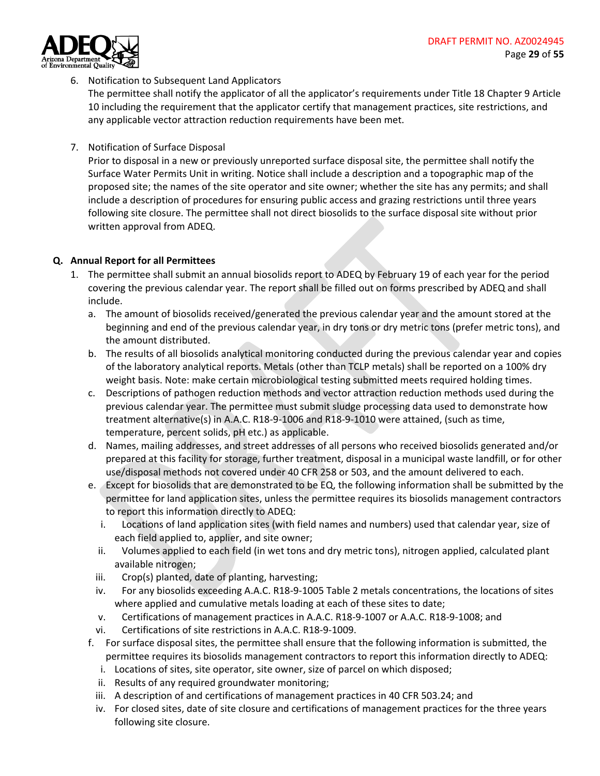

6. Notification to Subsequent Land Applicators

The permittee shall notify the applicator of all the applicator's requirements under Title 18 Chapter 9 Article 10 including the requirement that the applicator certify that management practices, site restrictions, and any applicable vector attraction reduction requirements have been met.

7. Notification of Surface Disposal

Prior to disposal in a new or previously unreported surface disposal site, the permittee shall notify the Surface Water Permits Unit in writing. Notice shall include a description and a topographic map of the proposed site; the names of the site operator and site owner; whether the site has any permits; and shall include a description of procedures for ensuring public access and grazing restrictions until three years following site closure. The permittee shall not direct biosolids to the surface disposal site without prior written approval from ADEQ.

#### <span id="page-28-0"></span>**Q. Annual Report for all Permittees**

- 1. The permittee shall submit an annual biosolids report to ADEQ by February 19 of each year for the period covering the previous calendar year. The report shall be filled out on forms prescribed by ADEQ and shall include.
	- a. The amount of biosolids received/generated the previous calendar year and the amount stored at the beginning and end of the previous calendar year, in dry tons or dry metric tons (prefer metric tons), and the amount distributed.
	- b. The results of all biosolids analytical monitoring conducted during the previous calendar year and copies of the laboratory analytical reports. Metals (other than TCLP metals) shall be reported on a 100% dry weight basis. Note: make certain microbiological testing submitted meets required holding times.
	- c. Descriptions of pathogen reduction methods and vector attraction reduction methods used during the previous calendar year. The permittee must submit sludge processing data used to demonstrate how treatment alternative(s) in A.A.C. R18-9-1006 and R18-9-1010 were attained, (such as time, temperature, percent solids, pH etc.) as applicable.
	- d. Names, mailing addresses, and street addresses of all persons who received biosolids generated and/or prepared at this facility for storage, further treatment, disposal in a municipal waste landfill, or for other use/disposal methods not covered under 40 CFR 258 or 503, and the amount delivered to each.
	- e. Except for biosolids that are demonstrated to be EQ, the following information shall be submitted by the permittee for land application sites, unless the permittee requires its biosolids management contractors to report this information directly to ADEQ:
		- i. Locations of land application sites (with field names and numbers) used that calendar year, size of each field applied to, applier, and site owner;
		- ii. Volumes applied to each field (in wet tons and dry metric tons), nitrogen applied, calculated plant available nitrogen;
		- iii. Crop(s) planted, date of planting, harvesting;
		- iv. For any biosolids exceeding A.A.C. R18-9-1005 Table 2 metals concentrations, the locations of sites where applied and cumulative metals loading at each of these sites to date;
		- v. Certifications of management practices in A.A.C. R18-9-1007 or A.A.C. R18-9-1008; and
		- vi. Certifications of site restrictions in A.A.C. R18-9-1009.
	- f. For surface disposal sites, the permittee shall ensure that the following information is submitted, the permittee requires its biosolids management contractors to report this information directly to ADEQ:
		- i. Locations of sites, site operator, site owner, size of parcel on which disposed;
		- ii. Results of any required groundwater monitoring;
		- iii. A description of and certifications of management practices in 40 CFR 503.24; and
		- iv. For closed sites, date of site closure and certifications of management practices for the three years following site closure.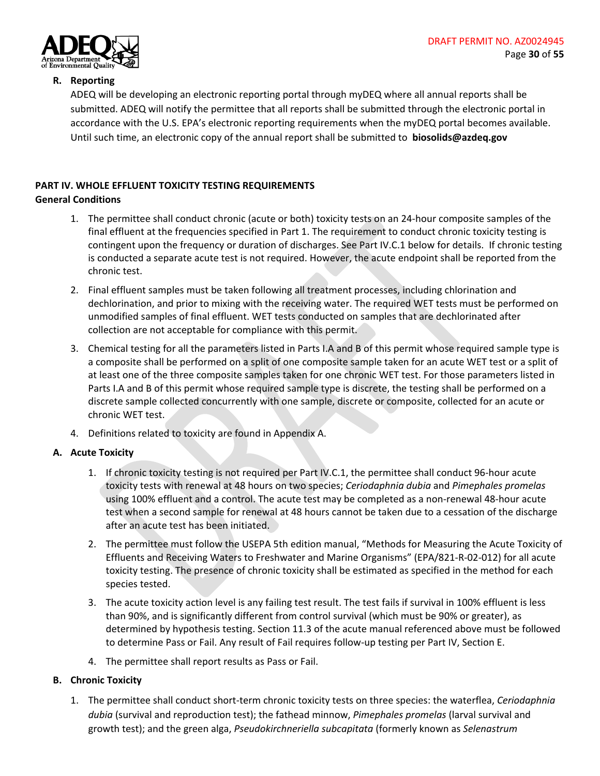

# <span id="page-29-0"></span>**R. Reporting**

ADEQ will be developing an electronic reporting portal through myDEQ where all annual reports shall be submitted. ADEQ will notify the permittee that all reports shall be submitted through the electronic portal in accordance with the U.S. EPA's electronic reporting requirements when the myDEQ portal becomes available. Until such time, an electronic copy of the annual report shall be submitted to **biosolids@azdeq.gov**

# <span id="page-29-1"></span>**PART IV. WHOLE EFFLUENT TOXICITY TESTING REQUIREMENTS**

#### **General Conditions**

- 1. The permittee shall conduct chronic (acute or both) toxicity tests on an 24-hour composite samples of the final effluent at the frequencies specified in Part 1. The requirement to conduct chronic toxicity testing is contingent upon the frequency or duration of discharges. See Part IV.C.1 below for details. If chronic testing is conducted a separate acute test is not required. However, the acute endpoint shall be reported from the chronic test.
- 2. Final effluent samples must be taken following all treatment processes, including chlorination and dechlorination, and prior to mixing with the receiving water. The required WET tests must be performed on unmodified samples of final effluent. WET tests conducted on samples that are dechlorinated after collection are not acceptable for compliance with this permit.
- 3. Chemical testing for all the parameters listed in Parts I.A and B of this permit whose required sample type is a composite shall be performed on a split of one composite sample taken for an acute WET test or a split of at least one of the three composite samples taken for one chronic WET test. For those parameters listed in Parts I.A and B of this permit whose required sample type is discrete, the testing shall be performed on a discrete sample collected concurrently with one sample, discrete or composite, collected for an acute or chronic WET test.
- 4. Definitions related to toxicity are found in Appendix A.

# <span id="page-29-2"></span>**A. Acute Toxicity**

- 1. If chronic toxicity testing is not required per Part IV.C.1, the permittee shall conduct 96-hour acute toxicity tests with renewal at 48 hours on two species; *Ceriodaphnia dubia* and *Pimephales promelas* using 100% effluent and a control. The acute test may be completed as a non-renewal 48-hour acute test when a second sample for renewal at 48 hours cannot be taken due to a cessation of the discharge after an acute test has been initiated.
- 2. The permittee must follow the USEPA 5th edition manual, "Methods for Measuring the Acute Toxicity of Effluents and Receiving Waters to Freshwater and Marine Organisms" (EPA/821-R-02-012) for all acute toxicity testing. The presence of chronic toxicity shall be estimated as specified in the method for each species tested.
- 3. The acute toxicity action level is any failing test result. The test fails if survival in 100% effluent is less than 90%, and is significantly different from control survival (which must be 90% or greater), as determined by hypothesis testing. Section 11.3 of the acute manual referenced above must be followed to determine Pass or Fail. Any result of Fail requires follow-up testing per Part IV, Section E.
- 4. The permittee shall report results as Pass or Fail.

# <span id="page-29-3"></span>**B. Chronic Toxicity**

1. The permittee shall conduct short-term chronic toxicity tests on three species: the waterflea, *Ceriodaphnia dubia* (survival and reproduction test); the fathead minnow, *Pimephales promelas* (larval survival and growth test); and the green alga, *Pseudokirchneriella subcapitata* (formerly known as *Selenastrum*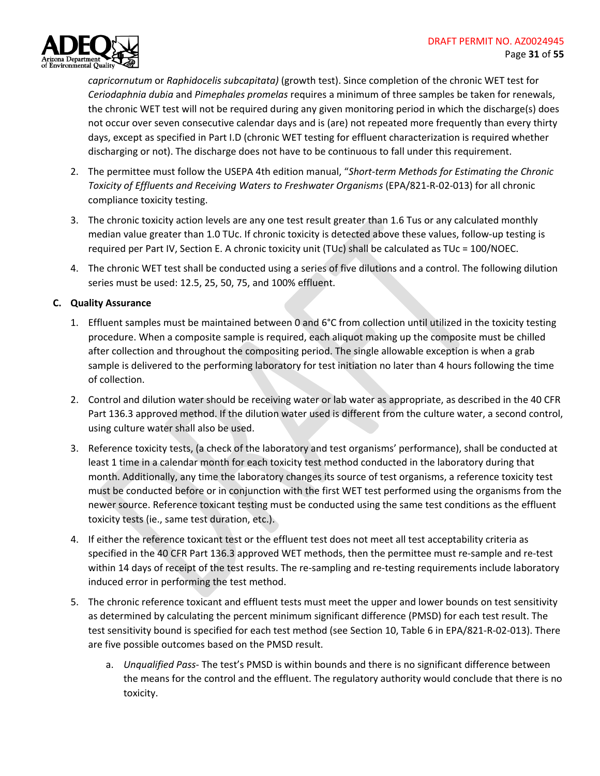

*capricornutum* or *Raphidocelis subcapitata)* (growth test). Since completion of the chronic WET test for *Ceriodaphnia dubia* and *Pimephales promelas* requires a minimum of three samples be taken for renewals, the chronic WET test will not be required during any given monitoring period in which the discharge(s) does not occur over seven consecutive calendar days and is (are) not repeated more frequently than every thirty days, except as specified in Part I.D (chronic WET testing for effluent characterization is required whether discharging or not). The discharge does not have to be continuous to fall under this requirement.

- 2. The permittee must follow the USEPA 4th edition manual, "*Short-term Methods for Estimating the Chronic Toxicity of Effluents and Receiving Waters to Freshwater Organisms* (EPA/821-R-02-013) for all chronic compliance toxicity testing.
- 3. The chronic toxicity action levels are any one test result greater than 1.6 Tus or any calculated monthly median value greater than 1.0 TUc. If chronic toxicity is detected above these values, follow-up testing is required per Part IV, Section E. A chronic toxicity unit (TUc) shall be calculated as TUc = 100/NOEC.
- 4. The chronic WET test shall be conducted using a series of five dilutions and a control. The following dilution series must be used: 12.5, 25, 50, 75, and 100% effluent.

# <span id="page-30-0"></span>**C. Quality Assurance**

- 1. Effluent samples must be maintained between 0 and  $6^{\circ}$ C from collection until utilized in the toxicity testing procedure. When a composite sample is required, each aliquot making up the composite must be chilled after collection and throughout the compositing period. The single allowable exception is when a grab sample is delivered to the performing laboratory for test initiation no later than 4 hours following the time of collection.
- 2. Control and dilution water should be receiving water or lab water as appropriate, as described in the 40 CFR Part 136.3 approved method. If the dilution water used is different from the culture water, a second control, using culture water shall also be used.
- 3. Reference toxicity tests, (a check of the laboratory and test organisms' performance), shall be conducted at least 1 time in a calendar month for each toxicity test method conducted in the laboratory during that month. Additionally, any time the laboratory changes its source of test organisms, a reference toxicity test must be conducted before or in conjunction with the first WET test performed using the organisms from the newer source. Reference toxicant testing must be conducted using the same test conditions as the effluent toxicity tests (ie., same test duration, etc.).
- 4. If either the reference toxicant test or the effluent test does not meet all test acceptability criteria as specified in the 40 CFR Part 136.3 approved WET methods, then the permittee must re-sample and re-test within 14 days of receipt of the test results. The re-sampling and re-testing requirements include laboratory induced error in performing the test method.
- 5. The chronic reference toxicant and effluent tests must meet the upper and lower bounds on test sensitivity as determined by calculating the percent minimum significant difference (PMSD) for each test result. The test sensitivity bound is specified for each test method (see Section 10, Table 6 in EPA/821-R-02-013). There are five possible outcomes based on the PMSD result.
	- a. *Unqualified Pass* The test's PMSD is within bounds and there is no significant difference between the means for the control and the effluent. The regulatory authority would conclude that there is no toxicity.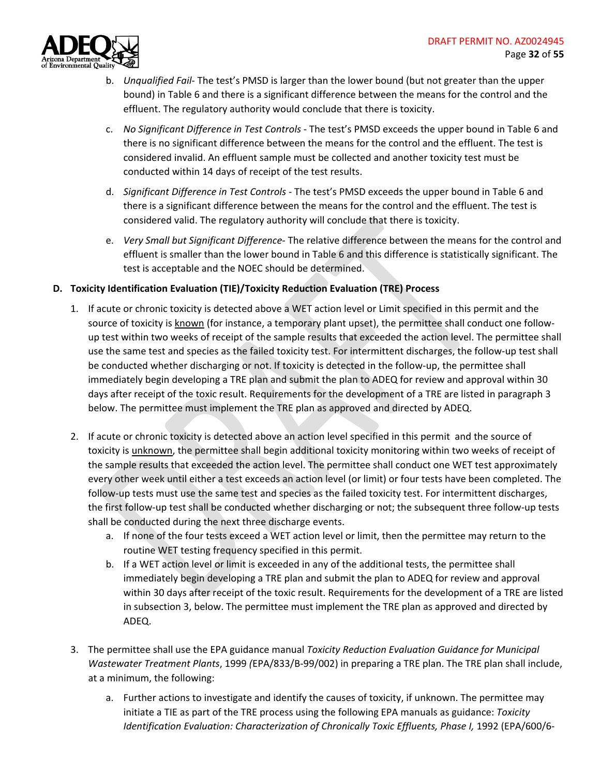

- b. *Unqualified Fail* The test's PMSD is larger than the lower bound (but not greater than the upper bound) in Table 6 and there is a significant difference between the means for the control and the effluent. The regulatory authority would conclude that there is toxicity.
- c. *No Significant Difference in Test Controls* The test's PMSD exceeds the upper bound in Table 6 and there is no significant difference between the means for the control and the effluent. The test is considered invalid. An effluent sample must be collected and another toxicity test must be conducted within 14 days of receipt of the test results.
- d. *Significant Difference in Test Controls* The test's PMSD exceeds the upper bound in Table 6 and there is a significant difference between the means for the control and the effluent. The test is considered valid. The regulatory authority will conclude that there is toxicity.
- e. *Very Small but Significant Difference* The relative difference between the means for the control and effluent is smaller than the lower bound in Table 6 and this difference is statistically significant. The test is acceptable and the NOEC should be determined.

# <span id="page-31-0"></span>**D. Toxicity Identification Evaluation (TIE)/Toxicity Reduction Evaluation (TRE) Process**

- 1. If acute or chronic toxicity is detected above a WET action level or Limit specified in this permit and the source of toxicity is known (for instance, a temporary plant upset), the permittee shall conduct one followup test within two weeks of receipt of the sample results that exceeded the action level. The permittee shall use the same test and species as the failed toxicity test. For intermittent discharges, the follow-up test shall be conducted whether discharging or not. If toxicity is detected in the follow-up, the permittee shall immediately begin developing a TRE plan and submit the plan to ADEQ for review and approval within 30 days after receipt of the toxic result. Requirements for the development of a TRE are listed in paragraph 3 below. The permittee must implement the TRE plan as approved and directed by ADEQ.
- 2. If acute or chronic toxicity is detected above an action level specified in this permit and the source of toxicity is unknown, the permittee shall begin additional toxicity monitoring within two weeks of receipt of the sample results that exceeded the action level. The permittee shall conduct one WET test approximately every other week until either a test exceeds an action level (or limit) or four tests have been completed. The follow-up tests must use the same test and species as the failed toxicity test. For intermittent discharges, the first follow-up test shall be conducted whether discharging or not; the subsequent three follow-up tests shall be conducted during the next three discharge events.
	- a. If none of the four tests exceed a WET action level or limit, then the permittee may return to the routine WET testing frequency specified in this permit.
	- b. If a WET action level or limit is exceeded in any of the additional tests, the permittee shall immediately begin developing a TRE plan and submit the plan to ADEQ for review and approval within 30 days after receipt of the toxic result. Requirements for the development of a TRE are listed in subsection 3, below. The permittee must implement the TRE plan as approved and directed by ADEQ.
- 3. The permittee shall use the EPA guidance manual *Toxicity Reduction Evaluation Guidance for Municipal Wastewater Treatment Plants*, 1999 *(*EPA/833/B-99/002) in preparing a TRE plan. The TRE plan shall include, at a minimum, the following:
	- a. Further actions to investigate and identify the causes of toxicity, if unknown. The permittee may initiate a TIE as part of the TRE process using the following EPA manuals as guidance: *Toxicity*  Identification Evaluation: Characterization of Chronically Toxic Effluents, Phase I, 1992 (EPA/600/6-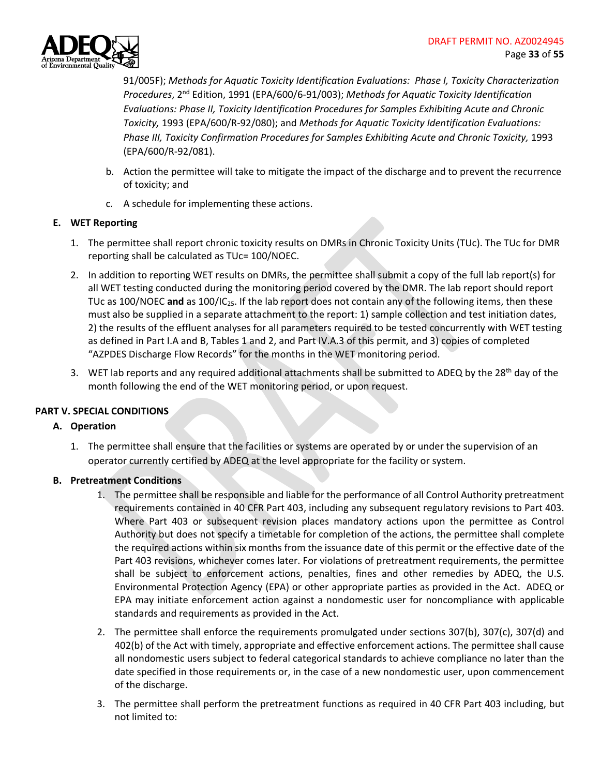

91/005F); *Methods for Aquatic Toxicity Identification Evaluations: Phase I, Toxicity Characterization Procedures*, 2nd Edition, 1991 (EPA/600/6-91/003); *Methods for Aquatic Toxicity Identification Evaluations: Phase II, Toxicity Identification Procedures for Samples Exhibiting Acute and Chronic Toxicity,* 1993 (EPA/600/R-92/080); and *Methods for Aquatic Toxicity Identification Evaluations:*  Phase III, Toxicity Confirmation Procedures for Samples Exhibiting Acute and Chronic Toxicity, 1993 (EPA/600/R-92/081).

- b. Action the permittee will take to mitigate the impact of the discharge and to prevent the recurrence of toxicity; and
- c. A schedule for implementing these actions.

# <span id="page-32-0"></span>**E. WET Reporting**

- 1. The permittee shall report chronic toxicity results on DMRs in Chronic Toxicity Units (TUc). The TUc for DMR reporting shall be calculated as TUc= 100/NOEC.
- 2. In addition to reporting WET results on DMRs, the permittee shall submit a copy of the full lab report(s) for all WET testing conducted during the monitoring period covered by the DMR. The lab report should report TUc as 100/NOEC **and** as 100/IC25. If the lab report does not contain any of the following items, then these must also be supplied in a separate attachment to the report: 1) sample collection and test initiation dates, 2) the results of the effluent analyses for all parameters required to be tested concurrently with WET testing as defined in Part I.A and B, Tables 1 and 2, and Part IV.A.3 of this permit, and 3) copies of completed "AZPDES Discharge Flow Records" for the months in the WET monitoring period.
- 3. WET lab reports and any required additional attachments shall be submitted to ADEQ by the 28<sup>th</sup> day of the month following the end of the WET monitoring period, or upon request.

# <span id="page-32-2"></span><span id="page-32-1"></span>**PART V. SPECIAL CONDITIONS**

# **A. Operation**

1. The permittee shall ensure that the facilities or systems are operated by or under the supervision of an operator currently certified by ADEQ at the level appropriate for the facility or system.

# <span id="page-32-3"></span>**B. Pretreatment Conditions**

- 1. The permittee shall be responsible and liable for the performance of all Control Authority pretreatment requirements contained in 40 CFR Part 403, including any subsequent regulatory revisions to Part 403. Where Part 403 or subsequent revision places mandatory actions upon the permittee as Control Authority but does not specify a timetable for completion of the actions, the permittee shall complete the required actions within six months from the issuance date of this permit or the effective date of the Part 403 revisions, whichever comes later. For violations of pretreatment requirements, the permittee shall be subject to enforcement actions, penalties, fines and other remedies by ADEQ, the U.S. Environmental Protection Agency (EPA) or other appropriate parties as provided in the Act. ADEQ or EPA may initiate enforcement action against a nondomestic user for noncompliance with applicable standards and requirements as provided in the Act.
- 2. The permittee shall enforce the requirements promulgated under sections 307(b), 307(c), 307(d) and 402(b) of the Act with timely, appropriate and effective enforcement actions. The permittee shall cause all nondomestic users subject to federal categorical standards to achieve compliance no later than the date specified in those requirements or, in the case of a new nondomestic user, upon commencement of the discharge.
- 3. The permittee shall perform the pretreatment functions as required in 40 CFR Part 403 including, but not limited to: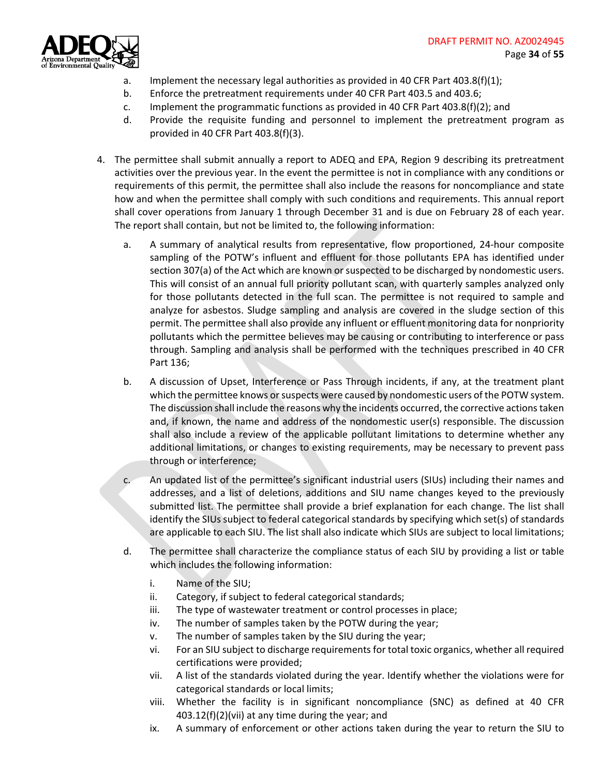

- a. Implement the necessary legal authorities as provided in 40 CFR Part 403.8(f)(1);
- b. Enforce the pretreatment requirements under 40 CFR Part 403.5 and 403.6;
- c. Implement the programmatic functions as provided in 40 CFR Part 403.8(f)(2); and
- d. Provide the requisite funding and personnel to implement the pretreatment program as provided in 40 CFR Part 403.8(f)(3).
- 4. The permittee shall submit annually a report to ADEQ and EPA, Region 9 describing its pretreatment activities over the previous year. In the event the permittee is not in compliance with any conditions or requirements of this permit, the permittee shall also include the reasons for noncompliance and state how and when the permittee shall comply with such conditions and requirements. This annual report shall cover operations from January 1 through December 31 and is due on February 28 of each year. The report shall contain, but not be limited to, the following information:
	- a. A summary of analytical results from representative, flow proportioned, 24-hour composite sampling of the POTW's influent and effluent for those pollutants EPA has identified under section 307(a) of the Act which are known or suspected to be discharged by nondomestic users. This will consist of an annual full priority pollutant scan, with quarterly samples analyzed only for those pollutants detected in the full scan. The permittee is not required to sample and analyze for asbestos. Sludge sampling and analysis are covered in the sludge section of this permit. The permittee shall also provide any influent or effluent monitoring data for nonpriority pollutants which the permittee believes may be causing or contributing to interference or pass through. Sampling and analysis shall be performed with the techniques prescribed in 40 CFR Part 136;
	- b. A discussion of Upset, Interference or Pass Through incidents, if any, at the treatment plant which the permittee knows or suspects were caused by nondomestic users of the POTW system. The discussion shall include the reasons why the incidents occurred, the corrective actions taken and, if known, the name and address of the nondomestic user(s) responsible. The discussion shall also include a review of the applicable pollutant limitations to determine whether any additional limitations, or changes to existing requirements, may be necessary to prevent pass through or interference;
	- c. An updated list of the permittee's significant industrial users (SIUs) including their names and addresses, and a list of deletions, additions and SIU name changes keyed to the previously submitted list. The permittee shall provide a brief explanation for each change. The list shall identify the SIUs subject to federal categorical standards by specifying which set(s) of standards are applicable to each SIU. The list shall also indicate which SIUs are subject to local limitations;
	- d. The permittee shall characterize the compliance status of each SIU by providing a list or table which includes the following information:
		- i. Name of the SIU;
		- ii. Category, if subject to federal categorical standards;
		- iii. The type of wastewater treatment or control processes in place;
		- iv. The number of samples taken by the POTW during the year;
		- v. The number of samples taken by the SIU during the year;
		- vi. For an SIU subject to discharge requirements for total toxic organics, whether all required certifications were provided;
		- vii. A list of the standards violated during the year. Identify whether the violations were for categorical standards or local limits;
		- viii. Whether the facility is in significant noncompliance (SNC) as defined at 40 CFR 403.12(f)(2)(vii) at any time during the year; and
		- ix. A summary of enforcement or other actions taken during the year to return the SIU to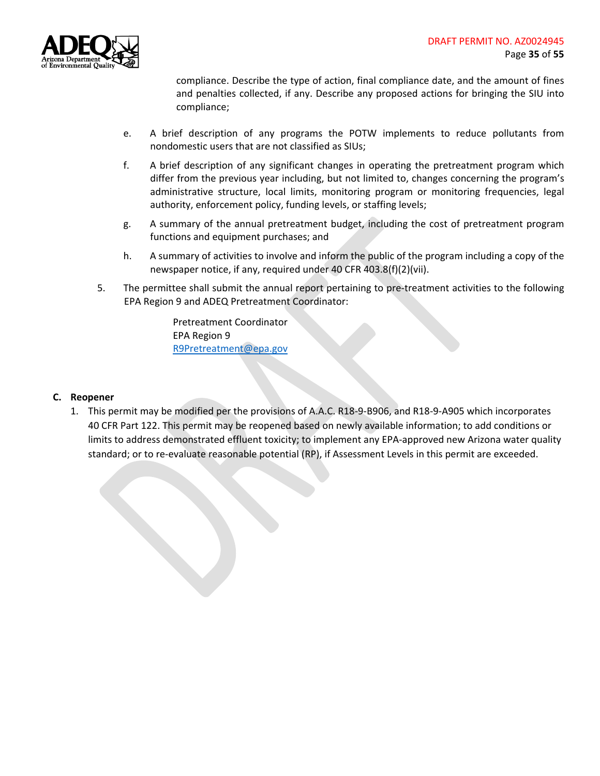

compliance. Describe the type of action, final compliance date, and the amount of fines and penalties collected, if any. Describe any proposed actions for bringing the SIU into compliance;

- e. A brief description of any programs the POTW implements to reduce pollutants from nondomestic users that are not classified as SIUs;
- f. A brief description of any significant changes in operating the pretreatment program which differ from the previous year including, but not limited to, changes concerning the program's administrative structure, local limits, monitoring program or monitoring frequencies, legal authority, enforcement policy, funding levels, or staffing levels;
- g. A summary of the annual pretreatment budget, including the cost of pretreatment program functions and equipment purchases; and
- h. A summary of activities to involve and inform the public of the program including a copy of the newspaper notice, if any, required under 40 CFR 403.8(f)(2)(vii).
- 5. The permittee shall submit the annual report pertaining to pre-treatment activities to the following EPA Region 9 and ADEQ Pretreatment Coordinator:

Pretreatment Coordinator EPA Region 9 [R9Pretreatment@epa.gov](mailto:R9Pretreatment@epa.gov)

#### <span id="page-34-0"></span>**C. Reopener**

1. This permit may be modified per the provisions of A.A.C. R18-9-B906, and R18-9-A905 which incorporates 40 CFR Part 122. This permit may be reopened based on newly available information; to add conditions or limits to address demonstrated effluent toxicity; to implement any EPA-approved new Arizona water quality standard; or to re-evaluate reasonable potential (RP), if Assessment Levels in this permit are exceeded.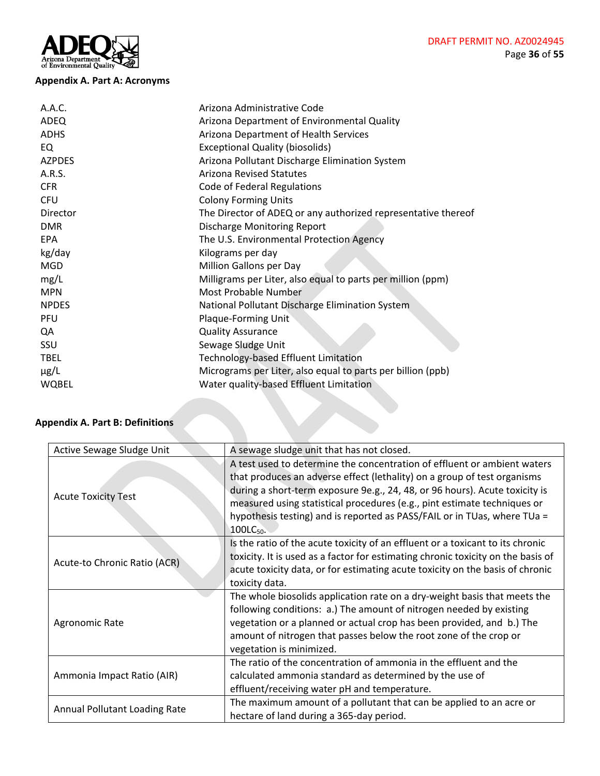# Arizona Department

# <span id="page-35-0"></span>**Appendix A. Part A: Acronyms**

| A.A.C.        | Arizona Administrative Code                                   |
|---------------|---------------------------------------------------------------|
| <b>ADEQ</b>   | Arizona Department of Environmental Quality                   |
| <b>ADHS</b>   | Arizona Department of Health Services                         |
| EQ            | <b>Exceptional Quality (biosolids)</b>                        |
| <b>AZPDES</b> | Arizona Pollutant Discharge Elimination System                |
| A.R.S.        | <b>Arizona Revised Statutes</b>                               |
| <b>CFR</b>    | Code of Federal Regulations                                   |
| <b>CFU</b>    | <b>Colony Forming Units</b>                                   |
| Director      | The Director of ADEQ or any authorized representative thereof |
| <b>DMR</b>    | <b>Discharge Monitoring Report</b>                            |
| <b>EPA</b>    | The U.S. Environmental Protection Agency                      |
| kg/day        | Kilograms per day                                             |
| <b>MGD</b>    | Million Gallons per Day                                       |
| mg/L          | Milligrams per Liter, also equal to parts per million (ppm)   |
| <b>MPN</b>    | Most Probable Number                                          |
| <b>NPDES</b>  | National Pollutant Discharge Elimination System               |
| <b>PFU</b>    | Plaque-Forming Unit                                           |
| QA            | <b>Quality Assurance</b>                                      |
| <b>SSU</b>    | Sewage Sludge Unit                                            |
| <b>TBEL</b>   | <b>Technology-based Effluent Limitation</b>                   |
| $\mu$ g/L     | Micrograms per Liter, also equal to parts per billion (ppb)   |
| WQBEL         | Water quality-based Effluent Limitation                       |
|               |                                                               |

# <span id="page-35-1"></span>**Appendix A. Part B: Definitions**

| Active Sewage Sludge Unit     | A sewage sludge unit that has not closed.                                                                                                                                                                                                                                                                                                                                                                            |
|-------------------------------|----------------------------------------------------------------------------------------------------------------------------------------------------------------------------------------------------------------------------------------------------------------------------------------------------------------------------------------------------------------------------------------------------------------------|
| <b>Acute Toxicity Test</b>    | A test used to determine the concentration of effluent or ambient waters<br>that produces an adverse effect (lethality) on a group of test organisms<br>during a short-term exposure 9e.g., 24, 48, or 96 hours). Acute toxicity is<br>measured using statistical procedures (e.g., pint estimate techniques or<br>hypothesis testing) and is reported as PASS/FAIL or in TUas, where TUa =<br>100LC <sub>50</sub> . |
| Acute-to Chronic Ratio (ACR)  | Is the ratio of the acute toxicity of an effluent or a toxicant to its chronic<br>toxicity. It is used as a factor for estimating chronic toxicity on the basis of<br>acute toxicity data, or for estimating acute toxicity on the basis of chronic<br>toxicity data.                                                                                                                                                |
| Agronomic Rate                | The whole biosolids application rate on a dry-weight basis that meets the<br>following conditions: a.) The amount of nitrogen needed by existing<br>vegetation or a planned or actual crop has been provided, and b.) The<br>amount of nitrogen that passes below the root zone of the crop or<br>vegetation is minimized.                                                                                           |
| Ammonia Impact Ratio (AIR)    | The ratio of the concentration of ammonia in the effluent and the<br>calculated ammonia standard as determined by the use of<br>effluent/receiving water pH and temperature.                                                                                                                                                                                                                                         |
| Annual Pollutant Loading Rate | The maximum amount of a pollutant that can be applied to an acre or<br>hectare of land during a 365-day period.                                                                                                                                                                                                                                                                                                      |

**The Contract of Street**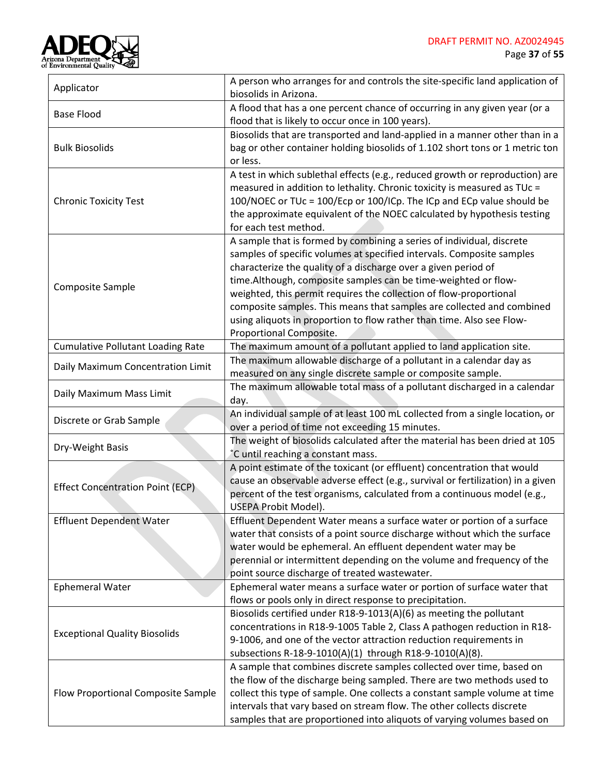

| Applicator                               | A person who arranges for and controls the site-specific land application of<br>biosolids in Arizona.                                                                                                                                                                                                                                                                                                                                                                                                                                 |
|------------------------------------------|---------------------------------------------------------------------------------------------------------------------------------------------------------------------------------------------------------------------------------------------------------------------------------------------------------------------------------------------------------------------------------------------------------------------------------------------------------------------------------------------------------------------------------------|
| <b>Base Flood</b>                        | A flood that has a one percent chance of occurring in any given year (or a<br>flood that is likely to occur once in 100 years).                                                                                                                                                                                                                                                                                                                                                                                                       |
| <b>Bulk Biosolids</b>                    | Biosolids that are transported and land-applied in a manner other than in a<br>bag or other container holding biosolids of 1.102 short tons or 1 metric ton<br>or less.                                                                                                                                                                                                                                                                                                                                                               |
| <b>Chronic Toxicity Test</b>             | A test in which sublethal effects (e.g., reduced growth or reproduction) are<br>measured in addition to lethality. Chronic toxicity is measured as TUc =<br>100/NOEC or TUc = 100/Ecp or 100/ICp. The ICp and ECp value should be<br>the approximate equivalent of the NOEC calculated by hypothesis testing<br>for each test method.                                                                                                                                                                                                 |
| Composite Sample                         | A sample that is formed by combining a series of individual, discrete<br>samples of specific volumes at specified intervals. Composite samples<br>characterize the quality of a discharge over a given period of<br>time.Although, composite samples can be time-weighted or flow-<br>weighted, this permit requires the collection of flow-proportional<br>composite samples. This means that samples are collected and combined<br>using aliquots in proportion to flow rather than time. Also see Flow-<br>Proportional Composite. |
| <b>Cumulative Pollutant Loading Rate</b> | The maximum amount of a pollutant applied to land application site.                                                                                                                                                                                                                                                                                                                                                                                                                                                                   |
| Daily Maximum Concentration Limit        | The maximum allowable discharge of a pollutant in a calendar day as                                                                                                                                                                                                                                                                                                                                                                                                                                                                   |
| Daily Maximum Mass Limit                 | measured on any single discrete sample or composite sample.<br>The maximum allowable total mass of a pollutant discharged in a calendar<br>day.                                                                                                                                                                                                                                                                                                                                                                                       |
| Discrete or Grab Sample                  | An individual sample of at least 100 mL collected from a single location, or<br>over a period of time not exceeding 15 minutes.                                                                                                                                                                                                                                                                                                                                                                                                       |
| Dry-Weight Basis                         | The weight of biosolids calculated after the material has been dried at 105<br>°C until reaching a constant mass.                                                                                                                                                                                                                                                                                                                                                                                                                     |
| <b>Effect Concentration Point (ECP)</b>  | A point estimate of the toxicant (or effluent) concentration that would<br>cause an observable adverse effect (e.g., survival or fertilization) in a given<br>percent of the test organisms, calculated from a continuous model (e.g.,<br>USEPA Probit Model).                                                                                                                                                                                                                                                                        |
| <b>Effluent Dependent Water</b>          | Effluent Dependent Water means a surface water or portion of a surface<br>water that consists of a point source discharge without which the surface<br>water would be ephemeral. An effluent dependent water may be<br>perennial or intermittent depending on the volume and frequency of the<br>point source discharge of treated wastewater.                                                                                                                                                                                        |
| <b>Ephemeral Water</b>                   | Ephemeral water means a surface water or portion of surface water that<br>flows or pools only in direct response to precipitation.                                                                                                                                                                                                                                                                                                                                                                                                    |
| <b>Exceptional Quality Biosolids</b>     | Biosolids certified under R18-9-1013(A)(6) as meeting the pollutant<br>concentrations in R18-9-1005 Table 2, Class A pathogen reduction in R18-<br>9-1006, and one of the vector attraction reduction requirements in<br>subsections R-18-9-1010(A)(1) through R18-9-1010(A)(8).                                                                                                                                                                                                                                                      |
| Flow Proportional Composite Sample       | A sample that combines discrete samples collected over time, based on<br>the flow of the discharge being sampled. There are two methods used to<br>collect this type of sample. One collects a constant sample volume at time<br>intervals that vary based on stream flow. The other collects discrete<br>samples that are proportioned into aliquots of varying volumes based on                                                                                                                                                     |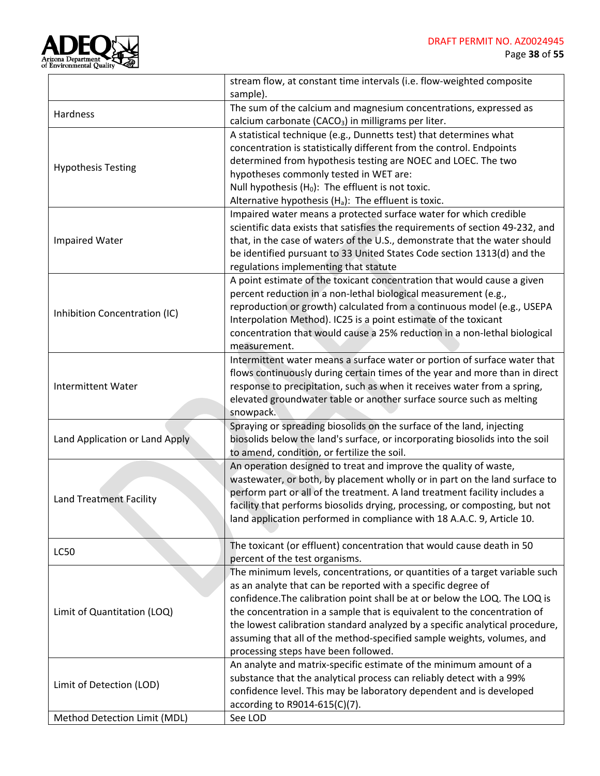$\overline{\phantom{a}}$ 



|                                | stream flow, at constant time intervals (i.e. flow-weighted composite<br>sample).                                                                                                                                                                                                                                                                                                                                                                                                                       |
|--------------------------------|---------------------------------------------------------------------------------------------------------------------------------------------------------------------------------------------------------------------------------------------------------------------------------------------------------------------------------------------------------------------------------------------------------------------------------------------------------------------------------------------------------|
| Hardness                       | The sum of the calcium and magnesium concentrations, expressed as<br>calcium carbonate (CACO <sub>3</sub> ) in milligrams per liter.                                                                                                                                                                                                                                                                                                                                                                    |
| <b>Hypothesis Testing</b>      | A statistical technique (e.g., Dunnetts test) that determines what<br>concentration is statistically different from the control. Endpoints<br>determined from hypothesis testing are NOEC and LOEC. The two<br>hypotheses commonly tested in WET are:<br>Null hypothesis $(H_0)$ : The effluent is not toxic.<br>Alternative hypothesis $(H_a)$ : The effluent is toxic.                                                                                                                                |
| <b>Impaired Water</b>          | Impaired water means a protected surface water for which credible<br>scientific data exists that satisfies the requirements of section 49-232, and<br>that, in the case of waters of the U.S., demonstrate that the water should<br>be identified pursuant to 33 United States Code section 1313(d) and the<br>regulations implementing that statute                                                                                                                                                    |
| Inhibition Concentration (IC)  | A point estimate of the toxicant concentration that would cause a given<br>percent reduction in a non-lethal biological measurement (e.g.,<br>reproduction or growth) calculated from a continuous model (e.g., USEPA<br>Interpolation Method). IC25 is a point estimate of the toxicant<br>concentration that would cause a 25% reduction in a non-lethal biological<br>measurement.                                                                                                                   |
| <b>Intermittent Water</b>      | Intermittent water means a surface water or portion of surface water that<br>flows continuously during certain times of the year and more than in direct<br>response to precipitation, such as when it receives water from a spring,<br>elevated groundwater table or another surface source such as melting<br>snowpack.                                                                                                                                                                               |
| Land Application or Land Apply | Spraying or spreading biosolids on the surface of the land, injecting<br>biosolids below the land's surface, or incorporating biosolids into the soil<br>to amend, condition, or fertilize the soil.                                                                                                                                                                                                                                                                                                    |
| <b>Land Treatment Facility</b> | An operation designed to treat and improve the quality of waste,<br>wastewater, or both, by placement wholly or in part on the land surface to<br>perform part or all of the treatment. A land treatment facility includes a<br>facility that performs biosolids drying, processing, or composting, but not<br>land application performed in compliance with 18 A.A.C. 9, Article 10.                                                                                                                   |
| LC50                           | The toxicant (or effluent) concentration that would cause death in 50<br>percent of the test organisms.                                                                                                                                                                                                                                                                                                                                                                                                 |
| Limit of Quantitation (LOQ)    | The minimum levels, concentrations, or quantities of a target variable such<br>as an analyte that can be reported with a specific degree of<br>confidence. The calibration point shall be at or below the LOQ. The LOQ is<br>the concentration in a sample that is equivalent to the concentration of<br>the lowest calibration standard analyzed by a specific analytical procedure,<br>assuming that all of the method-specified sample weights, volumes, and<br>processing steps have been followed. |
| Limit of Detection (LOD)       | An analyte and matrix-specific estimate of the minimum amount of a<br>substance that the analytical process can reliably detect with a 99%<br>confidence level. This may be laboratory dependent and is developed<br>according to R9014-615(C)(7).                                                                                                                                                                                                                                                      |
| Method Detection Limit (MDL)   | See LOD                                                                                                                                                                                                                                                                                                                                                                                                                                                                                                 |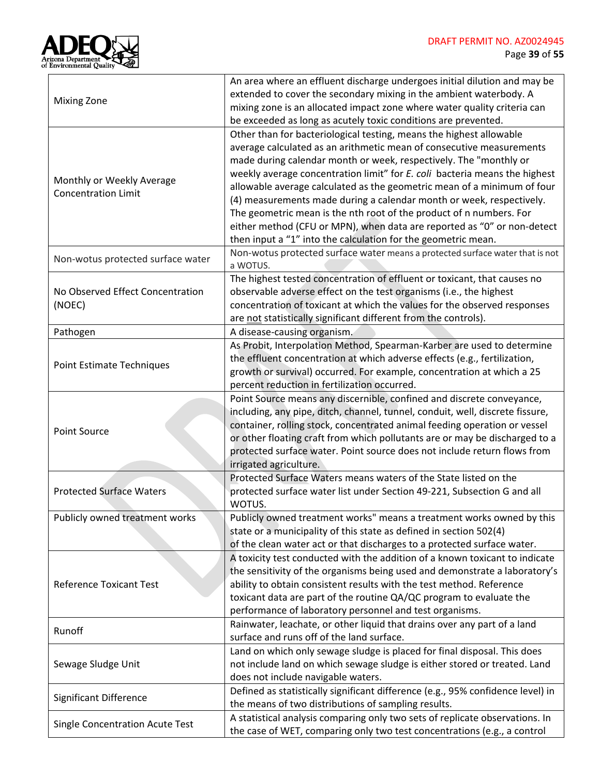An area where an effluent discharge undergoes initial dilution and may be



| <b>Mixing Zone</b>                                      | extended to cover the secondary mixing in the ambient waterbody. A<br>mixing zone is an allocated impact zone where water quality criteria can                                                                                                                                                                                                                                                                                                                                                                                                                                                                                                                       |
|---------------------------------------------------------|----------------------------------------------------------------------------------------------------------------------------------------------------------------------------------------------------------------------------------------------------------------------------------------------------------------------------------------------------------------------------------------------------------------------------------------------------------------------------------------------------------------------------------------------------------------------------------------------------------------------------------------------------------------------|
|                                                         | be exceeded as long as acutely toxic conditions are prevented.                                                                                                                                                                                                                                                                                                                                                                                                                                                                                                                                                                                                       |
| Monthly or Weekly Average<br><b>Concentration Limit</b> | Other than for bacteriological testing, means the highest allowable<br>average calculated as an arithmetic mean of consecutive measurements<br>made during calendar month or week, respectively. The "monthly or<br>weekly average concentration limit" for E. coli bacteria means the highest<br>allowable average calculated as the geometric mean of a minimum of four<br>(4) measurements made during a calendar month or week, respectively.<br>The geometric mean is the nth root of the product of n numbers. For<br>either method (CFU or MPN), when data are reported as "0" or non-detect<br>then input a "1" into the calculation for the geometric mean. |
| Non-wotus protected surface water                       | Non-wotus protected surface water means a protected surface water that is not<br>a WOTUS.                                                                                                                                                                                                                                                                                                                                                                                                                                                                                                                                                                            |
| No Observed Effect Concentration<br>(NOEC)              | The highest tested concentration of effluent or toxicant, that causes no<br>observable adverse effect on the test organisms (i.e., the highest<br>concentration of toxicant at which the values for the observed responses<br>are not statistically significant different from the controls).                                                                                                                                                                                                                                                                                                                                                                        |
| Pathogen                                                | A disease-causing organism.                                                                                                                                                                                                                                                                                                                                                                                                                                                                                                                                                                                                                                          |
| Point Estimate Techniques                               | As Probit, Interpolation Method, Spearman-Karber are used to determine<br>the effluent concentration at which adverse effects (e.g., fertilization,<br>growth or survival) occurred. For example, concentration at which a 25<br>percent reduction in fertilization occurred.                                                                                                                                                                                                                                                                                                                                                                                        |
| Point Source                                            | Point Source means any discernible, confined and discrete conveyance,<br>including, any pipe, ditch, channel, tunnel, conduit, well, discrete fissure,<br>container, rolling stock, concentrated animal feeding operation or vessel<br>or other floating craft from which pollutants are or may be discharged to a<br>protected surface water. Point source does not include return flows from<br>irrigated agriculture.                                                                                                                                                                                                                                             |
| <b>Protected Surface Waters</b>                         | Protected Surface Waters means waters of the State listed on the<br>protected surface water list under Section 49-221, Subsection G and all<br>WOTUS.                                                                                                                                                                                                                                                                                                                                                                                                                                                                                                                |
| Publicly owned treatment works                          | Publicly owned treatment works" means a treatment works owned by this<br>state or a municipality of this state as defined in section 502(4)<br>of the clean water act or that discharges to a protected surface water.                                                                                                                                                                                                                                                                                                                                                                                                                                               |
|                                                         | A toxicity test conducted with the addition of a known toxicant to indicate<br>the sensitivity of the organisms being used and demonstrate a laboratory's                                                                                                                                                                                                                                                                                                                                                                                                                                                                                                            |

| <b>Reference Toxicant Test</b>         | the sensitivity of the organisms being used and acmonstrate a laboratory s<br>ability to obtain consistent results with the test method. Reference<br>toxicant data are part of the routine QA/QC program to evaluate the<br>performance of laboratory personnel and test organisms. |  |  |  |  |
|----------------------------------------|--------------------------------------------------------------------------------------------------------------------------------------------------------------------------------------------------------------------------------------------------------------------------------------|--|--|--|--|
| Runoff                                 | Rainwater, leachate, or other liquid that drains over any part of a land<br>surface and runs off of the land surface.                                                                                                                                                                |  |  |  |  |
| Sewage Sludge Unit                     | Land on which only sewage sludge is placed for final disposal. This does<br>not include land on which sewage sludge is either stored or treated. Land<br>does not include navigable waters.                                                                                          |  |  |  |  |
| Significant Difference                 | Defined as statistically significant difference (e.g., 95% confidence level) in<br>the means of two distributions of sampling results.                                                                                                                                               |  |  |  |  |
| <b>Single Concentration Acute Test</b> | A statistical analysis comparing only two sets of replicate observations. In<br>the case of WET, comparing only two test concentrations (e.g., a control                                                                                                                             |  |  |  |  |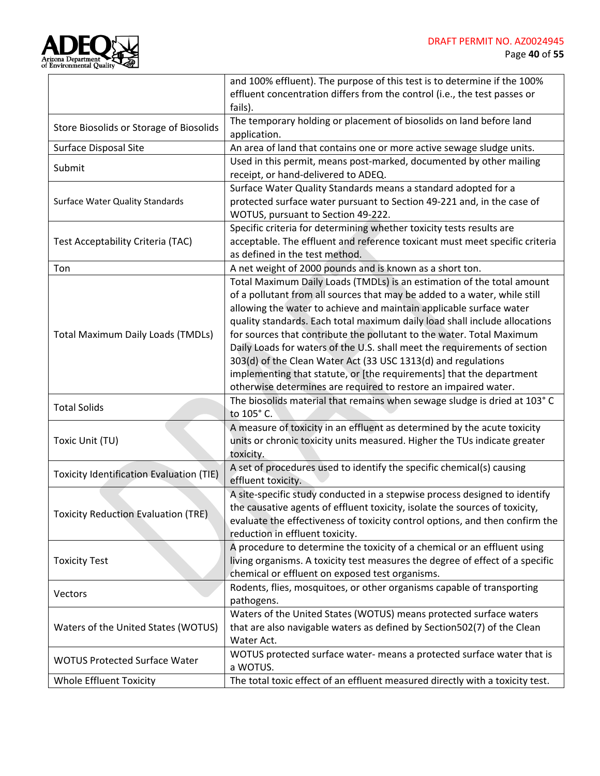

|                                                 | and 100% effluent). The purpose of this test is to determine if the 100%                                   |
|-------------------------------------------------|------------------------------------------------------------------------------------------------------------|
|                                                 | effluent concentration differs from the control (i.e., the test passes or                                  |
|                                                 | fails).                                                                                                    |
| Store Biosolids or Storage of Biosolids         | The temporary holding or placement of biosolids on land before land<br>application.                        |
| <b>Surface Disposal Site</b>                    | An area of land that contains one or more active sewage sludge units.                                      |
| Submit                                          | Used in this permit, means post-marked, documented by other mailing<br>receipt, or hand-delivered to ADEQ. |
|                                                 | Surface Water Quality Standards means a standard adopted for a                                             |
| <b>Surface Water Quality Standards</b>          | protected surface water pursuant to Section 49-221 and, in the case of                                     |
|                                                 | WOTUS, pursuant to Section 49-222.                                                                         |
|                                                 | Specific criteria for determining whether toxicity tests results are                                       |
| Test Acceptability Criteria (TAC)               | acceptable. The effluent and reference toxicant must meet specific criteria                                |
|                                                 | as defined in the test method.                                                                             |
| Ton                                             | A net weight of 2000 pounds and is known as a short ton.                                                   |
|                                                 | Total Maximum Daily Loads (TMDLs) is an estimation of the total amount                                     |
|                                                 | of a pollutant from all sources that may be added to a water, while still                                  |
|                                                 | allowing the water to achieve and maintain applicable surface water                                        |
|                                                 | quality standards. Each total maximum daily load shall include allocations                                 |
| <b>Total Maximum Daily Loads (TMDLs)</b>        | for sources that contribute the pollutant to the water. Total Maximum                                      |
|                                                 | Daily Loads for waters of the U.S. shall meet the requirements of section                                  |
|                                                 | 303(d) of the Clean Water Act (33 USC 1313(d) and regulations                                              |
|                                                 | implementing that statute, or [the requirements] that the department                                       |
|                                                 | otherwise determines are required to restore an impaired water.                                            |
|                                                 | The biosolids material that remains when sewage sludge is dried at 103° C                                  |
| <b>Total Solids</b>                             | to 105° C.                                                                                                 |
|                                                 | A measure of toxicity in an effluent as determined by the acute toxicity                                   |
| Toxic Unit (TU)                                 | units or chronic toxicity units measured. Higher the TUs indicate greater                                  |
|                                                 | toxicity.                                                                                                  |
| <b>Toxicity Identification Evaluation (TIE)</b> | A set of procedures used to identify the specific chemical(s) causing                                      |
|                                                 | effluent toxicity.                                                                                         |
|                                                 | A site-specific study conducted in a stepwise process designed to identify                                 |
| <b>Toxicity Reduction Evaluation (TRE)</b>      | the causative agents of effluent toxicity, isolate the sources of toxicity,                                |
|                                                 | evaluate the effectiveness of toxicity control options, and then confirm the                               |
|                                                 | reduction in effluent toxicity.                                                                            |
|                                                 | A procedure to determine the toxicity of a chemical or an effluent using                                   |
| <b>Toxicity Test</b>                            | living organisms. A toxicity test measures the degree of effect of a specific                              |
|                                                 | chemical or effluent on exposed test organisms.                                                            |
| Vectors                                         | Rodents, flies, mosquitoes, or other organisms capable of transporting                                     |
|                                                 | pathogens.                                                                                                 |
|                                                 | Waters of the United States (WOTUS) means protected surface waters                                         |
| Waters of the United States (WOTUS)             | that are also navigable waters as defined by Section502(7) of the Clean                                    |
|                                                 | Water Act.                                                                                                 |
| <b>WOTUS Protected Surface Water</b>            | WOTUS protected surface water- means a protected surface water that is                                     |
|                                                 | a WOTUS.                                                                                                   |
| <b>Whole Effluent Toxicity</b>                  | The total toxic effect of an effluent measured directly with a toxicity test.                              |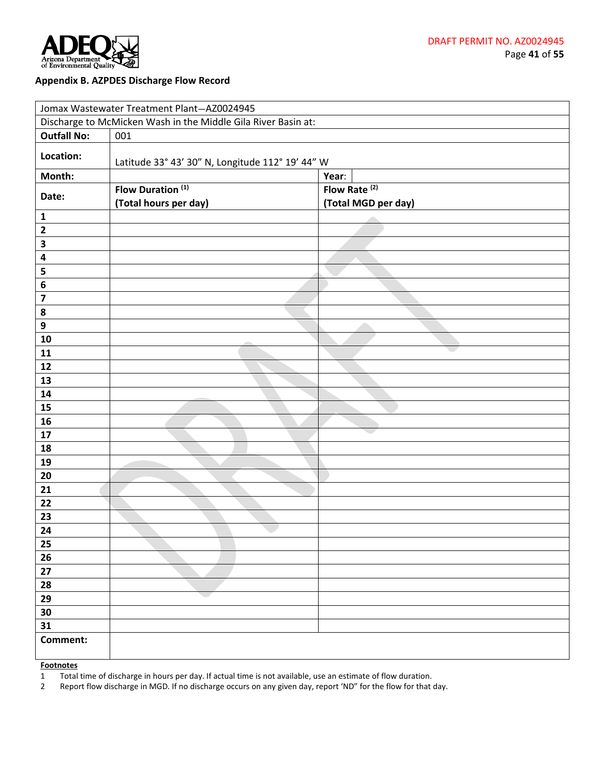

#### <span id="page-40-0"></span>**Appendix B. AZPDES Discharge Flow Record**

| Jomax Wastewater Treatment Plant-AZ0024945                    |                                                  |                          |  |  |  |  |  |
|---------------------------------------------------------------|--------------------------------------------------|--------------------------|--|--|--|--|--|
| Discharge to McMicken Wash in the Middle Gila River Basin at: |                                                  |                          |  |  |  |  |  |
| <b>Outfall No:</b>                                            | 001                                              |                          |  |  |  |  |  |
| Location:                                                     |                                                  |                          |  |  |  |  |  |
|                                                               | Latitude 33° 43' 30" N, Longitude 112° 19' 44" W |                          |  |  |  |  |  |
| Month:                                                        |                                                  | Year:                    |  |  |  |  |  |
| Date:                                                         | Flow Duration <sup>(1)</sup>                     | Flow Rate <sup>(2)</sup> |  |  |  |  |  |
|                                                               | (Total hours per day)                            | (Total MGD per day)      |  |  |  |  |  |
| $\mathbf{1}$                                                  |                                                  | œ                        |  |  |  |  |  |
| $\mathbf{2}$                                                  |                                                  |                          |  |  |  |  |  |
| $\overline{\mathbf{3}}$                                       |                                                  |                          |  |  |  |  |  |
| 4                                                             |                                                  |                          |  |  |  |  |  |
| 5                                                             |                                                  |                          |  |  |  |  |  |
| $\overline{\mathbf{6}}$                                       |                                                  |                          |  |  |  |  |  |
| $\overline{\mathbf{z}}$                                       |                                                  |                          |  |  |  |  |  |
| ${\bf 8}$                                                     |                                                  |                          |  |  |  |  |  |
| $\boldsymbol{9}$                                              |                                                  |                          |  |  |  |  |  |
| 10                                                            |                                                  |                          |  |  |  |  |  |
| 11                                                            |                                                  |                          |  |  |  |  |  |
| 12                                                            |                                                  |                          |  |  |  |  |  |
| 13                                                            |                                                  |                          |  |  |  |  |  |
| 14                                                            |                                                  |                          |  |  |  |  |  |
| 15                                                            |                                                  |                          |  |  |  |  |  |
| 16                                                            |                                                  |                          |  |  |  |  |  |
| $17\,$                                                        |                                                  |                          |  |  |  |  |  |
| 18                                                            |                                                  |                          |  |  |  |  |  |
| 19                                                            |                                                  |                          |  |  |  |  |  |
| 20                                                            |                                                  |                          |  |  |  |  |  |
| 21                                                            |                                                  |                          |  |  |  |  |  |
| 22                                                            |                                                  |                          |  |  |  |  |  |
| 23                                                            |                                                  |                          |  |  |  |  |  |
| 24                                                            |                                                  |                          |  |  |  |  |  |
| 25                                                            |                                                  |                          |  |  |  |  |  |
| 26                                                            |                                                  |                          |  |  |  |  |  |
| 27                                                            |                                                  |                          |  |  |  |  |  |
| 28                                                            |                                                  |                          |  |  |  |  |  |
| 29                                                            |                                                  |                          |  |  |  |  |  |
| 30                                                            |                                                  |                          |  |  |  |  |  |
| 31                                                            |                                                  |                          |  |  |  |  |  |
| Comment:                                                      |                                                  |                          |  |  |  |  |  |
|                                                               |                                                  |                          |  |  |  |  |  |

#### **Footnotes**

1 Total time of discharge in hours per day. If actual time is not available, use an estimate of flow duration.<br>2 Report flow discharge in MGD. If no discharge occurs on any given day, report 'ND'' for the flow for that

Report flow discharge in MGD. If no discharge occurs on any given day, report 'ND" for the flow for that day.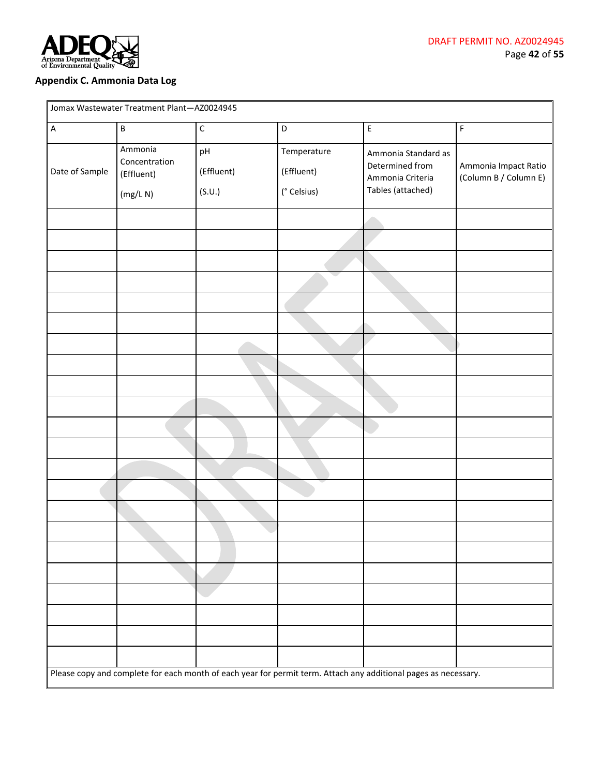

#### <span id="page-41-0"></span>**Appendix C. Ammonia Data Log**

| Jomax Wastewater Treatment Plant-AZ0024945 |                                                    |                            |                                          |                                                                                                                 |                                               |  |
|--------------------------------------------|----------------------------------------------------|----------------------------|------------------------------------------|-----------------------------------------------------------------------------------------------------------------|-----------------------------------------------|--|
| $\mathsf A$                                | $\sf B$                                            | $\mathsf C$                | D                                        | $\mathsf E$                                                                                                     | $\mathsf F$                                   |  |
| Date of Sample                             | Ammonia<br>Concentration<br>(Effluent)<br>(mg/L N) | pH<br>(Effluent)<br>(S.U.) | Temperature<br>(Effluent)<br>(° Celsius) | Ammonia Standard as<br>Determined from<br>Ammonia Criteria<br>Tables (attached)                                 | Ammonia Impact Ratio<br>(Column B / Column E) |  |
|                                            |                                                    |                            |                                          |                                                                                                                 |                                               |  |
|                                            |                                                    |                            |                                          |                                                                                                                 |                                               |  |
|                                            |                                                    |                            |                                          |                                                                                                                 |                                               |  |
|                                            |                                                    |                            |                                          |                                                                                                                 |                                               |  |
|                                            |                                                    |                            |                                          |                                                                                                                 |                                               |  |
|                                            |                                                    |                            |                                          |                                                                                                                 |                                               |  |
|                                            |                                                    |                            |                                          |                                                                                                                 |                                               |  |
|                                            |                                                    |                            |                                          |                                                                                                                 |                                               |  |
|                                            |                                                    |                            |                                          |                                                                                                                 |                                               |  |
|                                            |                                                    |                            |                                          |                                                                                                                 |                                               |  |
|                                            |                                                    |                            |                                          |                                                                                                                 |                                               |  |
|                                            |                                                    |                            |                                          |                                                                                                                 |                                               |  |
|                                            |                                                    |                            |                                          |                                                                                                                 |                                               |  |
|                                            |                                                    |                            |                                          |                                                                                                                 |                                               |  |
|                                            |                                                    |                            |                                          |                                                                                                                 |                                               |  |
|                                            |                                                    |                            |                                          |                                                                                                                 |                                               |  |
|                                            |                                                    |                            |                                          |                                                                                                                 |                                               |  |
|                                            |                                                    |                            |                                          |                                                                                                                 |                                               |  |
|                                            |                                                    |                            |                                          |                                                                                                                 |                                               |  |
|                                            |                                                    |                            |                                          |                                                                                                                 |                                               |  |
|                                            |                                                    |                            |                                          |                                                                                                                 |                                               |  |
|                                            |                                                    |                            |                                          |                                                                                                                 |                                               |  |
|                                            |                                                    |                            |                                          | Please copy and complete for each month of each year for permit term. Attach any additional pages as necessary. |                                               |  |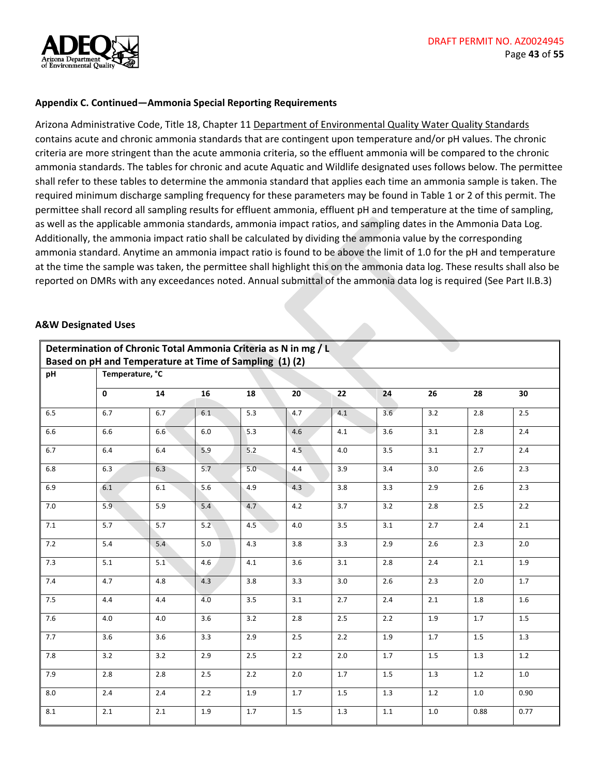

#### **Appendix C. Continued—Ammonia Special Reporting Requirements**

Arizona Administrative Code, Title 18, Chapter 11 Department of Environmental Quality Water Quality Standards contains acute and chronic ammonia standards that are contingent upon temperature and/or pH values. The chronic criteria are more stringent than the acute ammonia criteria, so the effluent ammonia will be compared to the chronic ammonia standards. The tables for chronic and acute Aquatic and Wildlife designated uses follows below. The permittee shall refer to these tables to determine the ammonia standard that applies each time an ammonia sample is taken. The required minimum discharge sampling frequency for these parameters may be found in Table 1 or 2 of this permit. The permittee shall record all sampling results for effluent ammonia, effluent pH and temperature at the time of sampling, as well as the applicable ammonia standards, ammonia impact ratios, and sampling dates in the Ammonia Data Log. Additionally, the ammonia impact ratio shall be calculated by dividing the ammonia value by the corresponding ammonia standard. Anytime an ammonia impact ratio is found to be above the limit of 1.0 for the pH and temperature at the time the sample was taken, the permittee shall highlight this on the ammonia data log. These results shall also be reported on DMRs with any exceedances noted. Annual submittal of the ammonia data log is required (See Part II.B.3)

#### **A&W Designated Uses**

| Determination of Chronic Total Ammonia Criteria as N in mg / L |                 |     |     |     |                  |     |                  |     |         |         |
|----------------------------------------------------------------|-----------------|-----|-----|-----|------------------|-----|------------------|-----|---------|---------|
| Based on pH and Temperature at Time of Sampling (1)(2)         |                 |     |     |     |                  |     |                  |     |         |         |
| pH                                                             | Temperature, °C |     |     |     |                  |     |                  |     |         |         |
|                                                                | $\mathbf 0$     | 14  | 16  | 18  | 20 <sup>7</sup>  | 22  | 24               | 26  | 28      | 30      |
| 6.5                                                            | 6.7             | 6.7 | 6.1 | 5.3 | 4.7              | 4.1 | 3.6              | 3.2 | $2.8\,$ | 2.5     |
| 6.6                                                            | 6.6             | 6.6 | 6.0 | 5.3 | 4.6              | 4.1 | $\overline{3.6}$ | 3.1 | 2.8     | $2.4\,$ |
| 6.7                                                            | 6.4             | 6.4 | 5.9 | 5.2 | 4.5              | 4.0 | 3.5              | 3.1 | 2.7     | 2.4     |
| 6.8                                                            | 6.3             | 6.3 | 5.7 | 5.0 | 4.4              | 3.9 | 3.4              | 3.0 | 2.6     | 2.3     |
| 6.9                                                            | 6.1             | 6.1 | 5.6 | 4.9 | 4.3              | 3.8 | 3.3              | 2.9 | 2.6     | 2.3     |
| 7.0                                                            | 5.9             | 5.9 | 5.4 | 4.7 | 4.2              | 3.7 | 3.2              | 2.8 | 2.5     | 2.2     |
| 7.1                                                            | 5.7             | 5.7 | 5.2 | 4.5 | 4.0              | 3.5 | 3.1              | 2.7 | 2.4     | 2.1     |
| 7.2                                                            | 5.4             | 5.4 | 5.0 | 4.3 | 3.8              | 3.3 | 2.9              | 2.6 | 2.3     | 2.0     |
| 7.3                                                            | 5.1             | 5.1 | 4.6 | 4.1 | 3.6              | 3.1 | 2.8              | 2.4 | 2.1     | $1.9\,$ |
| 7.4                                                            | 4.7             | 4.8 | 4.3 | 3.8 | $\overline{3.3}$ | 3.0 | 2.6              | 2.3 | 2.0     | $1.7\,$ |
| 7.5                                                            | 4.4             | 4.4 | 4.0 | 3.5 | 3.1              | 2.7 | 2.4              | 2.1 | 1.8     | 1.6     |
| 7.6                                                            | 4.0             | 4.0 | 3.6 | 3.2 | 2.8              | 2.5 | 2.2              | 1.9 | 1.7     | 1.5     |
| 7.7                                                            | 3.6             | 3.6 | 3.3 | 2.9 | 2.5              | 2.2 | 1.9              | 1.7 | 1.5     | 1.3     |
| $7.8\,$                                                        | 3.2             | 3.2 | 2.9 | 2.5 | 2.2              | 2.0 | 1.7              | 1.5 | 1.3     | $1.2\,$ |
| 7.9                                                            | 2.8             | 2.8 | 2.5 | 2.2 | 2.0              | 1.7 | 1.5              | 1.3 | 1.2     | 1.0     |
| 8.0                                                            | 2.4             | 2.4 | 2.2 | 1.9 | 1.7              | 1.5 | 1.3              | 1.2 | 1.0     | 0.90    |
| 8.1                                                            | 2.1             | 2.1 | 1.9 | 1.7 | 1.5              | 1.3 | 1.1              | 1.0 | 0.88    | 0.77    |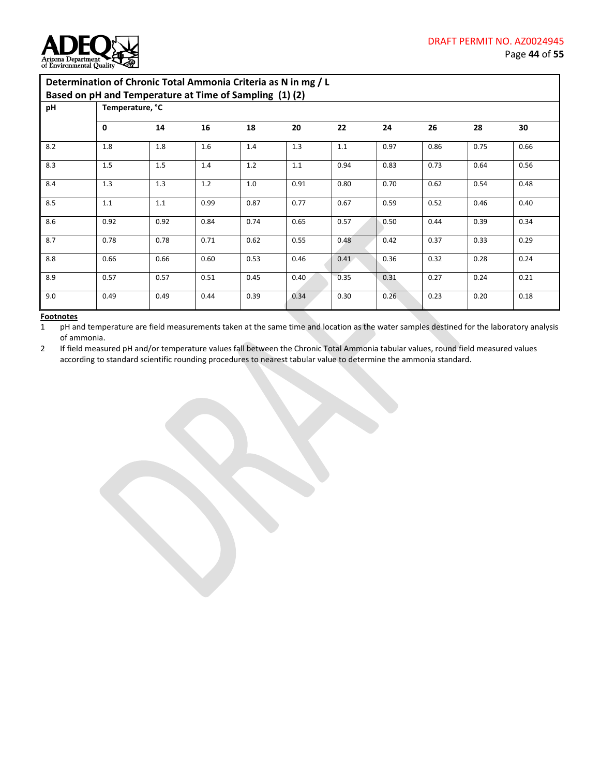

# **Determination of Chronic Total Ammonia Criteria as N in mg / L**

| Based on pH and Temperature at Time of Sampling (1)(2) |                 |      |      |      |      |      |      |      |      |      |
|--------------------------------------------------------|-----------------|------|------|------|------|------|------|------|------|------|
| рH                                                     | Temperature, °C |      |      |      |      |      |      |      |      |      |
|                                                        | 0               | 14   | 16   | 18   | 20   | 22   | 24   | 26   | 28   | 30   |
| 8.2                                                    | 1.8             | 1.8  | 1.6  | 1.4  | 1.3  | 1.1  | 0.97 | 0.86 | 0.75 | 0.66 |
| 8.3                                                    | 1.5             | 1.5  | 1.4  | 1.2  | 1.1  | 0.94 | 0.83 | 0.73 | 0.64 | 0.56 |
| 8.4                                                    | 1.3             | 1.3  | 1.2  | 1.0  | 0.91 | 0.80 | 0.70 | 0.62 | 0.54 | 0.48 |
| 8.5                                                    | 1.1             | 1.1  | 0.99 | 0.87 | 0.77 | 0.67 | 0.59 | 0.52 | 0.46 | 0.40 |
| 8.6                                                    | 0.92            | 0.92 | 0.84 | 0.74 | 0.65 | 0.57 | 0.50 | 0.44 | 0.39 | 0.34 |
| 8.7                                                    | 0.78            | 0.78 | 0.71 | 0.62 | 0.55 | 0.48 | 0.42 | 0.37 | 0.33 | 0.29 |
| 8.8                                                    | 0.66            | 0.66 | 0.60 | 0.53 | 0.46 | 0.41 | 0.36 | 0.32 | 0.28 | 0.24 |
| 8.9                                                    | 0.57            | 0.57 | 0.51 | 0.45 | 0.40 | 0.35 | 0.31 | 0.27 | 0.24 | 0.21 |
| 9.0                                                    | 0.49            | 0.49 | 0.44 | 0.39 | 0.34 | 0.30 | 0.26 | 0.23 | 0.20 | 0.18 |

#### **Footnotes**

1 pH and temperature are field measurements taken at the same time and location as the water samples destined for the laboratory analysis of ammonia.

2 If field measured pH and/or temperature values fall between the Chronic Total Ammonia tabular values, round field measured values according to standard scientific rounding procedures to nearest tabular value to determine the ammonia standard.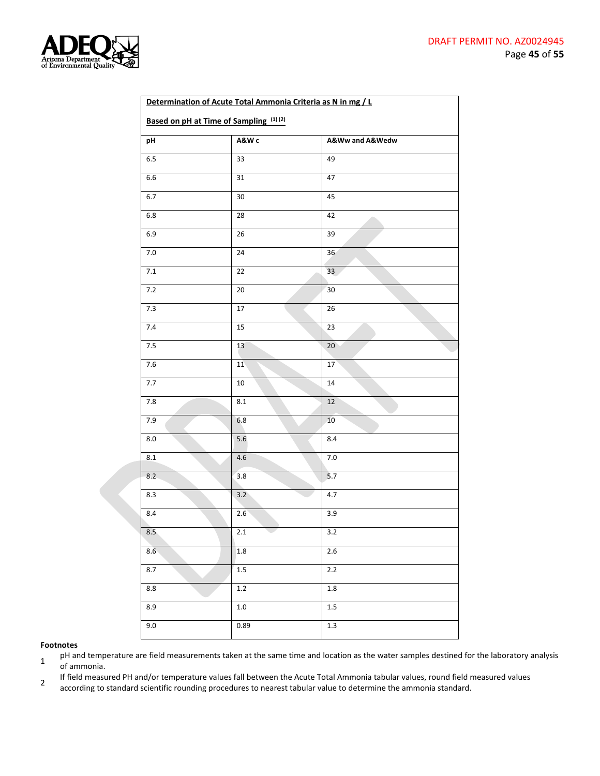

|         | Determination of Acute Total Ammonia Criteria as N in mg / L<br>Based on pH at Time of Sampling (1)(2) |                 |  |  |  |  |  |
|---------|--------------------------------------------------------------------------------------------------------|-----------------|--|--|--|--|--|
| pH      | A&W c                                                                                                  | A&Ww and A&Wedw |  |  |  |  |  |
| $6.5\,$ | 33                                                                                                     | 49              |  |  |  |  |  |
| $6.6\,$ | 31                                                                                                     | 47              |  |  |  |  |  |
| 6.7     | $30\,$                                                                                                 | 45              |  |  |  |  |  |
| 6.8     | 28                                                                                                     | 42              |  |  |  |  |  |
| $6.9\,$ | 26                                                                                                     | 39              |  |  |  |  |  |
| $7.0\,$ | 24                                                                                                     | 36              |  |  |  |  |  |
| 7.1     | 22                                                                                                     | 33 <sup>3</sup> |  |  |  |  |  |
| 7.2     | 20                                                                                                     | 30              |  |  |  |  |  |
| $7.3$   | 17                                                                                                     | $26\,$          |  |  |  |  |  |
| 7.4     | 15                                                                                                     | 23              |  |  |  |  |  |
| 7.5     | 13                                                                                                     | 20 <sub>2</sub> |  |  |  |  |  |
| $7.6\,$ | 11                                                                                                     | 17 <sup>2</sup> |  |  |  |  |  |
| $7.7\,$ | $10\,$                                                                                                 | $14\,$          |  |  |  |  |  |
| 7.8     | $\bf 8.1$                                                                                              | 12              |  |  |  |  |  |
| 7.9     | 6.8                                                                                                    | 10              |  |  |  |  |  |
| $8.0\,$ | 5.6                                                                                                    | $8.4\,$         |  |  |  |  |  |
| $8.1\,$ | 4.6                                                                                                    | $7.0\,$         |  |  |  |  |  |
| 8.2     | 3.8                                                                                                    | 5.7             |  |  |  |  |  |
| 8.3     | 3.2                                                                                                    | 4.7             |  |  |  |  |  |
| $8.4\,$ | 2.6                                                                                                    | 3.9             |  |  |  |  |  |
| 8.5     | 2.1                                                                                                    | 3.2             |  |  |  |  |  |
| 8.6     | 1.8                                                                                                    | $2.6\,$         |  |  |  |  |  |
| $8.7\,$ | $1.5\,$                                                                                                | 2.2             |  |  |  |  |  |
| 8.8     | $1.2\,$                                                                                                | $1.8\,$         |  |  |  |  |  |
| 8.9     | $1.0\,$                                                                                                | $1.5\,$         |  |  |  |  |  |
| 9.0     | 0.89                                                                                                   | 1.3             |  |  |  |  |  |
|         |                                                                                                        |                 |  |  |  |  |  |

#### **Footnotes**

pH and temperature are field measurements taken at the same time and location as the water samples destined for the laboratory analysis for the laboratory analysis of ammonia.

<sup>2</sup>If field measured PH and/or temperature values fall between the Acute Total Ammonia tabular values, round field measured values

according to standard scientific rounding procedures to nearest tabular value to determine the ammonia standard.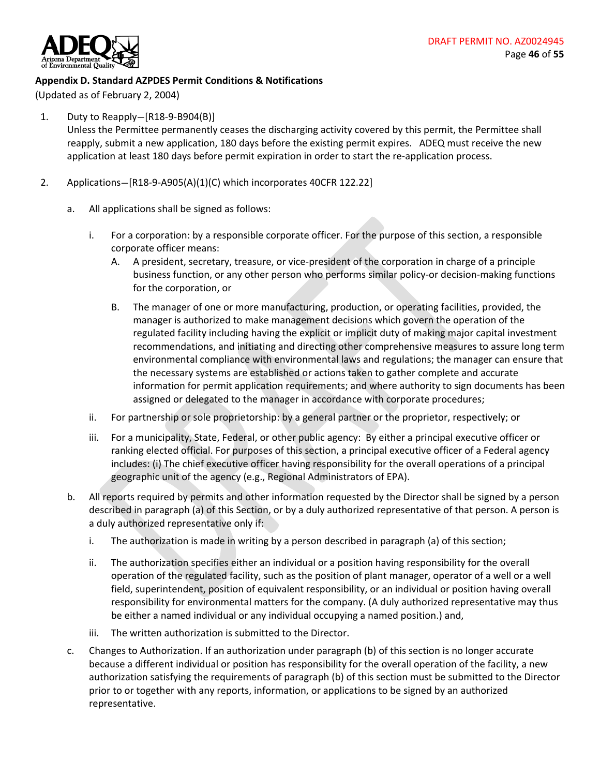

#### <span id="page-45-0"></span>**Appendix D. Standard AZPDES Permit Conditions & Notifications**

(Updated as of February 2, 2004)

- 1. Duty to Reapply—[R18-9-B904(B)] Unless the Permittee permanently ceases the discharging activity covered by this permit, the Permittee shall reapply, submit a new application, 180 days before the existing permit expires. ADEQ must receive the new application at least 180 days before permit expiration in order to start the re-application process.
- 2. Applications—[R18-9-A905(A)(1)(C) which incorporates 40CFR 122.22]
	- a. All applications shall be signed as follows:
		- i. For a corporation: by a responsible corporate officer. For the purpose of this section, a responsible corporate officer means:
			- A. A president, secretary, treasure, or vice-president of the corporation in charge of a principle business function, or any other person who performs similar policy-or decision-making functions for the corporation, or
			- B. The manager of one or more manufacturing, production, or operating facilities, provided, the manager is authorized to make management decisions which govern the operation of the regulated facility including having the explicit or implicit duty of making major capital investment recommendations, and initiating and directing other comprehensive measures to assure long term environmental compliance with environmental laws and regulations; the manager can ensure that the necessary systems are established or actions taken to gather complete and accurate information for permit application requirements; and where authority to sign documents has been assigned or delegated to the manager in accordance with corporate procedures;
		- ii. For partnership or sole proprietorship: by a general partner or the proprietor, respectively; or
		- iii. For a municipality, State, Federal, or other public agency: By either a principal executive officer or ranking elected official. For purposes of this section, a principal executive officer of a Federal agency includes: (i) The chief executive officer having responsibility for the overall operations of a principal geographic unit of the agency (e.g., Regional Administrators of EPA).
	- b. All reports required by permits and other information requested by the Director shall be signed by a person described in paragraph (a) of this Section, or by a duly authorized representative of that person. A person is a duly authorized representative only if:
		- i. The authorization is made in writing by a person described in paragraph (a) of this section;
		- ii. The authorization specifies either an individual or a position having responsibility for the overall operation of the regulated facility, such as the position of plant manager, operator of a well or a well field, superintendent, position of equivalent responsibility, or an individual or position having overall responsibility for environmental matters for the company. (A duly authorized representative may thus be either a named individual or any individual occupying a named position.) and,
		- iii. The written authorization is submitted to the Director.
	- c. Changes to Authorization. If an authorization under paragraph (b) of this section is no longer accurate because a different individual or position has responsibility for the overall operation of the facility, a new authorization satisfying the requirements of paragraph (b) of this section must be submitted to the Director prior to or together with any reports, information, or applications to be signed by an authorized representative.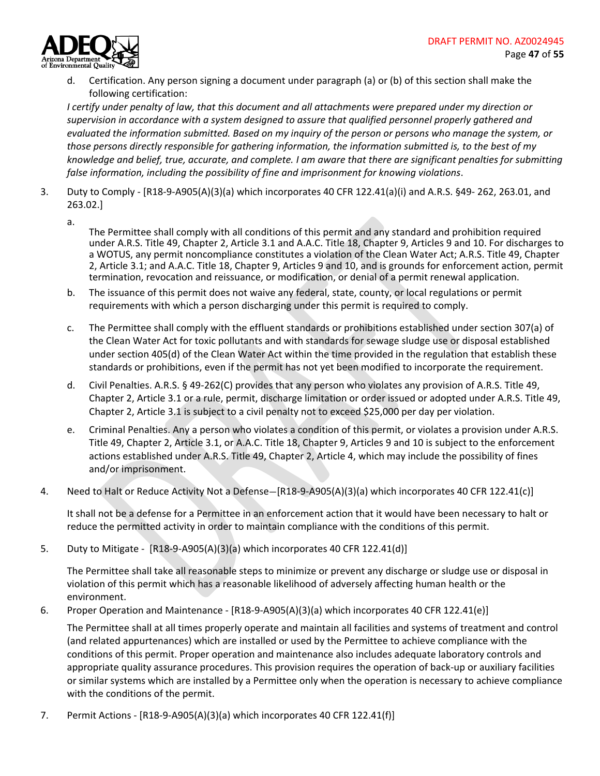

d. Certification. Any person signing a document under paragraph (a) or (b) of this section shall make the following certification:

*I certify under penalty of law, that this document and all attachments were prepared under my direction or supervision in accordance with a system designed to assure that qualified personnel properly gathered and evaluated the information submitted. Based on my inquiry of the person or persons who manage the system, or those persons directly responsible for gathering information, the information submitted is, to the best of my knowledge and belief, true, accurate, and complete. I am aware that there are significant penalties for submitting false information, including the possibility of fine and imprisonment for knowing violations*.

- 3. Duty to Comply [R18-9-A905(A)(3)(a) which incorporates 40 CFR 122.41(a)(i) and A.R.S. §49- 262, 263.01, and 263.02.]
	- a.

The Permittee shall comply with all conditions of this permit and any standard and prohibition required under A.R.S. Title 49, Chapter 2, Article 3.1 and A.A.C. Title 18, Chapter 9, Articles 9 and 10. For discharges to a WOTUS, any permit noncompliance constitutes a violation of the Clean Water Act; A.R.S. Title 49, Chapter 2, Article 3.1; and A.A.C. Title 18, Chapter 9, Articles 9 and 10, and is grounds for enforcement action, permit termination, revocation and reissuance, or modification, or denial of a permit renewal application.

- b. The issuance of this permit does not waive any federal, state, county, or local regulations or permit requirements with which a person discharging under this permit is required to comply.
- c. The Permittee shall comply with the effluent standards or prohibitions established under section 307(a) of the Clean Water Act for toxic pollutants and with standards for sewage sludge use or disposal established under section 405(d) of the Clean Water Act within the time provided in the regulation that establish these standards or prohibitions, even if the permit has not yet been modified to incorporate the requirement.
- d. Civil Penalties. A.R.S. § 49-262(C) provides that any person who violates any provision of A.R.S. Title 49, Chapter 2, Article 3.1 or a rule, permit, discharge limitation or order issued or adopted under A.R.S. Title 49, Chapter 2, Article 3.1 is subject to a civil penalty not to exceed \$25,000 per day per violation.
- e. Criminal Penalties. Any a person who violates a condition of this permit, or violates a provision under A.R.S. Title 49, Chapter 2, Article 3.1, or A.A.C. Title 18, Chapter 9, Articles 9 and 10 is subject to the enforcement actions established under A.R.S. Title 49, Chapter 2, Article 4, which may include the possibility of fines and/or imprisonment.
- 4. Need to Halt or Reduce Activity Not a Defense—[R18-9-A905(A)(3)(a) which incorporates 40 CFR 122.41(c)]

It shall not be a defense for a Permittee in an enforcement action that it would have been necessary to halt or reduce the permitted activity in order to maintain compliance with the conditions of this permit.

5. Duty to Mitigate - [R18-9-A905(A)(3)(a) which incorporates 40 CFR 122.41(d)]

The Permittee shall take all reasonable steps to minimize or prevent any discharge or sludge use or disposal in violation of this permit which has a reasonable likelihood of adversely affecting human health or the environment.

6. Proper Operation and Maintenance - [R18-9-A905(A)(3)(a) which incorporates 40 CFR 122.41(e)]

The Permittee shall at all times properly operate and maintain all facilities and systems of treatment and control (and related appurtenances) which are installed or used by the Permittee to achieve compliance with the conditions of this permit. Proper operation and maintenance also includes adequate laboratory controls and appropriate quality assurance procedures. This provision requires the operation of back-up or auxiliary facilities or similar systems which are installed by a Permittee only when the operation is necessary to achieve compliance with the conditions of the permit.

7. Permit Actions - [R18-9-A905(A)(3)(a) which incorporates 40 CFR 122.41(f)]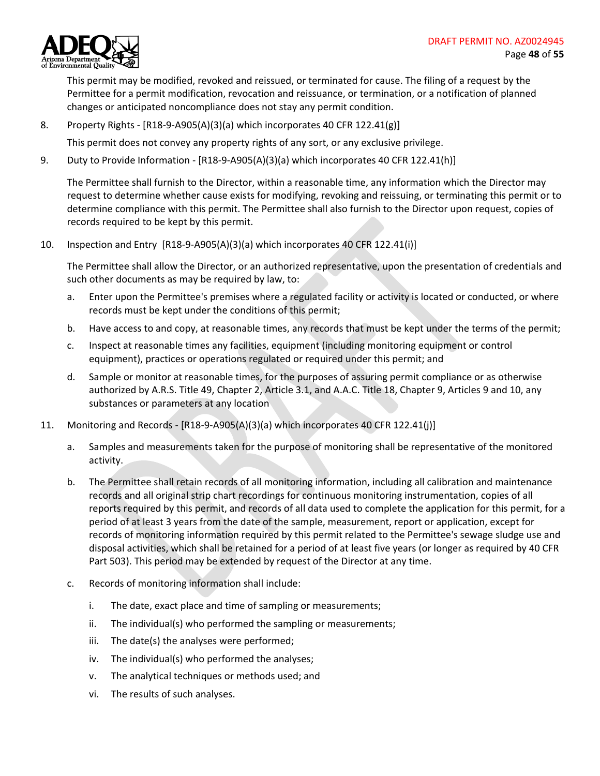

This permit may be modified, revoked and reissued, or terminated for cause. The filing of a request by the Permittee for a permit modification, revocation and reissuance, or termination, or a notification of planned changes or anticipated noncompliance does not stay any permit condition.

8. Property Rights - [R18-9-A905(A)(3)(a) which incorporates 40 CFR 122.41(g)]

This permit does not convey any property rights of any sort, or any exclusive privilege.

9. Duty to Provide Information - [R18-9-A905(A)(3)(a) which incorporates 40 CFR 122.41(h)]

The Permittee shall furnish to the Director, within a reasonable time, any information which the Director may request to determine whether cause exists for modifying, revoking and reissuing, or terminating this permit or to determine compliance with this permit. The Permittee shall also furnish to the Director upon request, copies of records required to be kept by this permit.

10. Inspection and Entry [R18-9-A905(A)(3)(a) which incorporates 40 CFR 122.41(i)]

The Permittee shall allow the Director, or an authorized representative, upon the presentation of credentials and such other documents as may be required by law, to:

- a. Enter upon the Permittee's premises where a regulated facility or activity is located or conducted, or where records must be kept under the conditions of this permit;
- b. Have access to and copy, at reasonable times, any records that must be kept under the terms of the permit;
- c. Inspect at reasonable times any facilities, equipment (including monitoring equipment or control equipment), practices or operations regulated or required under this permit; and
- d. Sample or monitor at reasonable times, for the purposes of assuring permit compliance or as otherwise authorized by A.R.S. Title 49, Chapter 2, Article 3.1, and A.A.C. Title 18, Chapter 9, Articles 9 and 10, any substances or parameters at any location
- 11. Monitoring and Records [R18-9-A905(A)(3)(a) which incorporates 40 CFR 122.41(j)]
	- a. Samples and measurements taken for the purpose of monitoring shall be representative of the monitored activity.
	- b. The Permittee shall retain records of all monitoring information, including all calibration and maintenance records and all original strip chart recordings for continuous monitoring instrumentation, copies of all reports required by this permit, and records of all data used to complete the application for this permit, for a period of at least 3 years from the date of the sample, measurement, report or application, except for records of monitoring information required by this permit related to the Permittee's sewage sludge use and disposal activities, which shall be retained for a period of at least five years (or longer as required by 40 CFR Part 503). This period may be extended by request of the Director at any time.
	- c. Records of monitoring information shall include:
		- i. The date, exact place and time of sampling or measurements;
		- ii. The individual(s) who performed the sampling or measurements;
		- iii. The date(s) the analyses were performed;
		- iv. The individual(s) who performed the analyses;
		- v. The analytical techniques or methods used; and
		- vi. The results of such analyses.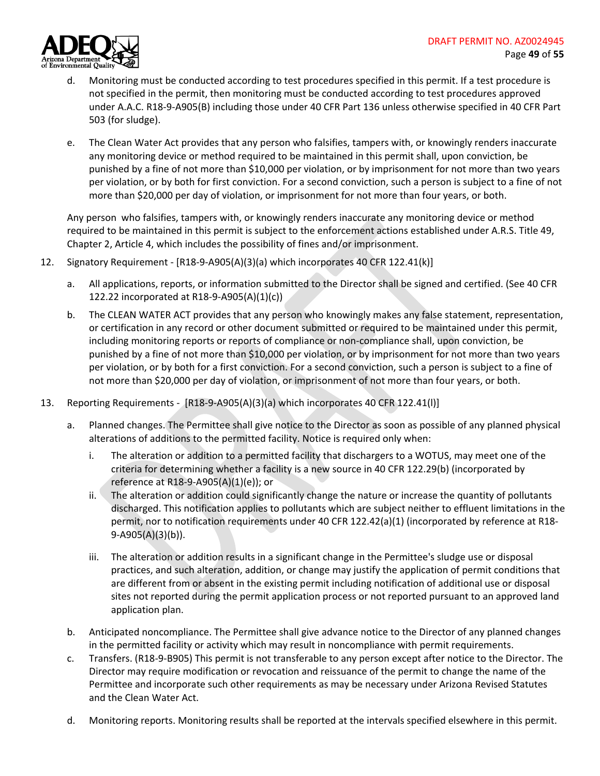

- d. Monitoring must be conducted according to test procedures specified in this permit. If a test procedure is not specified in the permit, then monitoring must be conducted according to test procedures approved under A.A.C. R18-9-A905(B) including those under 40 CFR Part 136 unless otherwise specified in 40 CFR Part 503 (for sludge).
- e. The Clean Water Act provides that any person who falsifies, tampers with, or knowingly renders inaccurate any monitoring device or method required to be maintained in this permit shall, upon conviction, be punished by a fine of not more than \$10,000 per violation, or by imprisonment for not more than two years per violation, or by both for first conviction. For a second conviction, such a person is subject to a fine of not more than \$20,000 per day of violation, or imprisonment for not more than four years, or both.

Any person who falsifies, tampers with, or knowingly renders inaccurate any monitoring device or method required to be maintained in this permit is subject to the enforcement actions established under A.R.S. Title 49, Chapter 2, Article 4, which includes the possibility of fines and/or imprisonment.

- 12. Signatory Requirement [R18-9-A905(A)(3)(a) which incorporates 40 CFR 122.41(k)]
	- a. All applications, reports, or information submitted to the Director shall be signed and certified. (See 40 CFR 122.22 incorporated at R18-9-A905(A)(1)(c))
	- b. The CLEAN WATER ACT provides that any person who knowingly makes any false statement, representation, or certification in any record or other document submitted or required to be maintained under this permit, including monitoring reports or reports of compliance or non-compliance shall, upon conviction, be punished by a fine of not more than \$10,000 per violation, or by imprisonment for not more than two years per violation, or by both for a first conviction. For a second conviction, such a person is subject to a fine of not more than \$20,000 per day of violation, or imprisonment of not more than four years, or both.
- 13. Reporting Requirements [R18-9-A905(A)(3)(a) which incorporates 40 CFR 122.41(l)]
	- a. Planned changes. The Permittee shall give notice to the Director as soon as possible of any planned physical alterations of additions to the permitted facility. Notice is required only when:
		- i. The alteration or addition to a permitted facility that dischargers to a WOTUS, may meet one of the criteria for determining whether a facility is a new source in 40 CFR 122.29(b) (incorporated by reference at R18-9-A905(A)(1)(e)); or
		- ii. The alteration or addition could significantly change the nature or increase the quantity of pollutants discharged. This notification applies to pollutants which are subject neither to effluent limitations in the permit, nor to notification requirements under 40 CFR 122.42(a)(1) (incorporated by reference at R18- 9-A905(A)(3)(b)).
		- iii. The alteration or addition results in a significant change in the Permittee's sludge use or disposal practices, and such alteration, addition, or change may justify the application of permit conditions that are different from or absent in the existing permit including notification of additional use or disposal sites not reported during the permit application process or not reported pursuant to an approved land application plan.
	- b. Anticipated noncompliance. The Permittee shall give advance notice to the Director of any planned changes in the permitted facility or activity which may result in noncompliance with permit requirements.
	- c. Transfers. (R18-9-B905) This permit is not transferable to any person except after notice to the Director. The Director may require modification or revocation and reissuance of the permit to change the name of the Permittee and incorporate such other requirements as may be necessary under Arizona Revised Statutes and the Clean Water Act.
	- d. Monitoring reports. Monitoring results shall be reported at the intervals specified elsewhere in this permit.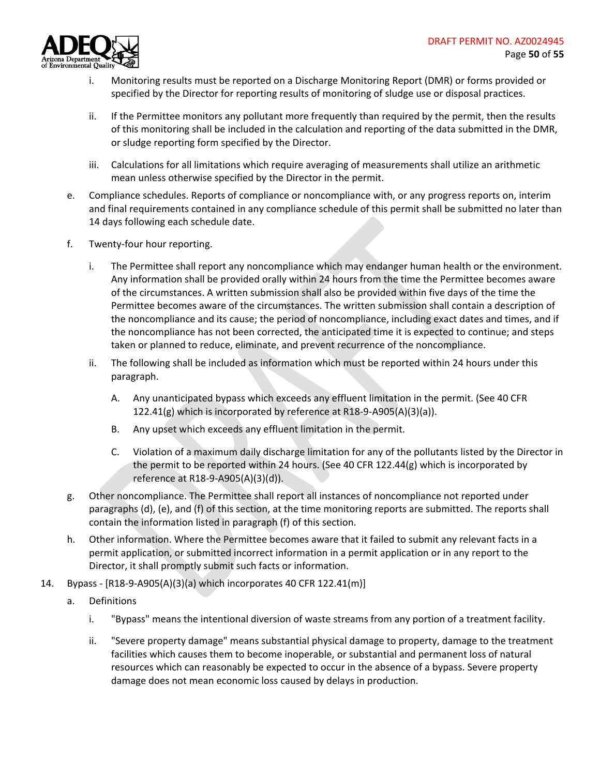

- i. Monitoring results must be reported on a Discharge Monitoring Report (DMR) or forms provided or specified by the Director for reporting results of monitoring of sludge use or disposal practices.
- ii. If the Permittee monitors any pollutant more frequently than required by the permit, then the results of this monitoring shall be included in the calculation and reporting of the data submitted in the DMR, or sludge reporting form specified by the Director.
- iii. Calculations for all limitations which require averaging of measurements shall utilize an arithmetic mean unless otherwise specified by the Director in the permit.
- e. Compliance schedules. Reports of compliance or noncompliance with, or any progress reports on, interim and final requirements contained in any compliance schedule of this permit shall be submitted no later than 14 days following each schedule date.
- f. Twenty-four hour reporting.
	- i. The Permittee shall report any noncompliance which may endanger human health or the environment. Any information shall be provided orally within 24 hours from the time the Permittee becomes aware of the circumstances. A written submission shall also be provided within five days of the time the Permittee becomes aware of the circumstances. The written submission shall contain a description of the noncompliance and its cause; the period of noncompliance, including exact dates and times, and if the noncompliance has not been corrected, the anticipated time it is expected to continue; and steps taken or planned to reduce, eliminate, and prevent recurrence of the noncompliance.
	- ii. The following shall be included as information which must be reported within 24 hours under this paragraph.
		- A. Any unanticipated bypass which exceeds any effluent limitation in the permit. (See 40 CFR 122.41(g) which is incorporated by reference at R18-9-A905(A)(3)(a)).
		- B. Any upset which exceeds any effluent limitation in the permit.
		- C. Violation of a maximum daily discharge limitation for any of the pollutants listed by the Director in the permit to be reported within 24 hours. (See 40 CFR 122.44(g) which is incorporated by reference at R18-9-A905(A)(3)(d)).
- g. Other noncompliance. The Permittee shall report all instances of noncompliance not reported under paragraphs (d), (e), and (f) of this section, at the time monitoring reports are submitted. The reports shall contain the information listed in paragraph (f) of this section.
- h. Other information. Where the Permittee becomes aware that it failed to submit any relevant facts in a permit application, or submitted incorrect information in a permit application or in any report to the Director, it shall promptly submit such facts or information.
- 14. Bypass [R18-9-A905(A)(3)(a) which incorporates 40 CFR 122.41(m)]
	- a. Definitions
		- i. "Bypass" means the intentional diversion of waste streams from any portion of a treatment facility.
		- ii. "Severe property damage" means substantial physical damage to property, damage to the treatment facilities which causes them to become inoperable, or substantial and permanent loss of natural resources which can reasonably be expected to occur in the absence of a bypass. Severe property damage does not mean economic loss caused by delays in production.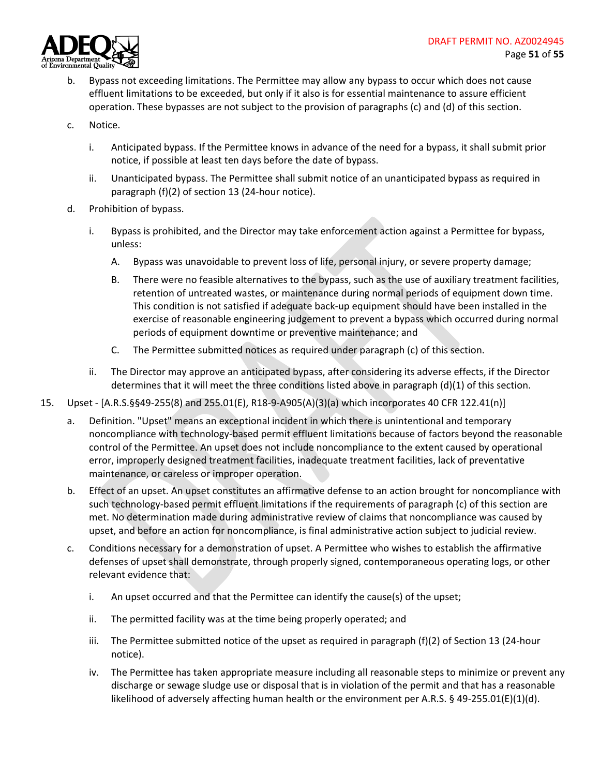- b. Bypass not exceeding limitations. The Permittee may allow any bypass to occur which does not cause effluent limitations to be exceeded, but only if it also is for essential maintenance to assure efficient operation. These bypasses are not subject to the provision of paragraphs (c) and (d) of this section.
- c. Notice.
	- i. Anticipated bypass. If the Permittee knows in advance of the need for a bypass, it shall submit prior notice, if possible at least ten days before the date of bypass.
	- ii. Unanticipated bypass. The Permittee shall submit notice of an unanticipated bypass as required in paragraph (f)(2) of section 13 (24-hour notice).
- d. Prohibition of bypass.
	- i. Bypass is prohibited, and the Director may take enforcement action against a Permittee for bypass, unless:
		- A. Bypass was unavoidable to prevent loss of life, personal injury, or severe property damage;
		- B. There were no feasible alternatives to the bypass, such as the use of auxiliary treatment facilities, retention of untreated wastes, or maintenance during normal periods of equipment down time. This condition is not satisfied if adequate back-up equipment should have been installed in the exercise of reasonable engineering judgement to prevent a bypass which occurred during normal periods of equipment downtime or preventive maintenance; and
		- C. The Permittee submitted notices as required under paragraph (c) of this section.
	- ii. The Director may approve an anticipated bypass, after considering its adverse effects, if the Director determines that it will meet the three conditions listed above in paragraph (d)(1) of this section.
- 15. Upset [A.R.S.§§49-255(8) and 255.01(E), R18-9-A905(A)(3)(a) which incorporates 40 CFR 122.41(n)]
	- a. Definition. "Upset" means an exceptional incident in which there is unintentional and temporary noncompliance with technology-based permit effluent limitations because of factors beyond the reasonable control of the Permittee. An upset does not include noncompliance to the extent caused by operational error, improperly designed treatment facilities, inadequate treatment facilities, lack of preventative maintenance, or careless or improper operation.
	- b. Effect of an upset. An upset constitutes an affirmative defense to an action brought for noncompliance with such technology-based permit effluent limitations if the requirements of paragraph (c) of this section are met. No determination made during administrative review of claims that noncompliance was caused by upset, and before an action for noncompliance, is final administrative action subject to judicial review.
	- c. Conditions necessary for a demonstration of upset. A Permittee who wishes to establish the affirmative defenses of upset shall demonstrate, through properly signed, contemporaneous operating logs, or other relevant evidence that:
		- i. An upset occurred and that the Permittee can identify the cause(s) of the upset;
		- ii. The permitted facility was at the time being properly operated; and
		- iii. The Permittee submitted notice of the upset as required in paragraph (f)(2) of Section 13 (24-hour notice).
		- iv. The Permittee has taken appropriate measure including all reasonable steps to minimize or prevent any discharge or sewage sludge use or disposal that is in violation of the permit and that has a reasonable likelihood of adversely affecting human health or the environment per A.R.S. § 49-255.01(E)(1)(d).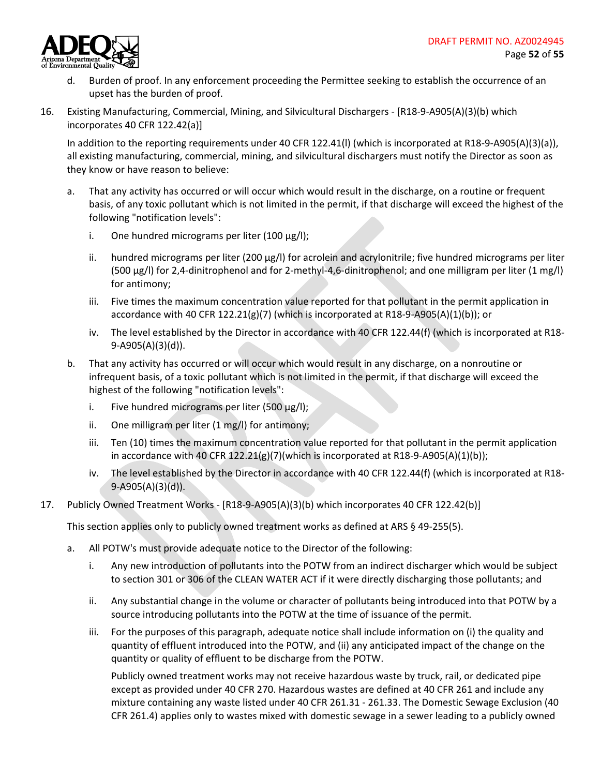

- d. Burden of proof. In any enforcement proceeding the Permittee seeking to establish the occurrence of an upset has the burden of proof.
- 16. Existing Manufacturing, Commercial, Mining, and Silvicultural Dischargers [R18-9-A905(A)(3)(b) which incorporates 40 CFR 122.42(a)]

In addition to the reporting requirements under 40 CFR 122.41(l) (which is incorporated at R18-9-A905(A)(3)(a)), all existing manufacturing, commercial, mining, and silvicultural dischargers must notify the Director as soon as they know or have reason to believe:

- a. That any activity has occurred or will occur which would result in the discharge, on a routine or frequent basis, of any toxic pollutant which is not limited in the permit, if that discharge will exceed the highest of the following "notification levels":
	- i. One hundred micrograms per liter (100 μg/l);
	- ii. hundred micrograms per liter (200 μg/l) for acrolein and acrylonitrile; five hundred micrograms per liter (500 μg/l) for 2,4-dinitrophenol and for 2-methyl-4,6-dinitrophenol; and one milligram per liter (1 mg/l) for antimony;
	- iii. Five times the maximum concentration value reported for that pollutant in the permit application in accordance with 40 CFR 122.21(g)(7) (which is incorporated at R18-9-A905(A)(1)(b)); or
	- iv. The level established by the Director in accordance with 40 CFR 122.44(f) (which is incorporated at R18- 9-A905(A)(3)(d)).
- b. That any activity has occurred or will occur which would result in any discharge, on a nonroutine or infrequent basis, of a toxic pollutant which is not limited in the permit, if that discharge will exceed the highest of the following "notification levels":
	- i. Five hundred micrograms per liter (500  $\mu$ g/l);
	- ii. One milligram per liter (1 mg/l) for antimony;
	- iii. Ten (10) times the maximum concentration value reported for that pollutant in the permit application in accordance with 40 CFR 122.21(g)(7)(which is incorporated at R18-9-A905(A)(1)(b));
	- iv. The level established by the Director in accordance with 40 CFR 122.44(f) (which is incorporated at R18-  $9 - A\overline{9}05(A)(3)(d)$ .
- 17. Publicly Owned Treatment Works [R18-9-A905(A)(3)(b) which incorporates 40 CFR 122.42(b)]

This section applies only to publicly owned treatment works as defined at ARS § 49-255(5).

- a. All POTW's must provide adequate notice to the Director of the following:
	- i. Any new introduction of pollutants into the POTW from an indirect discharger which would be subject to section 301 or 306 of the CLEAN WATER ACT if it were directly discharging those pollutants; and
	- ii. Any substantial change in the volume or character of pollutants being introduced into that POTW by a source introducing pollutants into the POTW at the time of issuance of the permit.
	- iii. For the purposes of this paragraph, adequate notice shall include information on (i) the quality and quantity of effluent introduced into the POTW, and (ii) any anticipated impact of the change on the quantity or quality of effluent to be discharge from the POTW.

Publicly owned treatment works may not receive hazardous waste by truck, rail, or dedicated pipe except as provided under 40 CFR 270. Hazardous wastes are defined at 40 CFR 261 and include any mixture containing any waste listed under 40 CFR 261.31 - 261.33. The Domestic Sewage Exclusion (40 CFR 261.4) applies only to wastes mixed with domestic sewage in a sewer leading to a publicly owned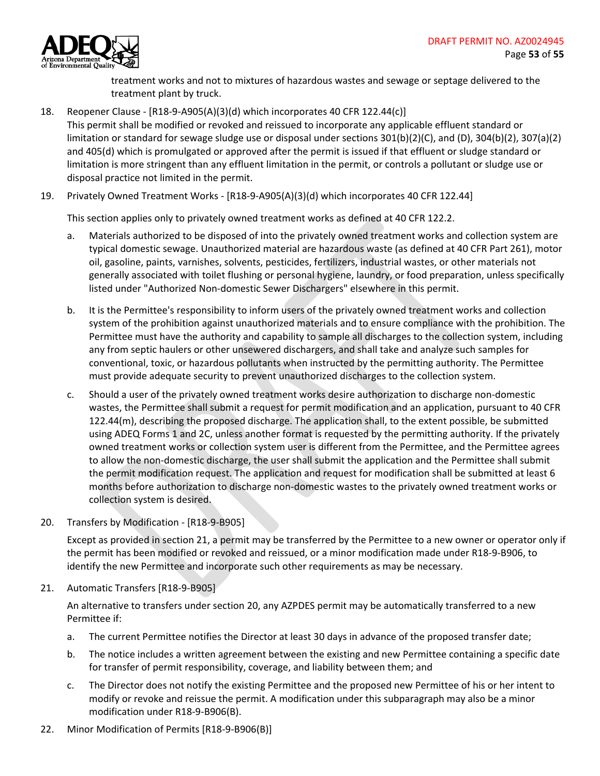

treatment works and not to mixtures of hazardous wastes and sewage or septage delivered to the treatment plant by truck.

18. Reopener Clause - [R18-9-A905(A)(3)(d) which incorporates 40 CFR 122.44(c)] This permit shall be modified or revoked and reissued to incorporate any applicable effluent standard or limitation or standard for sewage sludge use or disposal under sections 301(b)(2)(C), and (D), 304(b)(2), 307(a)(2) and 405(d) which is promulgated or approved after the permit is issued if that effluent or sludge standard or limitation is more stringent than any effluent limitation in the permit, or controls a pollutant or sludge use or disposal practice not limited in the permit.

19. Privately Owned Treatment Works - [R18-9-A905(A)(3)(d) which incorporates 40 CFR 122.44]

This section applies only to privately owned treatment works as defined at 40 CFR 122.2.

- a. Materials authorized to be disposed of into the privately owned treatment works and collection system are typical domestic sewage. Unauthorized material are hazardous waste (as defined at 40 CFR Part 261), motor oil, gasoline, paints, varnishes, solvents, pesticides, fertilizers, industrial wastes, or other materials not generally associated with toilet flushing or personal hygiene, laundry, or food preparation, unless specifically listed under "Authorized Non-domestic Sewer Dischargers" elsewhere in this permit.
- b. It is the Permittee's responsibility to inform users of the privately owned treatment works and collection system of the prohibition against unauthorized materials and to ensure compliance with the prohibition. The Permittee must have the authority and capability to sample all discharges to the collection system, including any from septic haulers or other unsewered dischargers, and shall take and analyze such samples for conventional, toxic, or hazardous pollutants when instructed by the permitting authority. The Permittee must provide adequate security to prevent unauthorized discharges to the collection system.
- c. Should a user of the privately owned treatment works desire authorization to discharge non-domestic wastes, the Permittee shall submit a request for permit modification and an application, pursuant to 40 CFR 122.44(m), describing the proposed discharge. The application shall, to the extent possible, be submitted using ADEQ Forms 1 and 2C, unless another format is requested by the permitting authority. If the privately owned treatment works or collection system user is different from the Permittee, and the Permittee agrees to allow the non-domestic discharge, the user shall submit the application and the Permittee shall submit the permit modification request. The application and request for modification shall be submitted at least 6 months before authorization to discharge non-domestic wastes to the privately owned treatment works or collection system is desired.
- 20. Transfers by Modification [R18-9-B905]

Except as provided in section 21, a permit may be transferred by the Permittee to a new owner or operator only if the permit has been modified or revoked and reissued, or a minor modification made under R18-9-B906, to identify the new Permittee and incorporate such other requirements as may be necessary.

21. Automatic Transfers [R18-9-B905]

An alternative to transfers under section 20, any AZPDES permit may be automatically transferred to a new Permittee if:

- a. The current Permittee notifies the Director at least 30 days in advance of the proposed transfer date;
- b. The notice includes a written agreement between the existing and new Permittee containing a specific date for transfer of permit responsibility, coverage, and liability between them; and
- c. The Director does not notify the existing Permittee and the proposed new Permittee of his or her intent to modify or revoke and reissue the permit. A modification under this subparagraph may also be a minor modification under R18-9-B906(B).
- 22. Minor Modification of Permits [R18-9-B906(B)]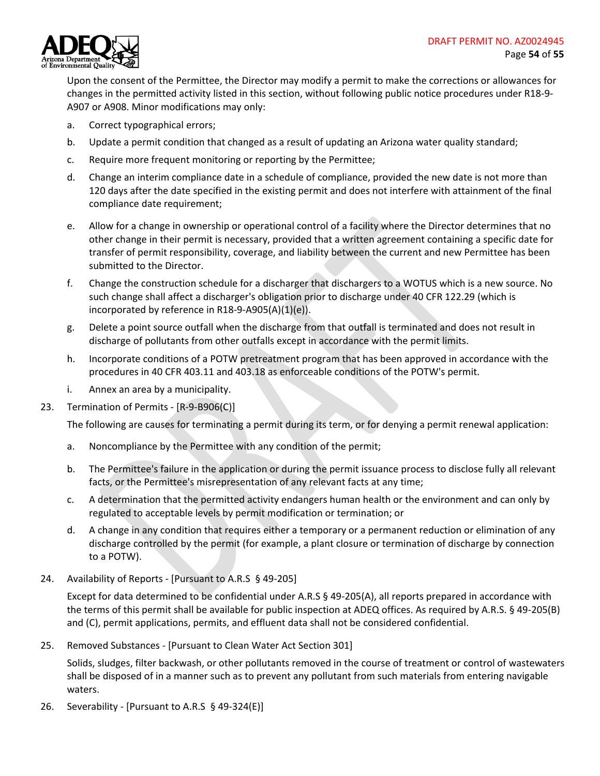

Upon the consent of the Permittee, the Director may modify a permit to make the corrections or allowances for changes in the permitted activity listed in this section, without following public notice procedures under R18-9- A907 or A908. Minor modifications may only:

- a. Correct typographical errors;
- b. Update a permit condition that changed as a result of updating an Arizona water quality standard;
- c. Require more frequent monitoring or reporting by the Permittee;
- d. Change an interim compliance date in a schedule of compliance, provided the new date is not more than 120 days after the date specified in the existing permit and does not interfere with attainment of the final compliance date requirement;
- e. Allow for a change in ownership or operational control of a facility where the Director determines that no other change in their permit is necessary, provided that a written agreement containing a specific date for transfer of permit responsibility, coverage, and liability between the current and new Permittee has been submitted to the Director.
- f. Change the construction schedule for a discharger that dischargers to a WOTUS which is a new source. No such change shall affect a discharger's obligation prior to discharge under 40 CFR 122.29 (which is incorporated by reference in R18-9-A905(A)(1)(e)).
- g. Delete a point source outfall when the discharge from that outfall is terminated and does not result in discharge of pollutants from other outfalls except in accordance with the permit limits.
- h. Incorporate conditions of a POTW pretreatment program that has been approved in accordance with the procedures in 40 CFR 403.11 and 403.18 as enforceable conditions of the POTW's permit.
- i. Annex an area by a municipality.
- 23. Termination of Permits [R-9-B906(C)]

The following are causes for terminating a permit during its term, or for denying a permit renewal application:

- a. Noncompliance by the Permittee with any condition of the permit;
- b. The Permittee's failure in the application or during the permit issuance process to disclose fully all relevant facts, or the Permittee's misrepresentation of any relevant facts at any time;
- c. A determination that the permitted activity endangers human health or the environment and can only by regulated to acceptable levels by permit modification or termination; or
- d. A change in any condition that requires either a temporary or a permanent reduction or elimination of any discharge controlled by the permit (for example, a plant closure or termination of discharge by connection to a POTW).
- 24. Availability of Reports [Pursuant to A.R.S § 49-205]

Except for data determined to be confidential under A.R.S § 49-205(A), all reports prepared in accordance with the terms of this permit shall be available for public inspection at ADEQ offices. As required by A.R.S. § 49-205(B) and (C), permit applications, permits, and effluent data shall not be considered confidential.

25. Removed Substances - [Pursuant to Clean Water Act Section 301]

Solids, sludges, filter backwash, or other pollutants removed in the course of treatment or control of wastewaters shall be disposed of in a manner such as to prevent any pollutant from such materials from entering navigable waters.

26. Severability - [Pursuant to A.R.S § 49-324(E)]